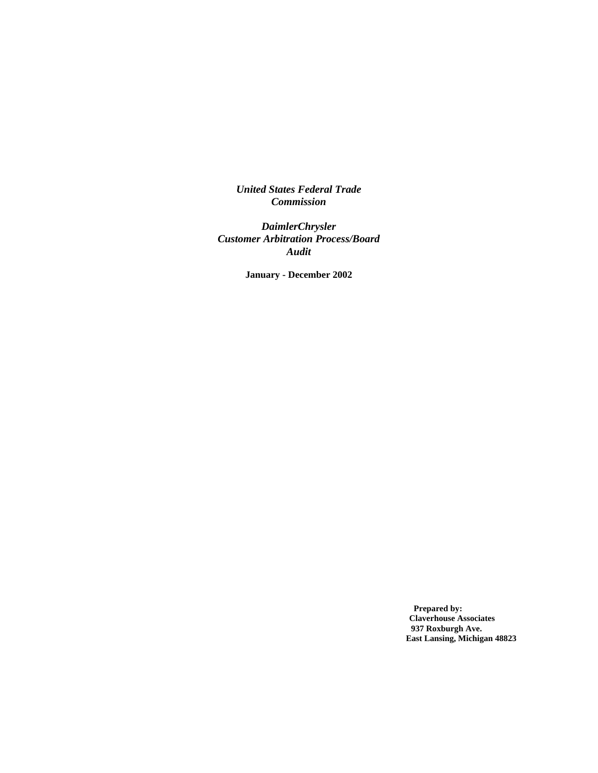*United States Federal Trade Commission*

*DaimlerChrysler Customer Arbitration Process/Board Audit*

**January - December 2002**

**Prepared by: Claverhouse Associates 937 Roxburgh Ave. East Lansing, Michigan 48823**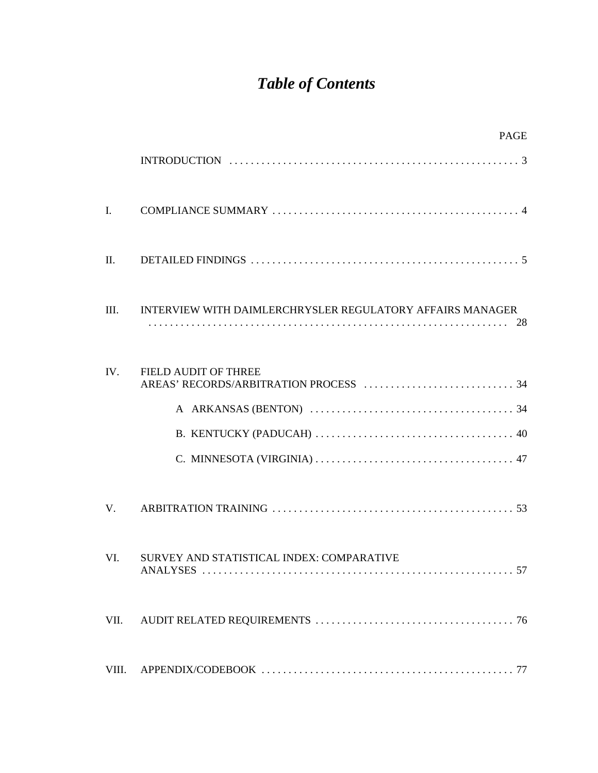# *Table of Contents*

|                | PAGE                                                               |
|----------------|--------------------------------------------------------------------|
|                |                                                                    |
| $\mathbf{I}$ . |                                                                    |
| П.             |                                                                    |
| III.           | INTERVIEW WITH DAIMLERCHRYSLER REGULATORY AFFAIRS MANAGER          |
| IV.            | FIELD AUDIT OF THREE                                               |
| $V_{\cdot}$    |                                                                    |
| VI.            | SURVEY AND STATISTICAL INDEX: COMPARATIVE<br>57<br><b>ANALYSES</b> |
| VII.           |                                                                    |
| VIII.          |                                                                    |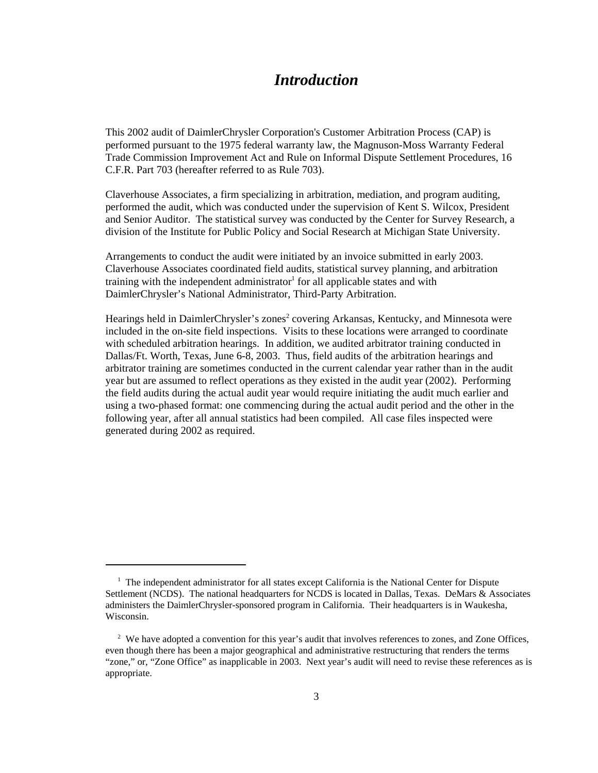# *Introduction*

This 2002 audit of DaimlerChrysler Corporation's Customer Arbitration Process (CAP) is performed pursuant to the 1975 federal warranty law, the Magnuson-Moss Warranty Federal Trade Commission Improvement Act and Rule on Informal Dispute Settlement Procedures, 16 C.F.R. Part 703 (hereafter referred to as Rule 703).

Claverhouse Associates, a firm specializing in arbitration, mediation, and program auditing, performed the audit, which was conducted under the supervision of Kent S. Wilcox, President and Senior Auditor. The statistical survey was conducted by the Center for Survey Research, a division of the Institute for Public Policy and Social Research at Michigan State University.

Arrangements to conduct the audit were initiated by an invoice submitted in early 2003. Claverhouse Associates coordinated field audits, statistical survey planning, and arbitration training with the independent administrator<sup>1</sup> for all applicable states and with DaimlerChrysler's National Administrator, Third-Party Arbitration.

Hearings held in DaimlerChrysler's zones<sup>2</sup> covering Arkansas, Kentucky, and Minnesota were included in the on-site field inspections. Visits to these locations were arranged to coordinate with scheduled arbitration hearings. In addition, we audited arbitrator training conducted in Dallas/Ft. Worth, Texas, June 6-8, 2003. Thus, field audits of the arbitration hearings and arbitrator training are sometimes conducted in the current calendar year rather than in the audit year but are assumed to reflect operations as they existed in the audit year (2002). Performing the field audits during the actual audit year would require initiating the audit much earlier and using a two-phased format: one commencing during the actual audit period and the other in the following year, after all annual statistics had been compiled. All case files inspected were generated during 2002 as required.

<sup>&</sup>lt;sup>1</sup> The independent administrator for all states except California is the National Center for Dispute Settlement (NCDS). The national headquarters for NCDS is located in Dallas, Texas. DeMars & Associates administers the DaimlerChrysler-sponsored program in California. Their headquarters is in Waukesha, Wisconsin.

<sup>&</sup>lt;sup>2</sup> We have adopted a convention for this year's audit that involves references to zones, and Zone Offices, even though there has been a major geographical and administrative restructuring that renders the terms "zone," or, "Zone Office" as inapplicable in 2003. Next year's audit will need to revise these references as is appropriate.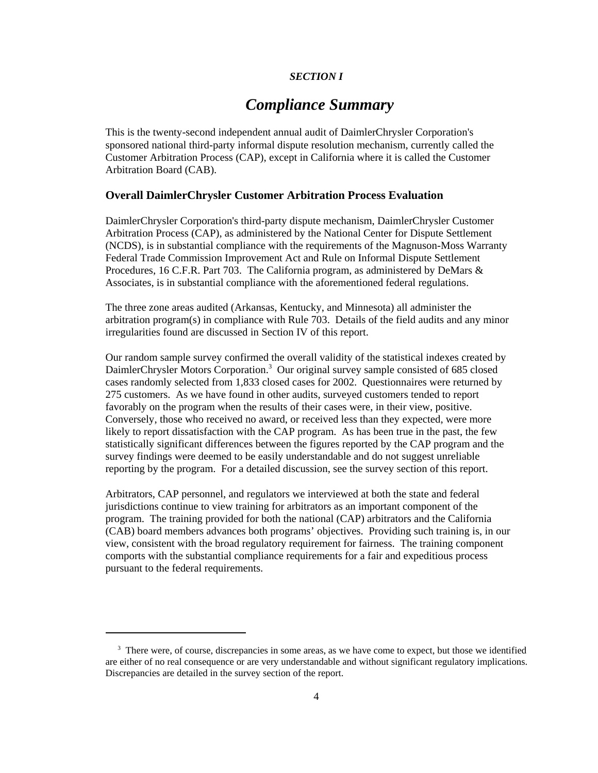# *SECTION I*

# *Compliance Summary*

This is the twenty-second independent annual audit of DaimlerChrysler Corporation's sponsored national third-party informal dispute resolution mechanism, currently called the Customer Arbitration Process (CAP), except in California where it is called the Customer Arbitration Board (CAB).

# **Overall DaimlerChrysler Customer Arbitration Process Evaluation**

DaimlerChrysler Corporation's third-party dispute mechanism, DaimlerChrysler Customer Arbitration Process (CAP), as administered by the National Center for Dispute Settlement (NCDS), is in substantial compliance with the requirements of the Magnuson-Moss Warranty Federal Trade Commission Improvement Act and Rule on Informal Dispute Settlement Procedures, 16 C.F.R. Part 703. The California program, as administered by DeMars & Associates, is in substantial compliance with the aforementioned federal regulations.

The three zone areas audited (Arkansas, Kentucky, and Minnesota) all administer the arbitration program(s) in compliance with Rule 703. Details of the field audits and any minor irregularities found are discussed in Section IV of this report.

Our random sample survey confirmed the overall validity of the statistical indexes created by DaimlerChrysler Motors Corporation.<sup>3</sup> Our original survey sample consisted of 685 closed cases randomly selected from 1,833 closed cases for 2002. Questionnaires were returned by 275 customers. As we have found in other audits, surveyed customers tended to report favorably on the program when the results of their cases were, in their view, positive. Conversely, those who received no award, or received less than they expected, were more likely to report dissatisfaction with the CAP program. As has been true in the past, the few statistically significant differences between the figures reported by the CAP program and the survey findings were deemed to be easily understandable and do not suggest unreliable reporting by the program. For a detailed discussion, see the survey section of this report.

Arbitrators, CAP personnel, and regulators we interviewed at both the state and federal jurisdictions continue to view training for arbitrators as an important component of the program. The training provided for both the national (CAP) arbitrators and the California (CAB) board members advances both programs' objectives. Providing such training is, in our view, consistent with the broad regulatory requirement for fairness. The training component comports with the substantial compliance requirements for a fair and expeditious process pursuant to the federal requirements.

<sup>&</sup>lt;sup>3</sup> There were, of course, discrepancies in some areas, as we have come to expect, but those we identified are either of no real consequence or are very understandable and without significant regulatory implications. Discrepancies are detailed in the survey section of the report.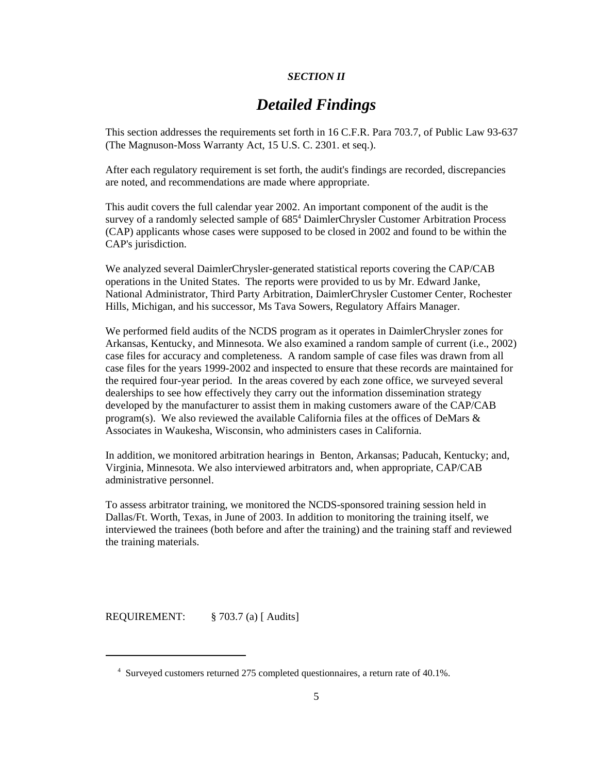# *SECTION II*

# *Detailed Findings*

This section addresses the requirements set forth in 16 C.F.R. Para 703.7, of Public Law 93-637 (The Magnuson-Moss Warranty Act, 15 U.S. C. 2301. et seq.).

After each regulatory requirement is set forth, the audit's findings are recorded, discrepancies are noted, and recommendations are made where appropriate.

This audit covers the full calendar year 2002. An important component of the audit is the survey of a randomly selected sample of 685<sup>4</sup> DaimlerChrysler Customer Arbitration Process (CAP) applicants whose cases were supposed to be closed in 2002 and found to be within the CAP's jurisdiction.

We analyzed several DaimlerChrysler-generated statistical reports covering the CAP/CAB operations in the United States. The reports were provided to us by Mr. Edward Janke, National Administrator, Third Party Arbitration, DaimlerChrysler Customer Center, Rochester Hills, Michigan, and his successor, Ms Tava Sowers, Regulatory Affairs Manager.

We performed field audits of the NCDS program as it operates in DaimlerChrysler zones for Arkansas, Kentucky, and Minnesota. We also examined a random sample of current (i.e., 2002) case files for accuracy and completeness. A random sample of case files was drawn from all case files for the years 1999-2002 and inspected to ensure that these records are maintained for the required four-year period. In the areas covered by each zone office, we surveyed several dealerships to see how effectively they carry out the information dissemination strategy developed by the manufacturer to assist them in making customers aware of the CAP/CAB program(s). We also reviewed the available California files at the offices of DeMars  $\&$ Associates in Waukesha, Wisconsin, who administers cases in California.

In addition, we monitored arbitration hearings in Benton, Arkansas; Paducah, Kentucky; and, Virginia, Minnesota. We also interviewed arbitrators and, when appropriate, CAP/CAB administrative personnel.

To assess arbitrator training, we monitored the NCDS-sponsored training session held in Dallas/Ft. Worth, Texas, in June of 2003. In addition to monitoring the training itself, we interviewed the trainees (both before and after the training) and the training staff and reviewed the training materials.

REQUIREMENT: § 703.7 (a) [ Audits]

 <sup>4</sup> Surveyed customers returned 275 completed questionnaires, a return rate of 40.1%.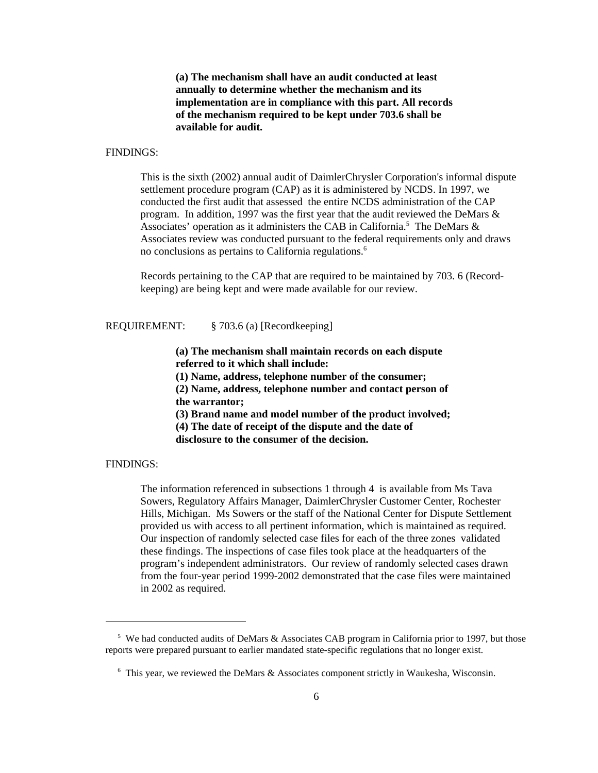**(a) The mechanism shall have an audit conducted at least annually to determine whether the mechanism and its implementation are in compliance with this part. All records of the mechanism required to be kept under 703.6 shall be available for audit.**

# FINDINGS:

This is the sixth (2002) annual audit of DaimlerChrysler Corporation's informal dispute settlement procedure program (CAP) as it is administered by NCDS. In 1997, we conducted the first audit that assessed the entire NCDS administration of the CAP program. In addition, 1997 was the first year that the audit reviewed the DeMars & Associates' operation as it administers the CAB in California.<sup>5</sup> The DeMars & Associates review was conducted pursuant to the federal requirements only and draws no conclusions as pertains to California regulations.<sup>6</sup>

Records pertaining to the CAP that are required to be maintained by 703. 6 (Recordkeeping) are being kept and were made available for our review.

## REQUIREMENT: § 703.6 (a) [Recordkeeping]

**(a) The mechanism shall maintain records on each dispute referred to it which shall include:** 

**(1) Name, address, telephone number of the consumer;** 

**(2) Name, address, telephone number and contact person of the warrantor;**

**(3) Brand name and model number of the product involved; (4) The date of receipt of the dispute and the date of disclosure to the consumer of the decision.**

#### FINDINGS:

The information referenced in subsections 1 through 4 is available from Ms Tava Sowers, Regulatory Affairs Manager, DaimlerChrysler Customer Center, Rochester Hills, Michigan. Ms Sowers or the staff of the National Center for Dispute Settlement provided us with access to all pertinent information, which is maintained as required. Our inspection of randomly selected case files for each of the three zones validated these findings. The inspections of case files took place at the headquarters of the program's independent administrators. Our review of randomly selected cases drawn from the four-year period 1999-2002 demonstrated that the case files were maintained in 2002 as required.

<sup>&</sup>lt;sup>5</sup> We had conducted audits of DeMars & Associates CAB program in California prior to 1997, but those reports were prepared pursuant to earlier mandated state-specific regulations that no longer exist.

<sup>&</sup>lt;sup>6</sup> This year, we reviewed the DeMars & Associates component strictly in Waukesha, Wisconsin.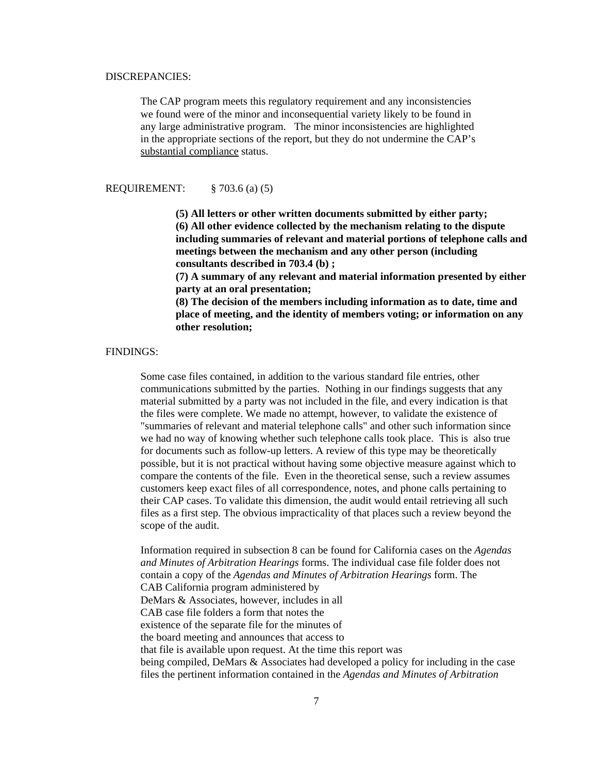#### DISCREPANCIES:

The CAP program meets this regulatory requirement and any inconsistencies we found were of the minor and inconsequential variety likely to be found in any large administrative program. The minor inconsistencies are highlighted in the appropriate sections of the report, but they do not undermine the CAP's substantial compliance status.

REQUIREMENT: § 703.6 (a) (5)

**(5) All letters or other written documents submitted by either party; (6) All other evidence collected by the mechanism relating to the dispute including summaries of relevant and material portions of telephone calls and meetings between the mechanism and any other person (including consultants described in 703.4 (b) ;** 

**(7) A summary of any relevant and material information presented by either party at an oral presentation;** 

**(8) The decision of the members including information as to date, time and place of meeting, and the identity of members voting; or information on any other resolution;**

#### FINDINGS:

 Some case files contained, in addition to the various standard file entries, other communications submitted by the parties. Nothing in our findings suggests that any material submitted by a party was not included in the file, and every indication is that the files were complete. We made no attempt, however, to validate the existence of "summaries of relevant and material telephone calls" and other such information since we had no way of knowing whether such telephone calls took place. This is also true for documents such as follow-up letters. A review of this type may be theoretically possible, but it is not practical without having some objective measure against which to compare the contents of the file. Even in the theoretical sense, such a review assumes customers keep exact files of all correspondence, notes, and phone calls pertaining to their CAP cases. To validate this dimension, the audit would entail retrieving all such files as a first step. The obvious impracticality of that places such a review beyond the scope of the audit.

Information required in subsection 8 can be found for California cases on the *Agendas and Minutes of Arbitration Hearings* forms. The individual case file folder does not contain a copy of the *Agendas and Minutes of Arbitration Hearings* form. The CAB California program administered by DeMars & Associates, however, includes in all CAB case file folders a form that notes the existence of the separate file for the minutes of the board meeting and announces that access to that file is available upon request. At the time this report was being compiled, DeMars & Associates had developed a policy for including in the case files the pertinent information contained in the *Agendas and Minutes of Arbitration*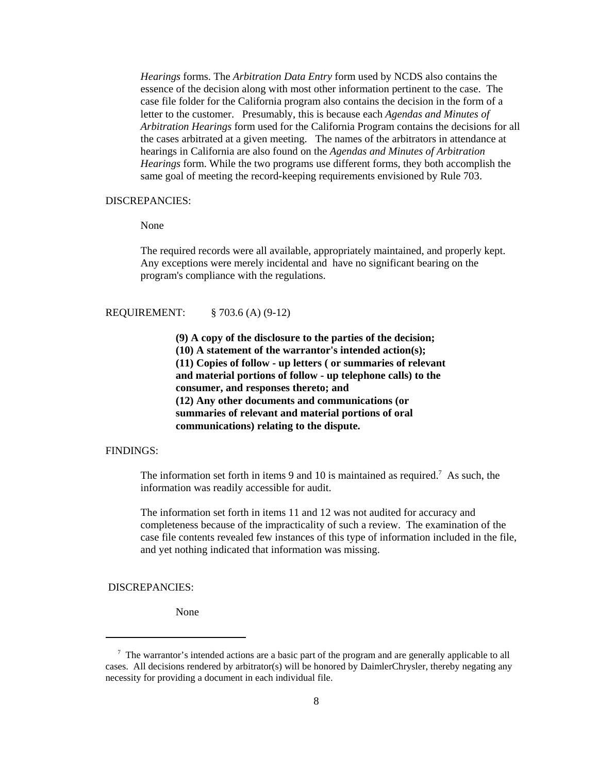*Hearings* forms. The *Arbitration Data Entry* form used by NCDS also contains the essence of the decision along with most other information pertinent to the case. The case file folder for the California program also contains the decision in the form of a letter to the customer. Presumably, this is because each *Agendas and Minutes of Arbitration Hearings* form used for the California Program contains the decisions for all the cases arbitrated at a given meeting. The names of the arbitrators in attendance at hearings in California are also found on the *Agendas and Minutes of Arbitration Hearings* form. While the two programs use different forms, they both accomplish the same goal of meeting the record-keeping requirements envisioned by Rule 703.

#### DISCREPANCIES:

#### None

The required records were all available, appropriately maintained, and properly kept. Any exceptions were merely incidental and have no significant bearing on the program's compliance with the regulations.

# REQUIREMENT: § 703.6 (A) (9-12)

**(9) A copy of the disclosure to the parties of the decision; (10) A statement of the warrantor's intended action(s); (11) Copies of follow - up letters ( or summaries of relevant and material portions of follow - up telephone calls) to the consumer, and responses thereto; and (12) Any other documents and communications (or summaries of relevant and material portions of oral communications) relating to the dispute.**

# FINDINGS:

The information set forth in items 9 and 10 is maintained as required.<sup>7</sup> As such, the information was readily accessible for audit.

The information set forth in items 11 and 12 was not audited for accuracy and completeness because of the impracticality of such a review. The examination of the case file contents revealed few instances of this type of information included in the file, and yet nothing indicated that information was missing.

DISCREPANCIES:

None

<sup>&</sup>lt;sup>7</sup> The warrantor's intended actions are a basic part of the program and are generally applicable to all cases. All decisions rendered by arbitrator(s) will be honored by DaimlerChrysler, thereby negating any necessity for providing a document in each individual file.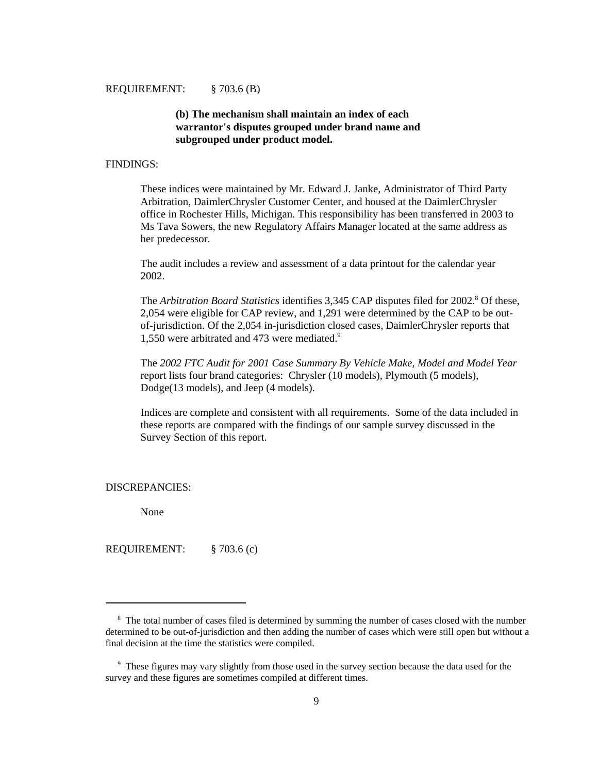# **(b) The mechanism shall maintain an index of each warrantor's disputes grouped under brand name and subgrouped under product model.**

#### FINDINGS:

These indices were maintained by Mr. Edward J. Janke, Administrator of Third Party Arbitration, DaimlerChrysler Customer Center, and housed at the DaimlerChrysler office in Rochester Hills, Michigan. This responsibility has been transferred in 2003 to Ms Tava Sowers, the new Regulatory Affairs Manager located at the same address as her predecessor.

The audit includes a review and assessment of a data printout for the calendar year 2002.

The *Arbitration Board Statistics* identifies 3,345 CAP disputes filed for 2002.<sup>8</sup> Of these, 2,054 were eligible for CAP review, and 1,291 were determined by the CAP to be outof-jurisdiction. Of the 2,054 in-jurisdiction closed cases, DaimlerChrysler reports that 1,550 were arbitrated and 473 were mediated.9

The *2002 FTC Audit for 2001 Case Summary By Vehicle Make, Model and Model Year* report lists four brand categories: Chrysler (10 models), Plymouth (5 models), Dodge(13 models), and Jeep (4 models).

Indices are complete and consistent with all requirements. Some of the data included in these reports are compared with the findings of our sample survey discussed in the Survey Section of this report.

DISCREPANCIES:

None

REQUIREMENT: § 703.6 (c)

<sup>&</sup>lt;sup>8</sup> The total number of cases filed is determined by summing the number of cases closed with the number determined to be out-of-jurisdiction and then adding the number of cases which were still open but without a final decision at the time the statistics were compiled.

<sup>&</sup>lt;sup>9</sup> These figures may vary slightly from those used in the survey section because the data used for the survey and these figures are sometimes compiled at different times.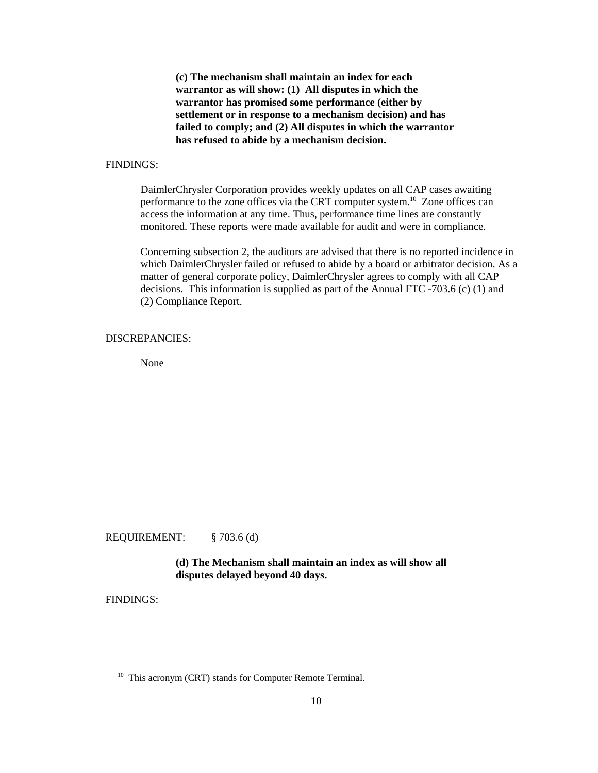**(c) The mechanism shall maintain an index for each warrantor as will show: (1) All disputes in which the warrantor has promised some performance (either by settlement or in response to a mechanism decision) and has failed to comply; and (2) All disputes in which the warrantor has refused to abide by a mechanism decision.**

## FINDINGS:

DaimlerChrysler Corporation provides weekly updates on all CAP cases awaiting performance to the zone offices via the CRT computer system.10 Zone offices can access the information at any time. Thus, performance time lines are constantly monitored. These reports were made available for audit and were in compliance.

Concerning subsection 2, the auditors are advised that there is no reported incidence in which DaimlerChrysler failed or refused to abide by a board or arbitrator decision. As a matter of general corporate policy, DaimlerChrysler agrees to comply with all CAP decisions. This information is supplied as part of the Annual FTC -703.6 (c) (1) and (2) Compliance Report.

# DISCREPANCIES:

None

REQUIREMENT: § 703.6 (d)

**(d) The Mechanism shall maintain an index as will show all disputes delayed beyond 40 days.**

FINDINGS:

<sup>&</sup>lt;sup>10</sup> This acronym (CRT) stands for Computer Remote Terminal.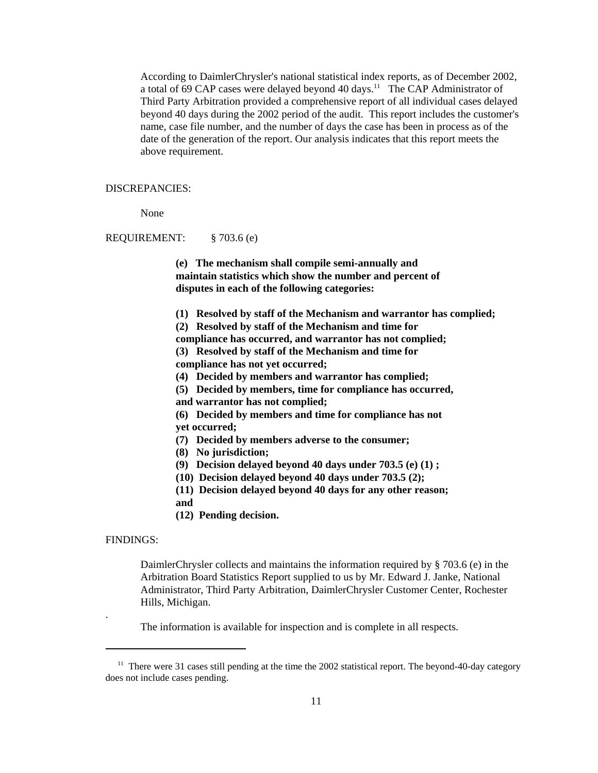According to DaimlerChrysler's national statistical index reports, as of December 2002, a total of 69 CAP cases were delayed beyond 40 days.<sup>11</sup> The CAP Administrator of Third Party Arbitration provided a comprehensive report of all individual cases delayed beyond 40 days during the 2002 period of the audit. This report includes the customer's name, case file number, and the number of days the case has been in process as of the date of the generation of the report. Our analysis indicates that this report meets the above requirement.

#### DISCREPANCIES:

None

#### REQUIREMENT: § 703.6 (e)

**(e) The mechanism shall compile semi-annually and maintain statistics which show the number and percent of disputes in each of the following categories:** 

- **(1) Resolved by staff of the Mechanism and warrantor has complied;**
- **(2) Resolved by staff of the Mechanism and time for**

**compliance has occurred, and warrantor has not complied; (3) Resolved by staff of the Mechanism and time for**

- **compliance has not yet occurred;**
- **(4) Decided by members and warrantor has complied;**
- **(5) Decided by members, time for compliance has occurred,**
- **and warrantor has not complied;**
- **(6) Decided by members and time for compliance has not yet occurred;**
- **(7) Decided by members adverse to the consumer;**
- **(8) No jurisdiction;**
- **(9) Decision delayed beyond 40 days under 703.5 (e) (1) ;**
- **(10) Decision delayed beyond 40 days under 703.5 (2);**
- **(11) Decision delayed beyond 40 days for any other reason; and**
- **(12) Pending decision.**

#### FINDINGS:

.

 DaimlerChrysler collects and maintains the information required by § 703.6 (e) in the Arbitration Board Statistics Report supplied to us by Mr. Edward J. Janke, National Administrator, Third Party Arbitration, DaimlerChrysler Customer Center, Rochester Hills, Michigan.

The information is available for inspection and is complete in all respects.

 $11$  There were 31 cases still pending at the time the 2002 statistical report. The beyond-40-day category does not include cases pending.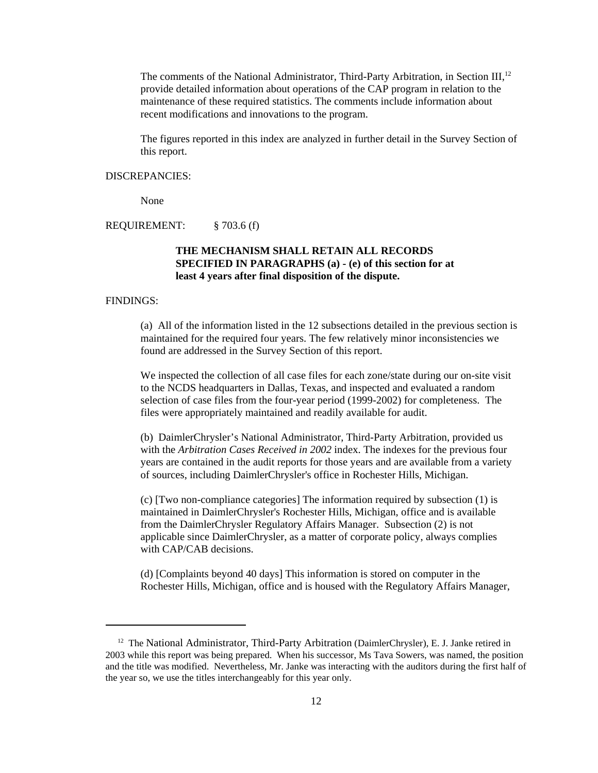The comments of the National Administrator, Third-Party Arbitration, in Section III,<sup>12</sup> provide detailed information about operations of the CAP program in relation to the maintenance of these required statistics. The comments include information about recent modifications and innovations to the program.

The figures reported in this index are analyzed in further detail in the Survey Section of this report.

#### DISCREPANCIES:

None

# REQUIREMENT: § 703.6 (f)

# **THE MECHANISM SHALL RETAIN ALL RECORDS SPECIFIED IN PARAGRAPHS (a) - (e) of this section for at least 4 years after final disposition of the dispute.**

#### FINDINGS:

(a) All of the information listed in the 12 subsections detailed in the previous section is maintained for the required four years. The few relatively minor inconsistencies we found are addressed in the Survey Section of this report.

We inspected the collection of all case files for each zone/state during our on-site visit to the NCDS headquarters in Dallas, Texas, and inspected and evaluated a random selection of case files from the four-year period (1999-2002) for completeness. The files were appropriately maintained and readily available for audit.

(b) DaimlerChrysler's National Administrator, Third-Party Arbitration, provided us with the *Arbitration Cases Received in 2002* index. The indexes for the previous four years are contained in the audit reports for those years and are available from a variety of sources, including DaimlerChrysler's office in Rochester Hills, Michigan.

(c) [Two non-compliance categories] The information required by subsection (1) is maintained in DaimlerChrysler's Rochester Hills, Michigan, office and is available from the DaimlerChrysler Regulatory Affairs Manager. Subsection (2) is not applicable since DaimlerChrysler, as a matter of corporate policy, always complies with CAP/CAB decisions.

(d) [Complaints beyond 40 days] This information is stored on computer in the Rochester Hills, Michigan, office and is housed with the Regulatory Affairs Manager,

<sup>&</sup>lt;sup>12</sup> The National Administrator, Third-Party Arbitration (DaimlerChrysler), E. J. Janke retired in 2003 while this report was being prepared. When his successor, Ms Tava Sowers, was named, the position and the title was modified. Nevertheless, Mr. Janke was interacting with the auditors during the first half of the year so, we use the titles interchangeably for this year only.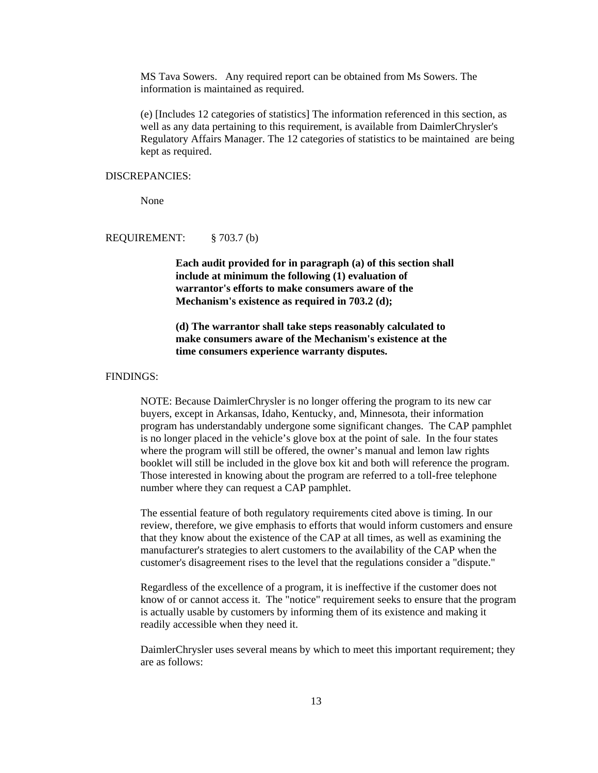MS Tava Sowers. Any required report can be obtained from Ms Sowers. The information is maintained as required.

(e) [Includes 12 categories of statistics] The information referenced in this section, as well as any data pertaining to this requirement, is available from DaimlerChrysler's Regulatory Affairs Manager. The 12 categories of statistics to be maintained are being kept as required.

#### DISCREPANCIES:

None

#### REQUIREMENT: § 703.7 (b)

**Each audit provided for in paragraph (a) of this section shall include at minimum the following (1) evaluation of warrantor's efforts to make consumers aware of the Mechanism's existence as required in 703.2 (d);**

# **(d) The warrantor shall take steps reasonably calculated to make consumers aware of the Mechanism's existence at the time consumers experience warranty disputes.**

# FINDINGS:

NOTE: Because DaimlerChrysler is no longer offering the program to its new car buyers, except in Arkansas, Idaho, Kentucky, and, Minnesota, their information program has understandably undergone some significant changes. The CAP pamphlet is no longer placed in the vehicle's glove box at the point of sale. In the four states where the program will still be offered, the owner's manual and lemon law rights booklet will still be included in the glove box kit and both will reference the program. Those interested in knowing about the program are referred to a toll-free telephone number where they can request a CAP pamphlet.

The essential feature of both regulatory requirements cited above is timing. In our review, therefore, we give emphasis to efforts that would inform customers and ensure that they know about the existence of the CAP at all times, as well as examining the manufacturer's strategies to alert customers to the availability of the CAP when the customer's disagreement rises to the level that the regulations consider a "dispute."

Regardless of the excellence of a program, it is ineffective if the customer does not know of or cannot access it. The "notice" requirement seeks to ensure that the program is actually usable by customers by informing them of its existence and making it readily accessible when they need it.

DaimlerChrysler uses several means by which to meet this important requirement; they are as follows: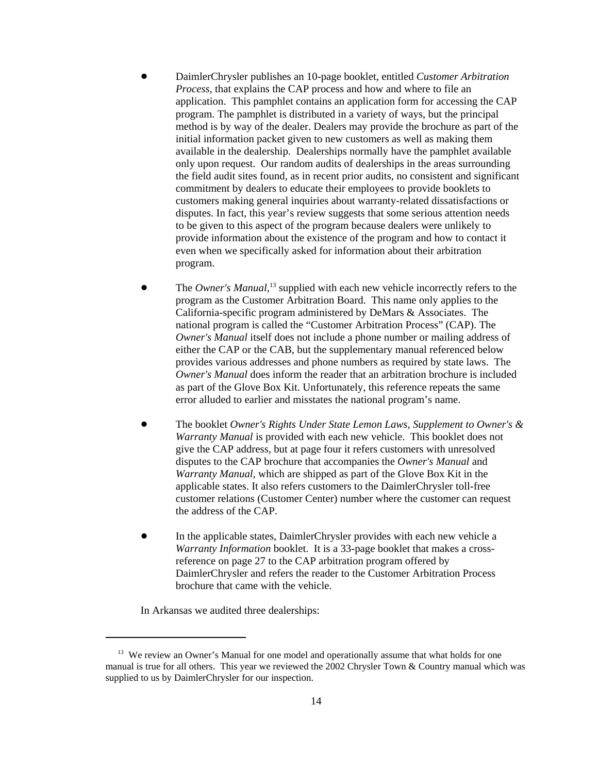- ! DaimlerChrysler publishes an 10-page booklet, entitled *Customer Arbitration Process*, that explains the CAP process and how and where to file an application. This pamphlet contains an application form for accessing the CAP program. The pamphlet is distributed in a variety of ways, but the principal method is by way of the dealer. Dealers may provide the brochure as part of the initial information packet given to new customers as well as making them available in the dealership. Dealerships normally have the pamphlet available only upon request. Our random audits of dealerships in the areas surrounding the field audit sites found, as in recent prior audits, no consistent and significant commitment by dealers to educate their employees to provide booklets to customers making general inquiries about warranty-related dissatisfactions or disputes. In fact, this year's review suggests that some serious attention needs to be given to this aspect of the program because dealers were unlikely to provide information about the existence of the program and how to contact it even when we specifically asked for information about their arbitration program.
- The *Owner's Manual*,<sup>13</sup> supplied with each new vehicle incorrectly refers to the program as the Customer Arbitration Board. This name only applies to the California-specific program administered by DeMars & Associates. The national program is called the "Customer Arbitration Process" (CAP). The *Owner's Manual* itself does not include a phone number or mailing address of either the CAP or the CAB, but the supplementary manual referenced below provides various addresses and phone numbers as required by state laws. The *Owner's Manual* does inform the reader that an arbitration brochure is included as part of the Glove Box Kit. Unfortunately, this reference repeats the same error alluded to earlier and misstates the national program's name.
- ! The booklet *Owner's Rights Under State Lemon Laws*, *Supplement to Owner's & Warranty Manual* is provided with each new vehicle. This booklet does not give the CAP address, but at page four it refers customers with unresolved disputes to the CAP brochure that accompanies the *Owner's Manual* and *Warranty Manual,* which are shipped as part of the Glove Box Kit in the applicable states. It also refers customers to the DaimlerChrysler toll-free customer relations (Customer Center) number where the customer can request the address of the CAP.
- In the applicable states, DaimlerChrysler provides with each new vehicle a *Warranty Information* booklet. It is a 33-page booklet that makes a crossreference on page 27 to the CAP arbitration program offered by DaimlerChrysler and refers the reader to the Customer Arbitration Process brochure that came with the vehicle.

In Arkansas we audited three dealerships:

<sup>&</sup>lt;sup>13</sup> We review an Owner's Manual for one model and operationally assume that what holds for one manual is true for all others. This year we reviewed the 2002 Chrysler Town & Country manual which was supplied to us by DaimlerChrysler for our inspection.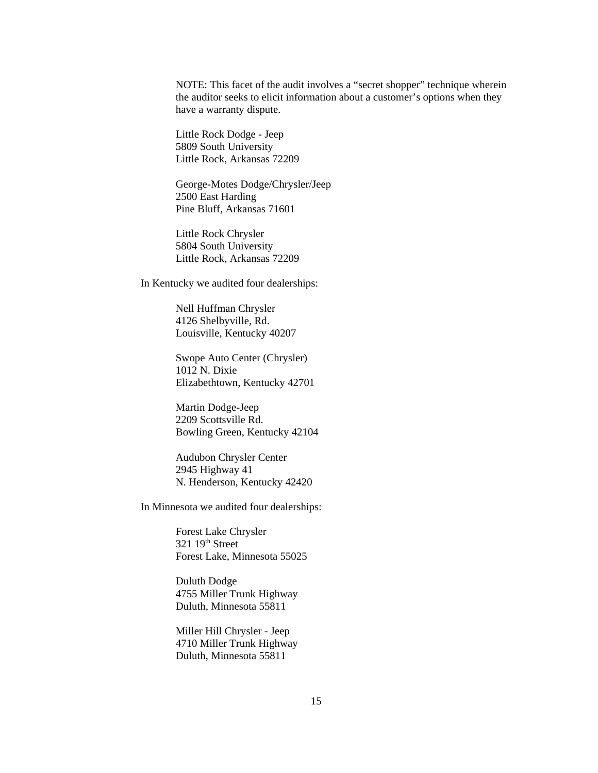NOTE: This facet of the audit involves a "secret shopper" technique wherein the auditor seeks to elicit information about a customer's options when they have a warranty dispute.

Little Rock Dodge - Jeep 5809 South University Little Rock, Arkansas 72209

George-Motes Dodge/Chrysler/Jeep 2500 East Harding Pine Bluff, Arkansas 71601

Little Rock Chrysler 5804 South University Little Rock, Arkansas 72209

In Kentucky we audited four dealerships:

Nell Huffman Chrysler 4126 Shelbyville, Rd. Louisville, Kentucky 40207

Swope Auto Center (Chrysler) 1012 N. Dixie Elizabethtown, Kentucky 42701

Martin Dodge-Jeep 2209 Scottsville Rd. Bowling Green, Kentucky 42104

Audubon Chrysler Center 2945 Highway 41 N. Henderson, Kentucky 42420

In Minnesota we audited four dealerships:

Forest Lake Chrysler  $321\;19<sup>th</sup>$  Street Forest Lake, Minnesota 55025

Duluth Dodge 4755 Miller Trunk Highway Duluth, Minnesota 55811

Miller Hill Chrysler - Jeep 4710 Miller Trunk Highway Duluth, Minnesota 55811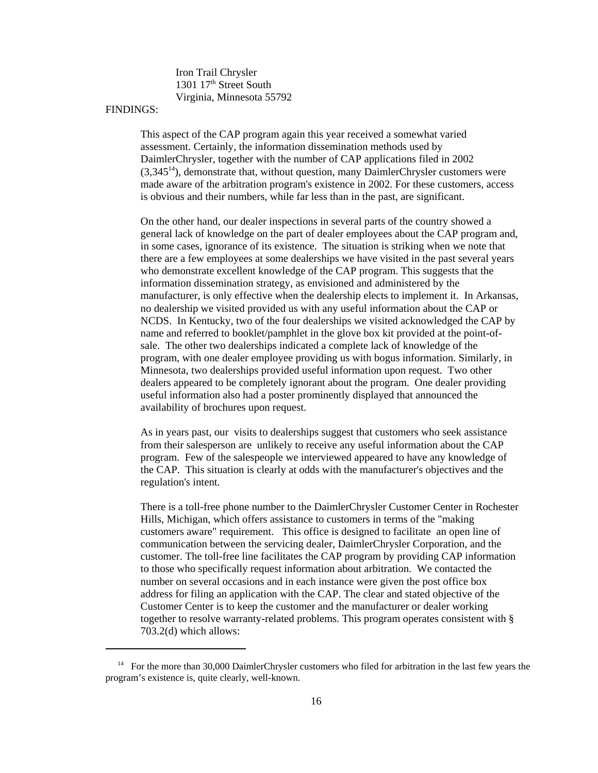Iron Trail Chrysler 1301 17<sup>th</sup> Street South Virginia, Minnesota 55792

# FINDINGS:

This aspect of the CAP program again this year received a somewhat varied assessment. Certainly, the information dissemination methods used by DaimlerChrysler, together with the number of CAP applications filed in 2002  $(3,345^{14})$ , demonstrate that, without question, many DaimlerChrysler customers were made aware of the arbitration program's existence in 2002. For these customers, access is obvious and their numbers, while far less than in the past, are significant.

On the other hand, our dealer inspections in several parts of the country showed a general lack of knowledge on the part of dealer employees about the CAP program and, in some cases, ignorance of its existence. The situation is striking when we note that there are a few employees at some dealerships we have visited in the past several years who demonstrate excellent knowledge of the CAP program. This suggests that the information dissemination strategy, as envisioned and administered by the manufacturer, is only effective when the dealership elects to implement it. In Arkansas, no dealership we visited provided us with any useful information about the CAP or NCDS. In Kentucky, two of the four dealerships we visited acknowledged the CAP by name and referred to booklet/pamphlet in the glove box kit provided at the point-ofsale. The other two dealerships indicated a complete lack of knowledge of the program, with one dealer employee providing us with bogus information. Similarly, in Minnesota, two dealerships provided useful information upon request. Two other dealers appeared to be completely ignorant about the program. One dealer providing useful information also had a poster prominently displayed that announced the availability of brochures upon request.

As in years past, our visits to dealerships suggest that customers who seek assistance from their salesperson are unlikely to receive any useful information about the CAP program. Few of the salespeople we interviewed appeared to have any knowledge of the CAP. This situation is clearly at odds with the manufacturer's objectives and the regulation's intent.

 There is a toll-free phone number to the DaimlerChrysler Customer Center in Rochester Hills, Michigan, which offers assistance to customers in terms of the "making customers aware" requirement. This office is designed to facilitate an open line of communication between the servicing dealer, DaimlerChrysler Corporation, and the customer. The toll-free line facilitates the CAP program by providing CAP information to those who specifically request information about arbitration. We contacted the number on several occasions and in each instance were given the post office box address for filing an application with the CAP. The clear and stated objective of the Customer Center is to keep the customer and the manufacturer or dealer working together to resolve warranty-related problems. This program operates consistent with § 703.2(d) which allows:

<sup>&</sup>lt;sup>14</sup> For the more than 30,000 DaimlerChrysler customers who filed for arbitration in the last few years the program's existence is, quite clearly, well-known.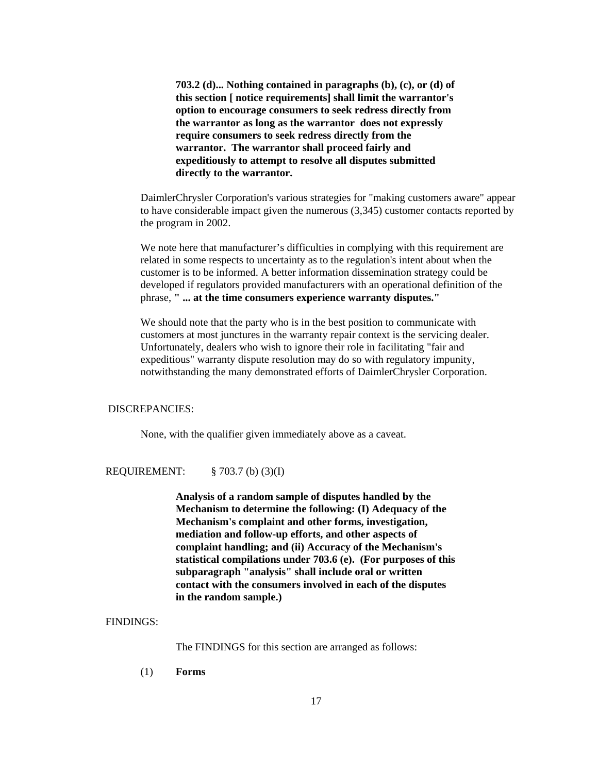**703.2 (d)... Nothing contained in paragraphs (b), (c), or (d) of this section [ notice requirements] shall limit the warrantor's option to encourage consumers to seek redress directly from the warrantor as long as the warrantor does not expressly require consumers to seek redress directly from the warrantor. The warrantor shall proceed fairly and expeditiously to attempt to resolve all disputes submitted directly to the warrantor.** 

DaimlerChrysler Corporation's various strategies for "making customers aware" appear to have considerable impact given the numerous (3,345) customer contacts reported by the program in 2002.

We note here that manufacturer's difficulties in complying with this requirement are related in some respects to uncertainty as to the regulation's intent about when the customer is to be informed. A better information dissemination strategy could be developed if regulators provided manufacturers with an operational definition of the phrase, **" ... at the time consumers experience warranty disputes."**

We should note that the party who is in the best position to communicate with customers at most junctures in the warranty repair context is the servicing dealer. Unfortunately, dealers who wish to ignore their role in facilitating "fair and expeditious" warranty dispute resolution may do so with regulatory impunity, notwithstanding the many demonstrated efforts of DaimlerChrysler Corporation.

# DISCREPANCIES:

None, with the qualifier given immediately above as a caveat.

## REQUIREMENT: § 703.7 (b) (3)(I)

**Analysis of a random sample of disputes handled by the Mechanism to determine the following: (I) Adequacy of the Mechanism's complaint and other forms, investigation, mediation and follow-up efforts, and other aspects of complaint handling; and (ii) Accuracy of the Mechanism's statistical compilations under 703.6 (e). (For purposes of this subparagraph "analysis" shall include oral or written contact with the consumers involved in each of the disputes in the random sample.)**

# FINDINGS:

The FINDINGS for this section are arranged as follows:

(1) **Forms**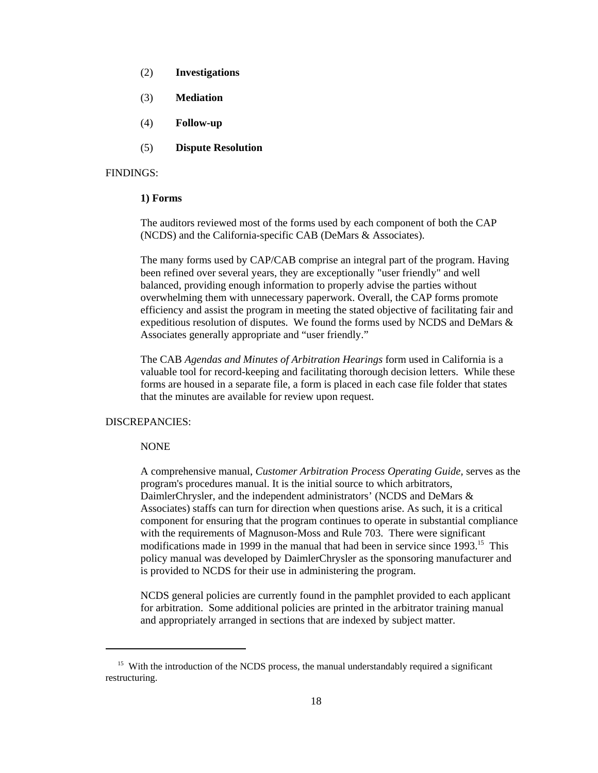- (2) **Investigations**
- (3) **Mediation**
- (4) **Follow-up**
- (5) **Dispute Resolution**

#### FINDINGS:

#### **1) Forms**

The auditors reviewed most of the forms used by each component of both the CAP (NCDS) and the California-specific CAB (DeMars & Associates).

The many forms used by CAP/CAB comprise an integral part of the program. Having been refined over several years, they are exceptionally "user friendly" and well balanced, providing enough information to properly advise the parties without overwhelming them with unnecessary paperwork. Overall, the CAP forms promote efficiency and assist the program in meeting the stated objective of facilitating fair and expeditious resolution of disputes. We found the forms used by NCDS and DeMars & Associates generally appropriate and "user friendly."

The CAB *Agendas and Minutes of Arbitration Hearings* form used in California is a valuable tool for record-keeping and facilitating thorough decision letters. While these forms are housed in a separate file, a form is placed in each case file folder that states that the minutes are available for review upon request.

# DISCREPANCIES:

# NONE

 A comprehensive manual, *Customer Arbitration Process Operating Guide,* serves as the program's procedures manual. It is the initial source to which arbitrators, DaimlerChrysler, and the independent administrators' (NCDS and DeMars & Associates) staffs can turn for direction when questions arise. As such, it is a critical component for ensuring that the program continues to operate in substantial compliance with the requirements of Magnuson-Moss and Rule 703. There were significant modifications made in 1999 in the manual that had been in service since  $1993$ <sup>15</sup>. This policy manual was developed by DaimlerChrysler as the sponsoring manufacturer and is provided to NCDS for their use in administering the program.

NCDS general policies are currently found in the pamphlet provided to each applicant for arbitration. Some additional policies are printed in the arbitrator training manual and appropriately arranged in sections that are indexed by subject matter.

<sup>&</sup>lt;sup>15</sup> With the introduction of the NCDS process, the manual understandably required a significant restructuring.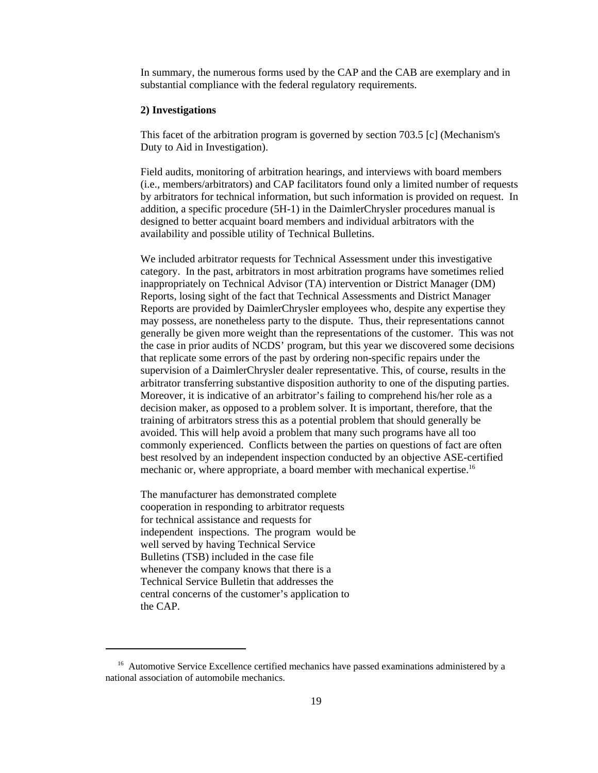In summary, the numerous forms used by the CAP and the CAB are exemplary and in substantial compliance with the federal regulatory requirements.

## **2) Investigations**

This facet of the arbitration program is governed by section 703.5 [c] (Mechanism's Duty to Aid in Investigation).

Field audits, monitoring of arbitration hearings, and interviews with board members (i.e., members/arbitrators) and CAP facilitators found only a limited number of requests by arbitrators for technical information, but such information is provided on request. In addition, a specific procedure (5H-1) in the DaimlerChrysler procedures manual is designed to better acquaint board members and individual arbitrators with the availability and possible utility of Technical Bulletins.

We included arbitrator requests for Technical Assessment under this investigative category. In the past, arbitrators in most arbitration programs have sometimes relied inappropriately on Technical Advisor (TA) intervention or District Manager (DM) Reports, losing sight of the fact that Technical Assessments and District Manager Reports are provided by DaimlerChrysler employees who, despite any expertise they may possess, are nonetheless party to the dispute. Thus, their representations cannot generally be given more weight than the representations of the customer. This was not the case in prior audits of NCDS' program, but this year we discovered some decisions that replicate some errors of the past by ordering non-specific repairs under the supervision of a DaimlerChrysler dealer representative. This, of course, results in the arbitrator transferring substantive disposition authority to one of the disputing parties. Moreover, it is indicative of an arbitrator's failing to comprehend his/her role as a decision maker, as opposed to a problem solver. It is important, therefore, that the training of arbitrators stress this as a potential problem that should generally be avoided. This will help avoid a problem that many such programs have all too commonly experienced. Conflicts between the parties on questions of fact are often best resolved by an independent inspection conducted by an objective ASE-certified mechanic or, where appropriate, a board member with mechanical expertise.<sup>16</sup>

The manufacturer has demonstrated complete cooperation in responding to arbitrator requests for technical assistance and requests for independent inspections. The program would be well served by having Technical Service Bulletins (TSB) included in the case file whenever the company knows that there is a Technical Service Bulletin that addresses the central concerns of the customer's application to the CAP.

<sup>&</sup>lt;sup>16</sup> Automotive Service Excellence certified mechanics have passed examinations administered by a national association of automobile mechanics.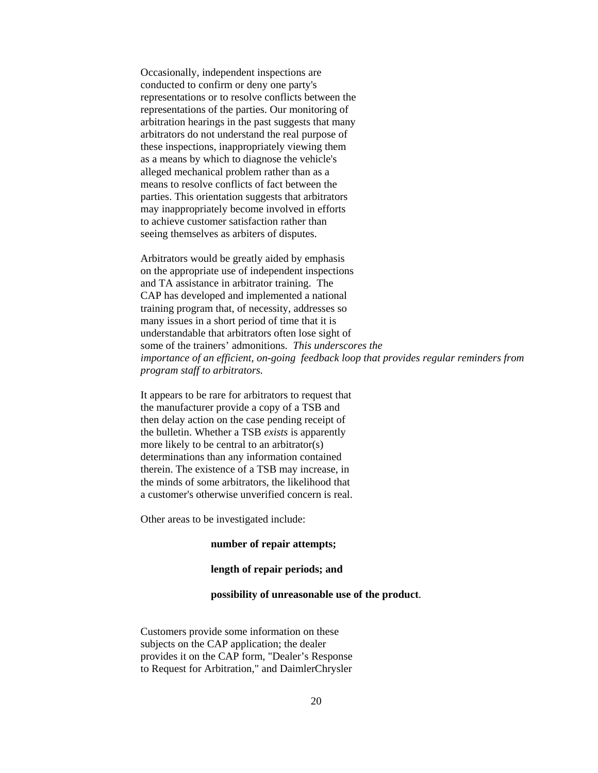Occasionally, independent inspections are conducted to confirm or deny one party's representations or to resolve conflicts between the representations of the parties. Our monitoring of arbitration hearings in the past suggests that many arbitrators do not understand the real purpose of these inspections, inappropriately viewing them as a means by which to diagnose the vehicle's alleged mechanical problem rather than as a means to resolve conflicts of fact between the parties. This orientation suggests that arbitrators may inappropriately become involved in efforts to achieve customer satisfaction rather than seeing themselves as arbiters of disputes.

Arbitrators would be greatly aided by emphasis on the appropriate use of independent inspections and TA assistance in arbitrator training. The CAP has developed and implemented a national training program that, of necessity, addresses so many issues in a short period of time that it is understandable that arbitrators often lose sight of some of the trainers' admonitions. *This underscores the importance of an efficient, on-going feedback loop that provides regular reminders from program staff to arbitrators.* 

It appears to be rare for arbitrators to request that the manufacturer provide a copy of a TSB and then delay action on the case pending receipt of the bulletin. Whether a TSB *exists* is apparently more likely to be central to an arbitrator(s) determinations than any information contained therein. The existence of a TSB may increase, in the minds of some arbitrators, the likelihood that a customer's otherwise unverified concern is real.

Other areas to be investigated include:

#### **number of repair attempts;**

## **length of repair periods; and**

#### **possibility of unreasonable use of the product**.

Customers provide some information on these subjects on the CAP application; the dealer provides it on the CAP form, "Dealer's Response to Request for Arbitration," and DaimlerChrysler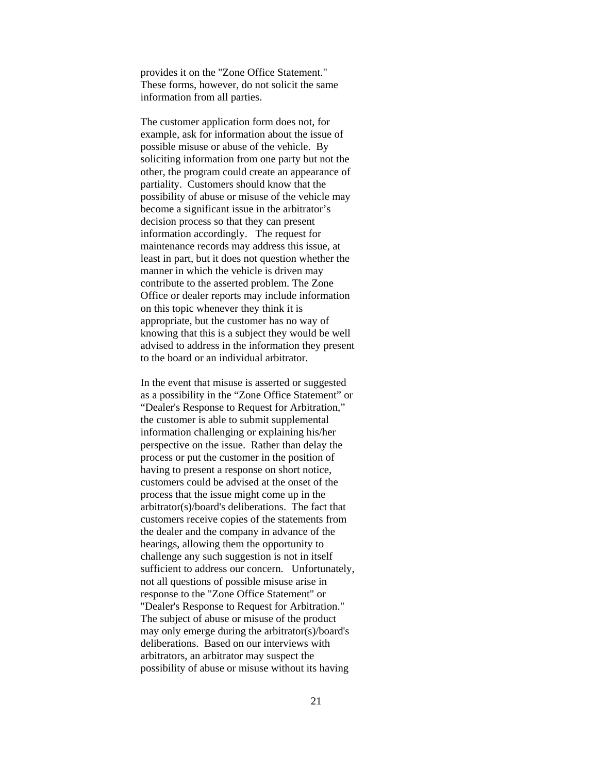provides it on the "Zone Office Statement." These forms, however, do not solicit the same information from all parties.

The customer application form does not, for example, ask for information about the issue of possible misuse or abuse of the vehicle. By soliciting information from one party but not the other, the program could create an appearance of partiality. Customers should know that the possibility of abuse or misuse of the vehicle may become a significant issue in the arbitrator's decision process so that they can present information accordingly. The request for maintenance records may address this issue, at least in part, but it does not question whether the manner in which the vehicle is driven may contribute to the asserted problem. The Zone Office or dealer reports may include information on this topic whenever they think it is appropriate, but the customer has no way of knowing that this is a subject they would be well advised to address in the information they present to the board or an individual arbitrator.

 In the event that misuse is asserted or suggested as a possibility in the "Zone Office Statement" or "Dealer's Response to Request for Arbitration," the customer is able to submit supplemental information challenging or explaining his/her perspective on the issue. Rather than delay the process or put the customer in the position of having to present a response on short notice, customers could be advised at the onset of the process that the issue might come up in the arbitrator(s)/board's deliberations. The fact that customers receive copies of the statements from the dealer and the company in advance of the hearings, allowing them the opportunity to challenge any such suggestion is not in itself sufficient to address our concern. Unfortunately, not all questions of possible misuse arise in response to the "Zone Office Statement" or "Dealer's Response to Request for Arbitration." The subject of abuse or misuse of the product may only emerge during the arbitrator(s)/board's deliberations. Based on our interviews with arbitrators, an arbitrator may suspect the possibility of abuse or misuse without its having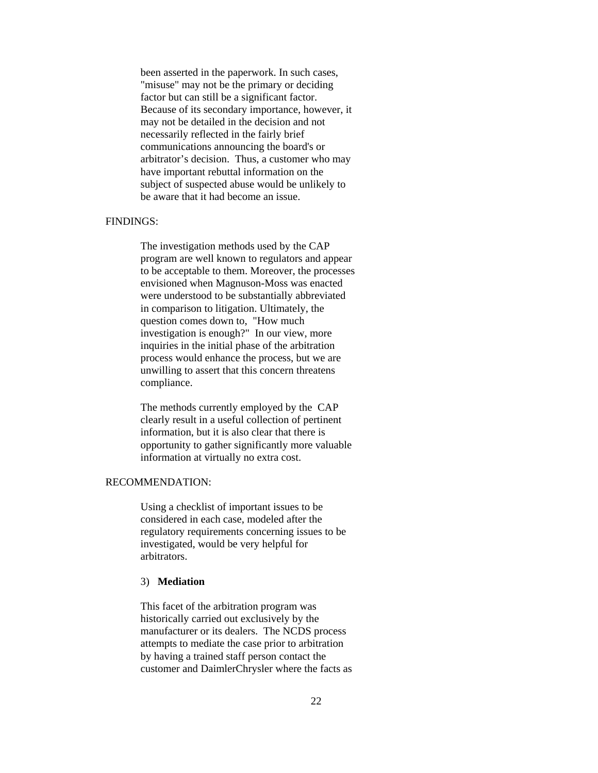been asserted in the paperwork. In such cases, "misuse" may not be the primary or deciding factor but can still be a significant factor. Because of its secondary importance, however, it may not be detailed in the decision and not necessarily reflected in the fairly brief communications announcing the board's or arbitrator's decision. Thus, a customer who may have important rebuttal information on the subject of suspected abuse would be unlikely to be aware that it had become an issue.

# FINDINGS:

The investigation methods used by the CAP program are well known to regulators and appear to be acceptable to them. Moreover, the processes envisioned when Magnuson-Moss was enacted were understood to be substantially abbreviated in comparison to litigation. Ultimately, the question comes down to, "How much investigation is enough?" In our view, more inquiries in the initial phase of the arbitration process would enhance the process, but we are unwilling to assert that this concern threatens compliance.

The methods currently employed by the CAP clearly result in a useful collection of pertinent information, but it is also clear that there is opportunity to gather significantly more valuable information at virtually no extra cost.

## RECOMMENDATION:

Using a checklist of important issues to be considered in each case, modeled after the regulatory requirements concerning issues to be investigated, would be very helpful for arbitrators.

## 3) **Mediation**

This facet of the arbitration program was historically carried out exclusively by the manufacturer or its dealers. The NCDS process attempts to mediate the case prior to arbitration by having a trained staff person contact the customer and DaimlerChrysler where the facts as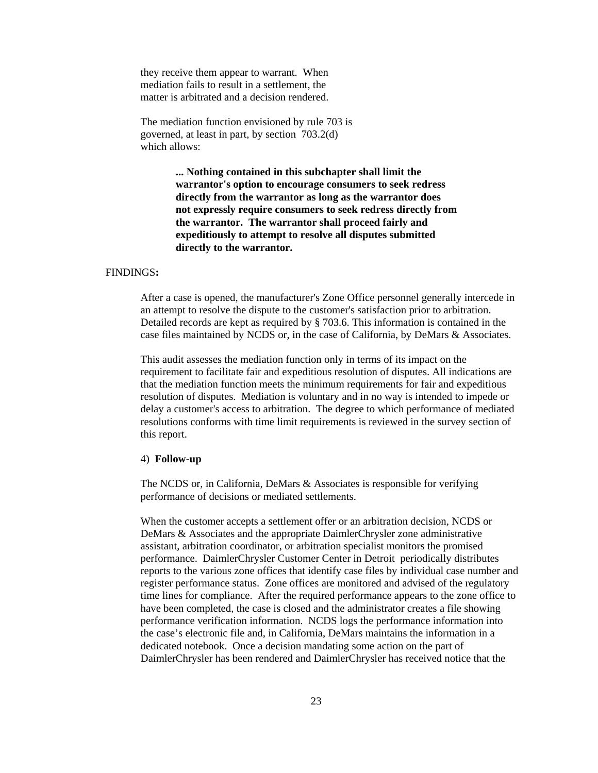they receive them appear to warrant. When mediation fails to result in a settlement, the matter is arbitrated and a decision rendered.

The mediation function envisioned by rule 703 is governed, at least in part, by section 703.2(d) which allows:

> **... Nothing contained in this subchapter shall limit the warrantor's option to encourage consumers to seek redress directly from the warrantor as long as the warrantor does not expressly require consumers to seek redress directly from the warrantor. The warrantor shall proceed fairly and expeditiously to attempt to resolve all disputes submitted directly to the warrantor.**

#### FINDINGS**:**

After a case is opened, the manufacturer's Zone Office personnel generally intercede in an attempt to resolve the dispute to the customer's satisfaction prior to arbitration. Detailed records are kept as required by § 703.6. This information is contained in the case files maintained by NCDS or, in the case of California, by DeMars & Associates.

This audit assesses the mediation function only in terms of its impact on the requirement to facilitate fair and expeditious resolution of disputes. All indications are that the mediation function meets the minimum requirements for fair and expeditious resolution of disputes. Mediation is voluntary and in no way is intended to impede or delay a customer's access to arbitration. The degree to which performance of mediated resolutions conforms with time limit requirements is reviewed in the survey section of this report.

#### 4) **Follow-up**

The NCDS or, in California, DeMars & Associates is responsible for verifying performance of decisions or mediated settlements.

When the customer accepts a settlement offer or an arbitration decision, NCDS or DeMars & Associates and the appropriate DaimlerChrysler zone administrative assistant, arbitration coordinator, or arbitration specialist monitors the promised performance. DaimlerChrysler Customer Center in Detroit periodically distributes reports to the various zone offices that identify case files by individual case number and register performance status. Zone offices are monitored and advised of the regulatory time lines for compliance. After the required performance appears to the zone office to have been completed, the case is closed and the administrator creates a file showing performance verification information. NCDS logs the performance information into the case's electronic file and, in California, DeMars maintains the information in a dedicated notebook. Once a decision mandating some action on the part of DaimlerChrysler has been rendered and DaimlerChrysler has received notice that the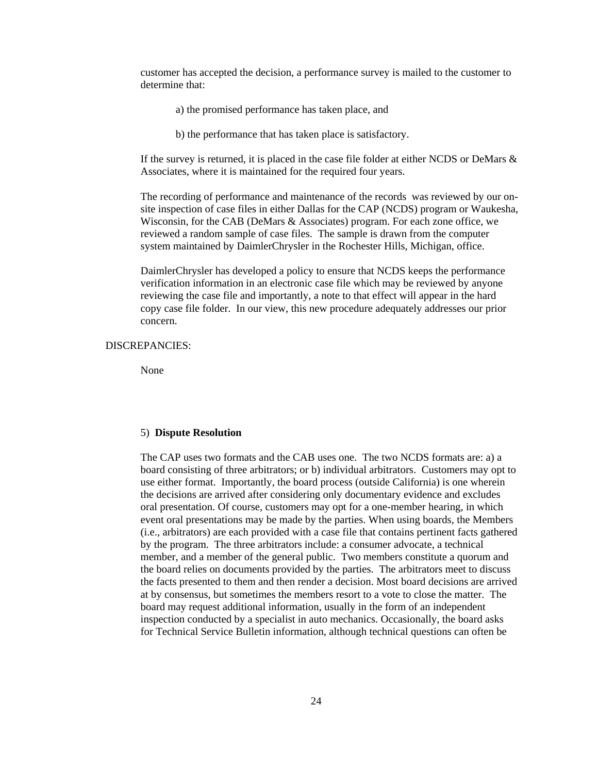customer has accepted the decision, a performance survey is mailed to the customer to determine that:

- a) the promised performance has taken place, and
- b) the performance that has taken place is satisfactory.

If the survey is returned, it is placed in the case file folder at either NCDS or DeMars & Associates, where it is maintained for the required four years.

The recording of performance and maintenance of the records was reviewed by our onsite inspection of case files in either Dallas for the CAP (NCDS) program or Waukesha, Wisconsin, for the CAB (DeMars & Associates) program. For each zone office, we reviewed a random sample of case files. The sample is drawn from the computer system maintained by DaimlerChrysler in the Rochester Hills, Michigan, office.

DaimlerChrysler has developed a policy to ensure that NCDS keeps the performance verification information in an electronic case file which may be reviewed by anyone reviewing the case file and importantly, a note to that effect will appear in the hard copy case file folder. In our view, this new procedure adequately addresses our prior concern.

## DISCREPANCIES:

None

#### 5) **Dispute Resolution**

The CAP uses two formats and the CAB uses one. The two NCDS formats are: a) a board consisting of three arbitrators; or b) individual arbitrators. Customers may opt to use either format. Importantly, the board process (outside California) is one wherein the decisions are arrived after considering only documentary evidence and excludes oral presentation. Of course, customers may opt for a one-member hearing, in which event oral presentations may be made by the parties. When using boards, the Members (i.e., arbitrators) are each provided with a case file that contains pertinent facts gathered by the program. The three arbitrators include: a consumer advocate, a technical member, and a member of the general public. Two members constitute a quorum and the board relies on documents provided by the parties.The arbitrators meet to discuss the facts presented to them and then render a decision. Most board decisions are arrived at by consensus, but sometimes the members resort to a vote to close the matter. The board may request additional information, usually in the form of an independent inspection conducted by a specialist in auto mechanics. Occasionally, the board asks for Technical Service Bulletin information, although technical questions can often be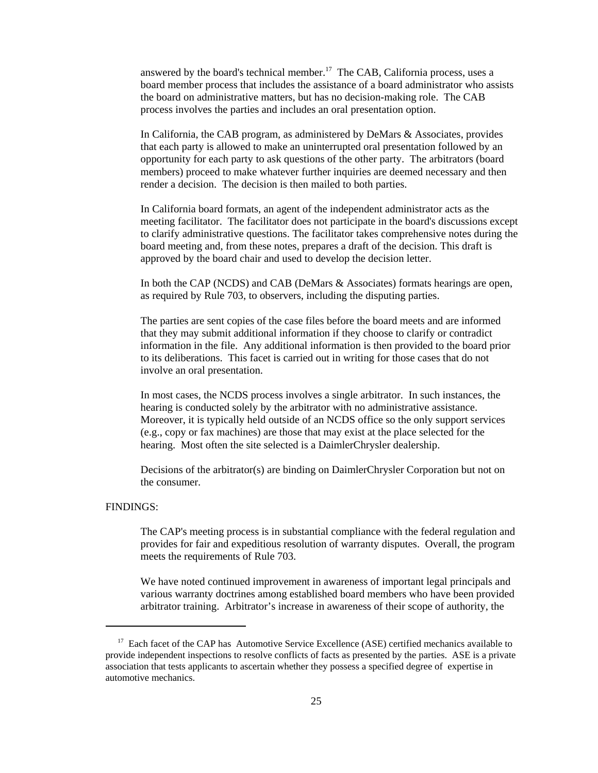answered by the board's technical member.<sup>17</sup> The CAB, California process, uses a board member process that includes the assistance of a board administrator who assists the board on administrative matters, but has no decision-making role. The CAB process involves the parties and includes an oral presentation option.

In California, the CAB program, as administered by DeMars & Associates, provides that each party is allowed to make an uninterrupted oral presentation followed by an opportunity for each party to ask questions of the other party. The arbitrators (board members) proceed to make whatever further inquiries are deemed necessary and then render a decision. The decision is then mailed to both parties.

In California board formats, an agent of the independent administrator acts as the meeting facilitator. The facilitator does not participate in the board's discussions except to clarify administrative questions. The facilitator takes comprehensive notes during the board meeting and, from these notes, prepares a draft of the decision. This draft is approved by the board chair and used to develop the decision letter.

In both the CAP (NCDS) and CAB (DeMars & Associates) formats hearings are open, as required by Rule 703, to observers, including the disputing parties.

The parties are sent copies of the case files before the board meets and are informed that they may submit additional information if they choose to clarify or contradict information in the file. Any additional information is then provided to the board prior to its deliberations. This facet is carried out in writing for those cases that do not involve an oral presentation.

In most cases, the NCDS process involves a single arbitrator. In such instances, the hearing is conducted solely by the arbitrator with no administrative assistance. Moreover, it is typically held outside of an NCDS office so the only support services (e.g., copy or fax machines) are those that may exist at the place selected for the hearing. Most often the site selected is a DaimlerChrysler dealership.

Decisions of the arbitrator(s) are binding on DaimlerChrysler Corporation but not on the consumer.

# FINDINGS:

The CAP's meeting process is in substantial compliance with the federal regulation and provides for fair and expeditious resolution of warranty disputes. Overall, the program meets the requirements of Rule 703.

We have noted continued improvement in awareness of important legal principals and various warranty doctrines among established board members who have been provided arbitrator training. Arbitrator's increase in awareness of their scope of authority, the

<sup>&</sup>lt;sup>17</sup> Each facet of the CAP has Automotive Service Excellence (ASE) certified mechanics available to provide independent inspections to resolve conflicts of facts as presented by the parties. ASE is a private association that tests applicants to ascertain whether they possess a specified degree of expertise in automotive mechanics.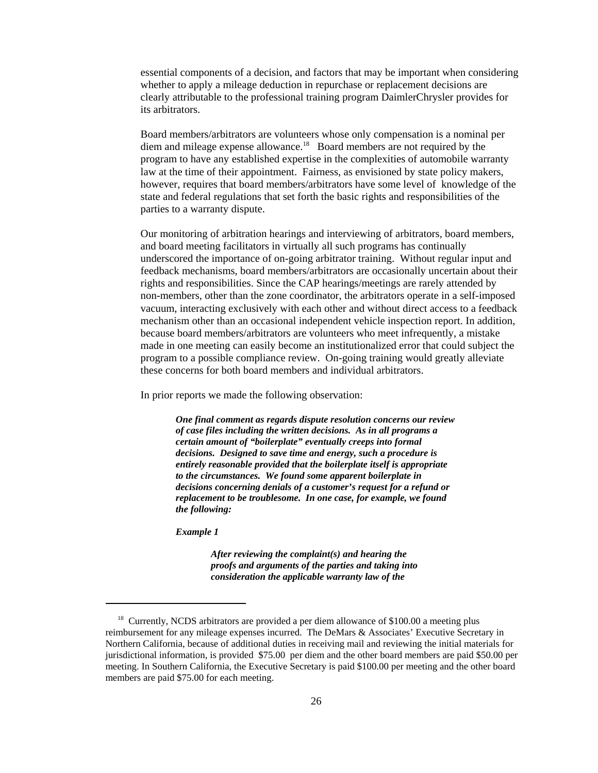essential components of a decision, and factors that may be important when considering whether to apply a mileage deduction in repurchase or replacement decisions are clearly attributable to the professional training program DaimlerChrysler provides for its arbitrators.

Board members/arbitrators are volunteers whose only compensation is a nominal per diem and mileage expense allowance.18 Board members are not required by the program to have any established expertise in the complexities of automobile warranty law at the time of their appointment. Fairness, as envisioned by state policy makers, however, requires that board members/arbitrators have some level of knowledge of the state and federal regulations that set forth the basic rights and responsibilities of the parties to a warranty dispute.

Our monitoring of arbitration hearings and interviewing of arbitrators, board members, and board meeting facilitators in virtually all such programs has continually underscored the importance of on-going arbitrator training. Without regular input and feedback mechanisms, board members/arbitrators are occasionally uncertain about their rights and responsibilities. Since the CAP hearings/meetings are rarely attended by non-members, other than the zone coordinator, the arbitrators operate in a self-imposed vacuum, interacting exclusively with each other and without direct access to a feedback mechanism other than an occasional independent vehicle inspection report. In addition, because board members/arbitrators are volunteers who meet infrequently, a mistake made in one meeting can easily become an institutionalized error that could subject the program to a possible compliance review. On-going training would greatly alleviate these concerns for both board members and individual arbitrators.

In prior reports we made the following observation:

*One final comment as regards dispute resolution concerns our review of case files including the written decisions. As in all programs a certain amount of "boilerplate" eventually creeps into formal decisions. Designed to save time and energy, such a procedure is entirely reasonable provided that the boilerplate itself is appropriate to the circumstances. We found some apparent boilerplate in decisions concerning denials of a customer's request for a refund or replacement to be troublesome. In one case, for example, we found the following:*

*Example 1*

*After reviewing the complaint(s) and hearing the proofs and arguments of the parties and taking into consideration the applicable warranty law of the*

<sup>&</sup>lt;sup>18</sup> Currently, NCDS arbitrators are provided a per diem allowance of \$100.00 a meeting plus reimbursement for any mileage expenses incurred. The DeMars & Associates' Executive Secretary in Northern California, because of additional duties in receiving mail and reviewing the initial materials for jurisdictional information, is provided \$75.00 per diem and the other board members are paid \$50.00 per meeting. In Southern California, the Executive Secretary is paid \$100.00 per meeting and the other board members are paid \$75.00 for each meeting.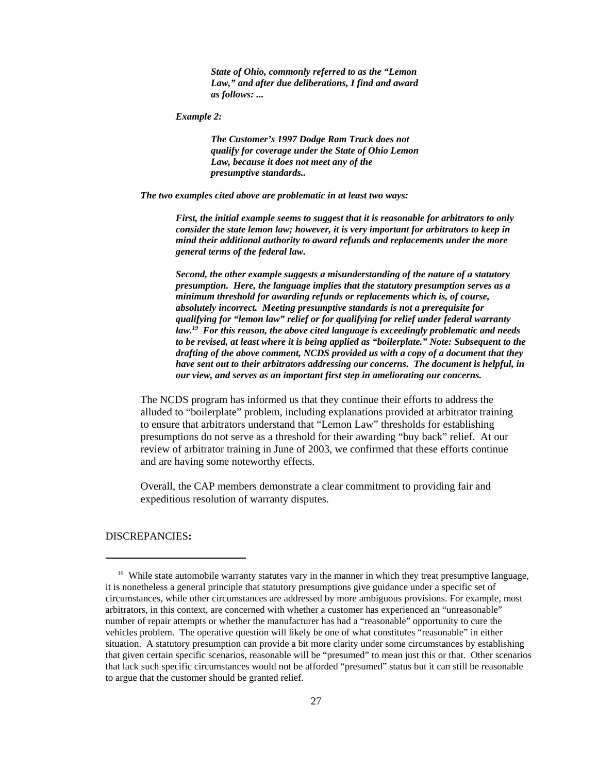*State of Ohio, commonly referred to as the "Lemon Law," and after due deliberations, I find and award as follows: ...*

*Example 2:*

*The Customer's 1997 Dodge Ram Truck does not qualify for coverage under the State of Ohio Lemon Law, because it does not meet any of the presumptive standards..*

*The two examples cited above are problematic in at least two ways:*

*First, the initial example seems to suggest that it is reasonable for arbitrators to only consider the state lemon law; however, it is very important for arbitrators to keep in mind their additional authority to award refunds and replacements under the more general terms of the federal law.* 

*Second, the other example suggests a misunderstanding of the nature of a statutory presumption. Here, the language implies that the statutory presumption serves as a minimum threshold for awarding refunds or replacements which is, of course, absolutely incorrect. Meeting presumptive standards is not a prerequisite for qualifying for "lemon law" relief or for qualifying for relief under federal warranty law.19 For this reason, the above cited language is exceedingly problematic and needs to be revised, at least where it is being applied as "boilerplate." Note: Subsequent to the drafting of the above comment, NCDS provided us with a copy of a document that they have sent out to their arbitrators addressing our concerns. The document is helpful, in our view, and serves as an important first step in ameliorating our concerns.*

The NCDS program has informed us that they continue their efforts to address the alluded to "boilerplate" problem, including explanations provided at arbitrator training to ensure that arbitrators understand that "Lemon Law" thresholds for establishing presumptions do not serve as a threshold for their awarding "buy back" relief. At our review of arbitrator training in June of 2003, we confirmed that these efforts continue and are having some noteworthy effects.

Overall, the CAP members demonstrate a clear commitment to providing fair and expeditious resolution of warranty disputes.

DISCREPANCIES**:** 

<sup>&</sup>lt;sup>19</sup> While state automobile warranty statutes vary in the manner in which they treat presumptive language, it is nonetheless a general principle that statutory presumptions give guidance under a specific set of circumstances, while other circumstances are addressed by more ambiguous provisions. For example, most arbitrators, in this context, are concerned with whether a customer has experienced an "unreasonable" number of repair attempts or whether the manufacturer has had a "reasonable" opportunity to cure the vehicles problem. The operative question will likely be one of what constitutes "reasonable" in either situation. A statutory presumption can provide a bit more clarity under some circumstances by establishing that given certain specific scenarios, reasonable will be "presumed" to mean just this or that. Other scenarios that lack such specific circumstances would not be afforded "presumed" status but it can still be reasonable to argue that the customer should be granted relief.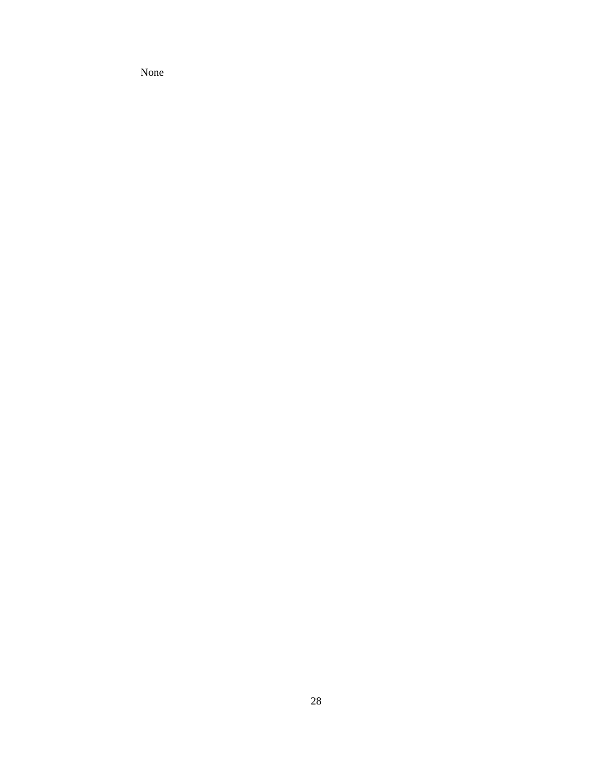None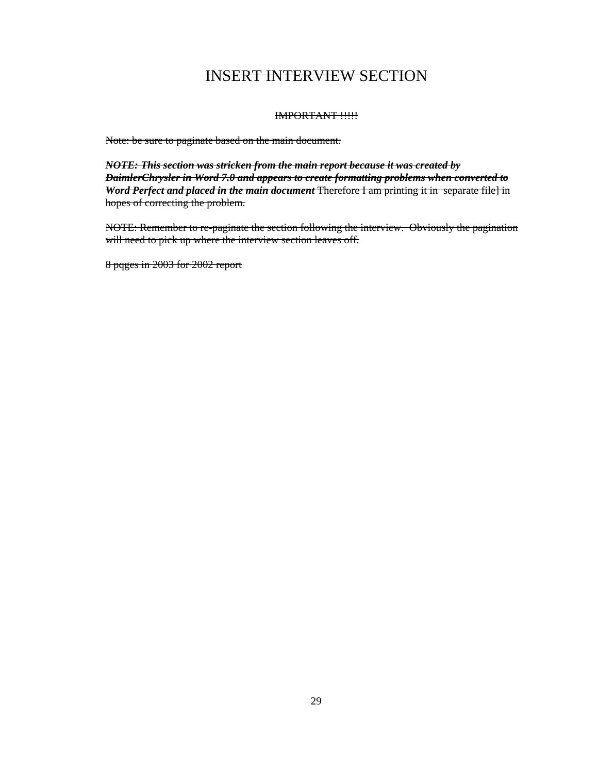# INSERT INTERVIEW SECTION

# IMPORTANT !!!!!

Note: be sure to paginate based on the main document.

*NOTE: This section was stricken from the main report because it was created by DaimlerChrysler in Word 7.0 and appears to create formatting problems when converted to Word Perfect and placed in the main document* Therefore I am printing it in separate file] in hopes of correcting the problem.

NOTE: Remember to re-paginate the section following the interview. Obviously the pagination will need to pick up where the interview section leaves off.

8 pqges in 2003 for 2002 report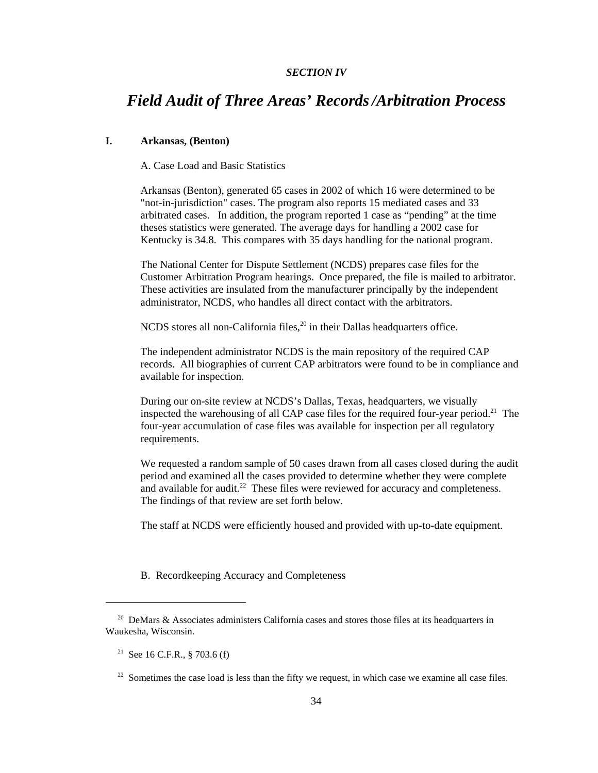# *SECTION IV*

# *Field Audit of Three Areas' Records/Arbitration Process*

# **I. Arkansas, (Benton)**

A. Case Load and Basic Statistics

Arkansas (Benton), generated 65 cases in 2002 of which 16 were determined to be "not-in-jurisdiction" cases. The program also reports 15 mediated cases and 33 arbitrated cases. In addition, the program reported 1 case as "pending" at the time theses statistics were generated. The average days for handling a 2002 case for Kentucky is 34.8. This compares with 35 days handling for the national program.

The National Center for Dispute Settlement (NCDS) prepares case files for the Customer Arbitration Program hearings. Once prepared, the file is mailed to arbitrator. These activities are insulated from the manufacturer principally by the independent administrator, NCDS, who handles all direct contact with the arbitrators.

NCDS stores all non-California files, $^{20}$  in their Dallas headquarters office.

The independent administrator NCDS is the main repository of the required CAP records. All biographies of current CAP arbitrators were found to be in compliance and available for inspection.

During our on-site review at NCDS's Dallas, Texas, headquarters, we visually inspected the warehousing of all CAP case files for the required four-year period.<sup>21</sup> The four-year accumulation of case files was available for inspection per all regulatory requirements.

We requested a random sample of 50 cases drawn from all cases closed during the audit period and examined all the cases provided to determine whether they were complete and available for audit. $^{22}$  These files were reviewed for accuracy and completeness. The findings of that review are set forth below.

The staff at NCDS were efficiently housed and provided with up-to-date equipment.

B. Recordkeeping Accuracy and Completeness

<sup>&</sup>lt;sup>20</sup> DeMars & Associates administers California cases and stores those files at its headquarters in Waukesha, Wisconsin.

<sup>&</sup>lt;sup>21</sup> See 16 C.F.R., § 703.6 (f)

 $22$  Sometimes the case load is less than the fifty we request, in which case we examine all case files.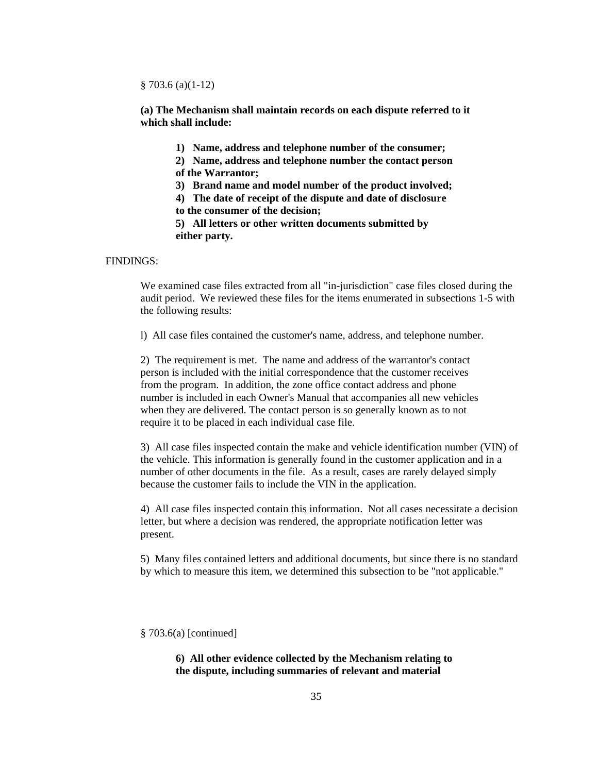§ 703.6 (a)(1-12)

**(a) The Mechanism shall maintain records on each dispute referred to it which shall include:**

**1) Name, address and telephone number of the consumer;**

**2) Name, address and telephone number the contact person of the Warrantor;**

**3) Brand name and model number of the product involved;**

**4) The date of receipt of the dispute and date of disclosure**

**to the consumer of the decision;**

**5) All letters or other written documents submitted by either party.**

#### FINDINGS:

We examined case files extracted from all "in-jurisdiction" case files closed during the audit period. We reviewed these files for the items enumerated in subsections 1-5 with the following results:

l) All case files contained the customer's name, address, and telephone number.

2) The requirement is met. The name and address of the warrantor's contact person is included with the initial correspondence that the customer receives from the program. In addition, the zone office contact address and phone number is included in each Owner's Manual that accompanies all new vehicles when they are delivered. The contact person is so generally known as to not require it to be placed in each individual case file.

3) All case files inspected contain the make and vehicle identification number (VIN) of the vehicle. This information is generally found in the customer application and in a number of other documents in the file. As a result, cases are rarely delayed simply because the customer fails to include the VIN in the application.

4) All case files inspected contain this information. Not all cases necessitate a decision letter, but where a decision was rendered, the appropriate notification letter was present.

5) Many files contained letters and additional documents, but since there is no standard by which to measure this item, we determined this subsection to be "not applicable."

§ 703.6(a) [continued]

**6) All other evidence collected by the Mechanism relating to the dispute, including summaries of relevant and material**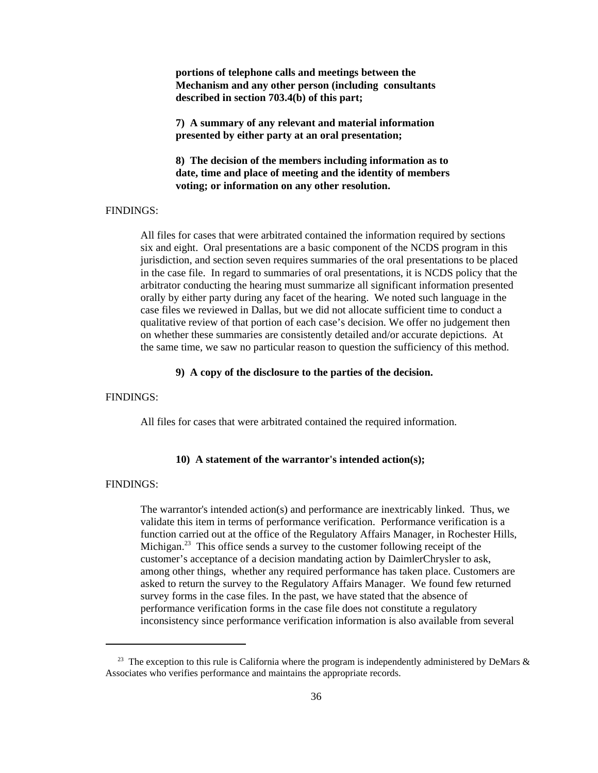**portions of telephone calls and meetings between the Mechanism and any other person (including consultants described in section 703.4(b) of this part;**

**7) A summary of any relevant and material information presented by either party at an oral presentation;**

**8) The decision of the members including information as to date, time and place of meeting and the identity of members voting; or information on any other resolution.**

# FINDINGS:

All files for cases that were arbitrated contained the information required by sections six and eight. Oral presentations are a basic component of the NCDS program in this jurisdiction, and section seven requires summaries of the oral presentations to be placed in the case file. In regard to summaries of oral presentations, it is NCDS policy that the arbitrator conducting the hearing must summarize all significant information presented orally by either party during any facet of the hearing. We noted such language in the case files we reviewed in Dallas, but we did not allocate sufficient time to conduct a qualitative review of that portion of each case's decision. We offer no judgement then on whether these summaries are consistently detailed and/or accurate depictions. At the same time, we saw no particular reason to question the sufficiency of this method.

# **9) A copy of the disclosure to the parties of the decision.**

# FINDINGS:

All files for cases that were arbitrated contained the required information.

## **10) A statement of the warrantor's intended action(s);**

#### FINDINGS:

The warrantor's intended action(s) and performance are inextricably linked. Thus, we validate this item in terms of performance verification. Performance verification is a function carried out at the office of the Regulatory Affairs Manager, in Rochester Hills, Michigan.<sup>23</sup> This office sends a survey to the customer following receipt of the customer's acceptance of a decision mandating action by DaimlerChrysler to ask, among other things, whether any required performance has taken place. Customers are asked to return the survey to the Regulatory Affairs Manager. We found few returned survey forms in the case files. In the past, we have stated that the absence of performance verification forms in the case file does not constitute a regulatory inconsistency since performance verification information is also available from several

<sup>&</sup>lt;sup>23</sup> The exception to this rule is California where the program is independently administered by DeMars  $\&$ Associates who verifies performance and maintains the appropriate records.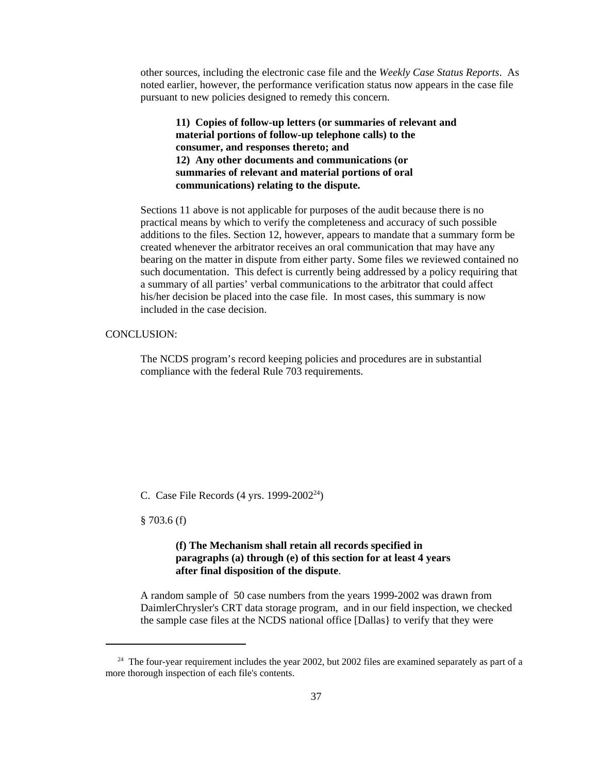other sources, including the electronic case file and the *Weekly Case Status Reports*. As noted earlier, however, the performance verification status now appears in the case file pursuant to new policies designed to remedy this concern.

**11) Copies of follow-up letters (or summaries of relevant and material portions of follow-up telephone calls) to the consumer, and responses thereto; and 12) Any other documents and communications (or summaries of relevant and material portions of oral communications) relating to the dispute.**

Sections 11 above is not applicable for purposes of the audit because there is no practical means by which to verify the completeness and accuracy of such possible additions to the files. Section 12, however, appears to mandate that a summary form be created whenever the arbitrator receives an oral communication that may have any bearing on the matter in dispute from either party. Some files we reviewed contained no such documentation. This defect is currently being addressed by a policy requiring that a summary of all parties' verbal communications to the arbitrator that could affect his/her decision be placed into the case file. In most cases, this summary is now included in the case decision.

# CONCLUSION:

The NCDS program's record keeping policies and procedures are in substantial compliance with the federal Rule 703 requirements.

C. Case File Records (4 yrs. 1999-2002<sup>24</sup>)

§ 703.6 (f)

# **(f) The Mechanism shall retain all records specified in paragraphs (a) through (e) of this section for at least 4 years after final disposition of the dispute**.

A random sample of 50 case numbers from the years 1999-2002 was drawn from DaimlerChrysler's CRT data storage program, and in our field inspection, we checked the sample case files at the NCDS national office [Dallas} to verify that they were

 $24$  The four-year requirement includes the year 2002, but 2002 files are examined separately as part of a more thorough inspection of each file's contents.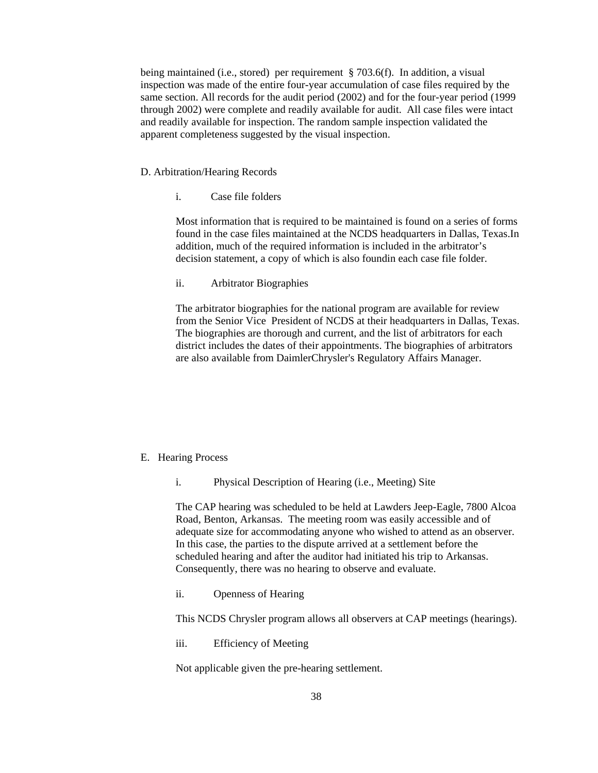being maintained (i.e., stored) per requirement § 703.6(f). In addition, a visual inspection was made of the entire four-year accumulation of case files required by the same section. All records for the audit period (2002) and for the four-year period (1999 through 2002) were complete and readily available for audit. All case files were intact and readily available for inspection. The random sample inspection validated the apparent completeness suggested by the visual inspection.

## D. Arbitration/Hearing Records

i. Case file folders

Most information that is required to be maintained is found on a series of forms found in the case files maintained at the NCDS headquarters in Dallas, Texas.In addition, much of the required information is included in the arbitrator's decision statement, a copy of which is also foundin each case file folder.

ii. Arbitrator Biographies

The arbitrator biographies for the national program are available for review from the Senior Vice President of NCDS at their headquarters in Dallas, Texas. The biographies are thorough and current, and the list of arbitrators for each district includes the dates of their appointments. The biographies of arbitrators are also available from DaimlerChrysler's Regulatory Affairs Manager.

### E. Hearing Process

i. Physical Description of Hearing (i.e., Meeting) Site

The CAP hearing was scheduled to be held at Lawders Jeep-Eagle, 7800 Alcoa Road, Benton, Arkansas. The meeting room was easily accessible and of adequate size for accommodating anyone who wished to attend as an observer. In this case, the parties to the dispute arrived at a settlement before the scheduled hearing and after the auditor had initiated his trip to Arkansas. Consequently, there was no hearing to observe and evaluate.

ii. Openness of Hearing

This NCDS Chrysler program allows all observers at CAP meetings (hearings).

iii. Efficiency of Meeting

Not applicable given the pre-hearing settlement.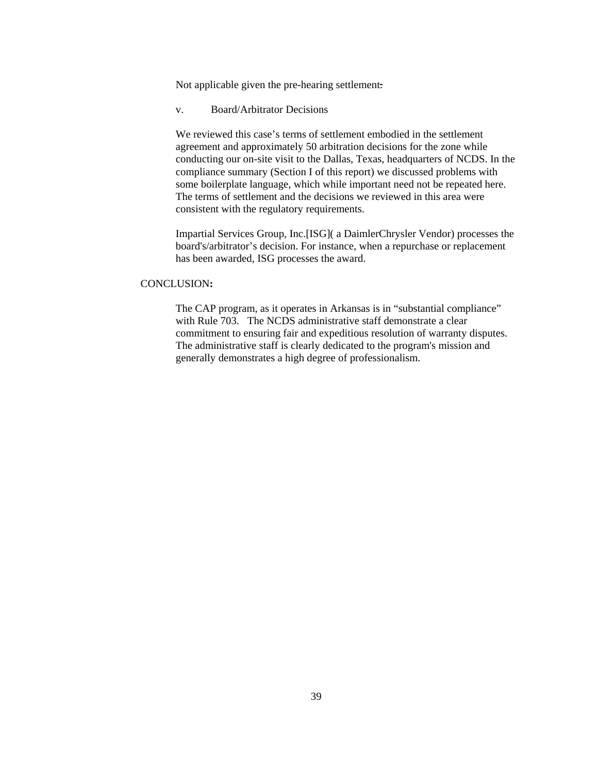Not applicable given the pre-hearing settlement.

v. Board/Arbitrator Decisions

We reviewed this case's terms of settlement embodied in the settlement agreement and approximately 50 arbitration decisions for the zone while conducting our on-site visit to the Dallas, Texas, headquarters of NCDS. In the compliance summary (Section I of this report) we discussed problems with some boilerplate language, which while important need not be repeated here. The terms of settlement and the decisions we reviewed in this area were consistent with the regulatory requirements.

Impartial Services Group, Inc.[ISG]( a DaimlerChrysler Vendor) processes the board's/arbitrator's decision. For instance, when a repurchase or replacement has been awarded, ISG processes the award.

#### CONCLUSION**:**

The CAP program, as it operates in Arkansas is in "substantial compliance" with Rule 703. The NCDS administrative staff demonstrate a clear commitment to ensuring fair and expeditious resolution of warranty disputes. The administrative staff is clearly dedicated to the program's mission and generally demonstrates a high degree of professionalism.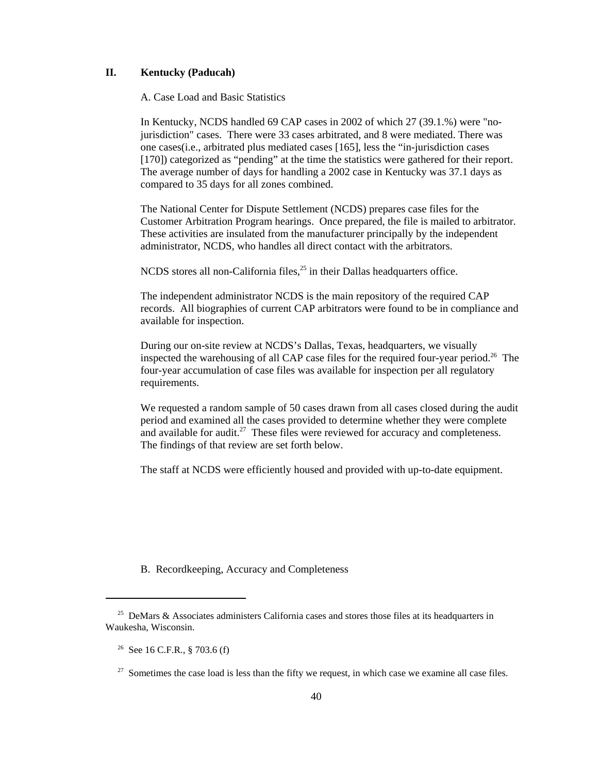# **II. Kentucky (Paducah)**

A. Case Load and Basic Statistics

In Kentucky, NCDS handled 69 CAP cases in 2002 of which 27 (39.1.%) were "nojurisdiction" cases. There were 33 cases arbitrated, and 8 were mediated. There was one cases(i.e., arbitrated plus mediated cases [165], less the "in-jurisdiction cases [170]) categorized as "pending" at the time the statistics were gathered for their report. The average number of days for handling a 2002 case in Kentucky was 37.1 days as compared to 35 days for all zones combined.

The National Center for Dispute Settlement (NCDS) prepares case files for the Customer Arbitration Program hearings. Once prepared, the file is mailed to arbitrator. These activities are insulated from the manufacturer principally by the independent administrator, NCDS, who handles all direct contact with the arbitrators.

NCDS stores all non-California files,<sup>25</sup> in their Dallas headquarters office.

The independent administrator NCDS is the main repository of the required CAP records. All biographies of current CAP arbitrators were found to be in compliance and available for inspection.

During our on-site review at NCDS's Dallas, Texas, headquarters, we visually inspected the warehousing of all CAP case files for the required four-year period.<sup>26</sup> The four-year accumulation of case files was available for inspection per all regulatory requirements.

We requested a random sample of 50 cases drawn from all cases closed during the audit period and examined all the cases provided to determine whether they were complete and available for audit. $27$  These files were reviewed for accuracy and completeness. The findings of that review are set forth below.

The staff at NCDS were efficiently housed and provided with up-to-date equipment.

B. Recordkeeping, Accuracy and Completeness

<sup>&</sup>lt;sup>25</sup> DeMars & Associates administers California cases and stores those files at its headquarters in Waukesha, Wisconsin.

 <sup>26</sup> See 16 C.F.R., § 703.6 (f)

 $27$  Sometimes the case load is less than the fifty we request, in which case we examine all case files.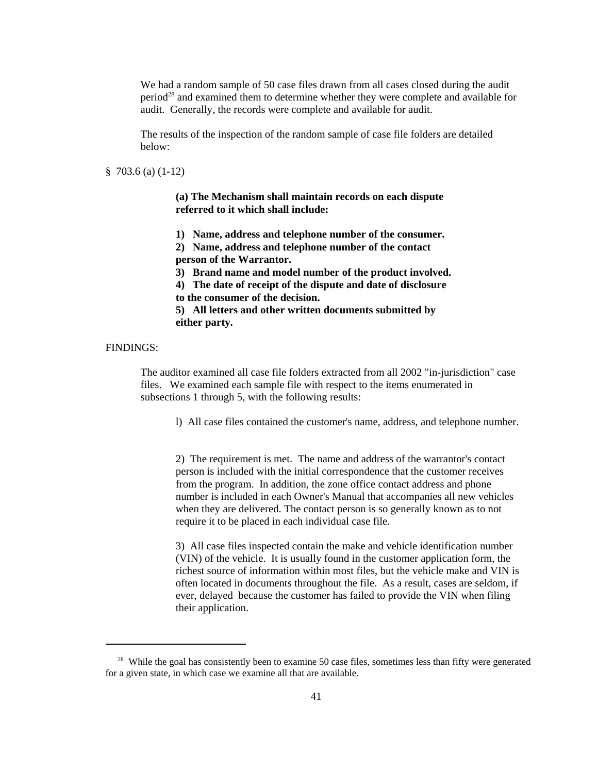We had a random sample of 50 case files drawn from all cases closed during the audit period<sup>28</sup> and examined them to determine whether they were complete and available for audit. Generally, the records were complete and available for audit.

The results of the inspection of the random sample of case file folders are detailed below:

§ 703.6 (a) (1-12)

**(a) The Mechanism shall maintain records on each dispute referred to it which shall include:**

**1) Name, address and telephone number of the consumer.**

**2) Name, address and telephone number of the contact person of the Warrantor.**

**3) Brand name and model number of the product involved.**

**4) The date of receipt of the dispute and date of disclosure to the consumer of the decision.**

**5) All letters and other written documents submitted by either party.**

### FINDINGS:

The auditor examined all case file folders extracted from all 2002 "in-jurisdiction" case files. We examined each sample file with respect to the items enumerated in subsections 1 through 5, with the following results:

l) All case files contained the customer's name, address, and telephone number.

2) The requirement is met. The name and address of the warrantor's contact person is included with the initial correspondence that the customer receives from the program. In addition, the zone office contact address and phone number is included in each Owner's Manual that accompanies all new vehicles when they are delivered. The contact person is so generally known as to not require it to be placed in each individual case file.

3) All case files inspected contain the make and vehicle identification number (VIN) of the vehicle. It is usually found in the customer application form, the richest source of information within most files, but the vehicle make and VIN is often located in documents throughout the file. As a result, cases are seldom, if ever, delayed because the customer has failed to provide the VIN when filing their application.

<sup>&</sup>lt;sup>28</sup> While the goal has consistently been to examine 50 case files, sometimes less than fifty were generated for a given state, in which case we examine all that are available.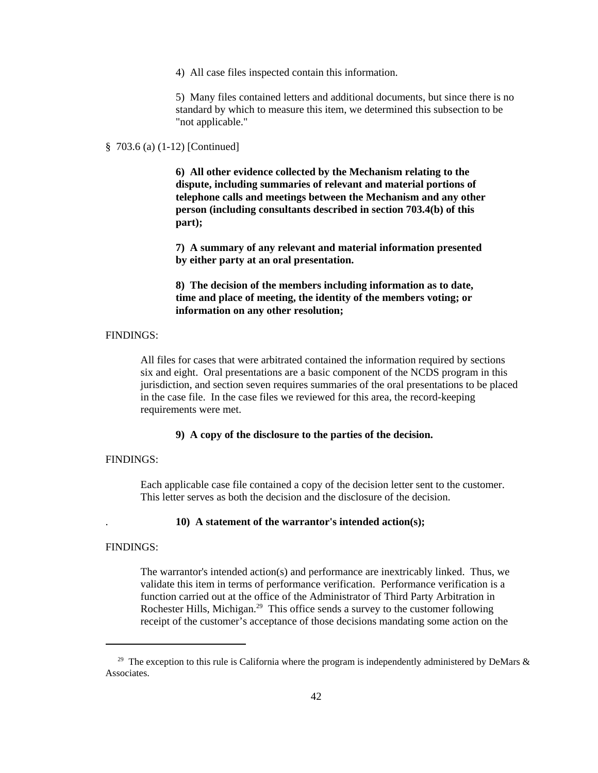4) All case files inspected contain this information.

5) Many files contained letters and additional documents, but since there is no standard by which to measure this item, we determined this subsection to be "not applicable."

### § 703.6 (a) (1-12) [Continued]

**6) All other evidence collected by the Mechanism relating to the dispute, including summaries of relevant and material portions of telephone calls and meetings between the Mechanism and any other person (including consultants described in section 703.4(b) of this part);**

**7) A summary of any relevant and material information presented by either party at an oral presentation.**

**8) The decision of the members including information as to date, time and place of meeting, the identity of the members voting; or information on any other resolution;**

### FINDINGS:

All files for cases that were arbitrated contained the information required by sections six and eight. Oral presentations are a basic component of the NCDS program in this jurisdiction, and section seven requires summaries of the oral presentations to be placed in the case file. In the case files we reviewed for this area, the record-keeping requirements were met.

**9) A copy of the disclosure to the parties of the decision.**

### FINDINGS:

Each applicable case file contained a copy of the decision letter sent to the customer. This letter serves as both the decision and the disclosure of the decision.

### . **10) A statement of the warrantor's intended action(s);**

### FINDINGS:

The warrantor's intended action(s) and performance are inextricably linked. Thus, we validate this item in terms of performance verification. Performance verification is a function carried out at the office of the Administrator of Third Party Arbitration in Rochester Hills, Michigan.<sup>29</sup> This office sends a survey to the customer following receipt of the customer's acceptance of those decisions mandating some action on the

<sup>&</sup>lt;sup>29</sup> The exception to this rule is California where the program is independently administered by DeMars  $\&$ Associates.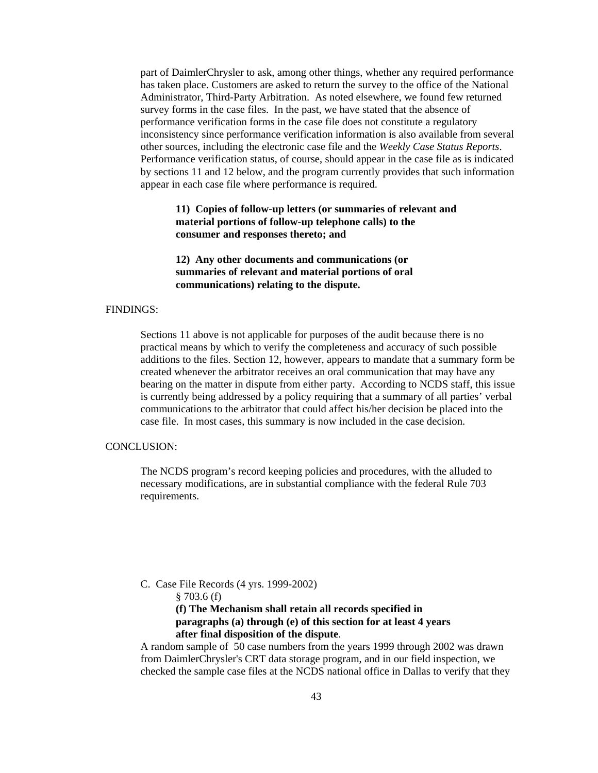part of DaimlerChrysler to ask, among other things, whether any required performance has taken place. Customers are asked to return the survey to the office of the National Administrator, Third-Party Arbitration. As noted elsewhere, we found few returned survey forms in the case files. In the past, we have stated that the absence of performance verification forms in the case file does not constitute a regulatory inconsistency since performance verification information is also available from several other sources, including the electronic case file and the *Weekly Case Status Reports*. Performance verification status, of course, should appear in the case file as is indicated by sections 11 and 12 below, and the program currently provides that such information appear in each case file where performance is required.

### **11) Copies of follow-up letters (or summaries of relevant and material portions of follow-up telephone calls) to the consumer and responses thereto; and**

**12) Any other documents and communications (or summaries of relevant and material portions of oral communications) relating to the dispute.**

### FINDINGS:

Sections 11 above is not applicable for purposes of the audit because there is no practical means by which to verify the completeness and accuracy of such possible additions to the files. Section 12, however, appears to mandate that a summary form be created whenever the arbitrator receives an oral communication that may have any bearing on the matter in dispute from either party. According to NCDS staff, this issue is currently being addressed by a policy requiring that a summary of all parties' verbal communications to the arbitrator that could affect his/her decision be placed into the case file. In most cases, this summary is now included in the case decision.

### CONCLUSION:

The NCDS program's record keeping policies and procedures, with the alluded to necessary modifications, are in substantial compliance with the federal Rule 703 requirements.

C. Case File Records (4 yrs. 1999-2002)

§ 703.6 (f)

**(f) The Mechanism shall retain all records specified in paragraphs (a) through (e) of this section for at least 4 years after final disposition of the dispute**.

A random sample of 50 case numbers from the years 1999 through 2002 was drawn from DaimlerChrysler's CRT data storage program, and in our field inspection, we checked the sample case files at the NCDS national office in Dallas to verify that they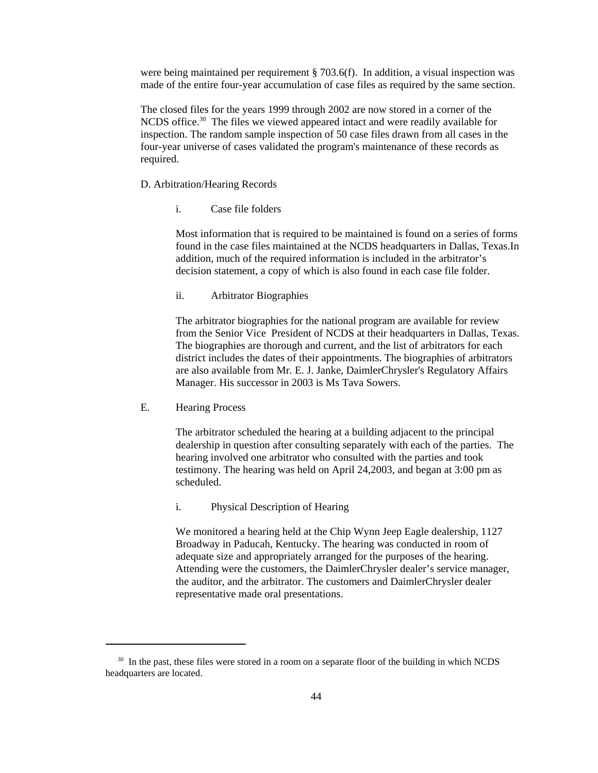were being maintained per requirement § 703.6(f). In addition, a visual inspection was made of the entire four-year accumulation of case files as required by the same section.

The closed files for the years 1999 through 2002 are now stored in a corner of the NCDS office.<sup>30</sup> The files we viewed appeared intact and were readily available for inspection. The random sample inspection of 50 case files drawn from all cases in the four-year universe of cases validated the program's maintenance of these records as required.

### D. Arbitration/Hearing Records

i. Case file folders

Most information that is required to be maintained is found on a series of forms found in the case files maintained at the NCDS headquarters in Dallas, Texas.In addition, much of the required information is included in the arbitrator's decision statement, a copy of which is also found in each case file folder.

ii. Arbitrator Biographies

The arbitrator biographies for the national program are available for review from the Senior Vice President of NCDS at their headquarters in Dallas, Texas. The biographies are thorough and current, and the list of arbitrators for each district includes the dates of their appointments. The biographies of arbitrators are also available from Mr. E. J. Janke, DaimlerChrysler's Regulatory Affairs Manager. His successor in 2003 is Ms Tava Sowers.

E. Hearing Process

The arbitrator scheduled the hearing at a building adjacent to the principal dealership in question after consulting separately with each of the parties. The hearing involved one arbitrator who consulted with the parties and took testimony. The hearing was held on April 24,2003, and began at 3:00 pm as scheduled.

i. Physical Description of Hearing

We monitored a hearing held at the Chip Wynn Jeep Eagle dealership, 1127 Broadway in Paducah, Kentucky. The hearing was conducted in room of adequate size and appropriately arranged for the purposes of the hearing. Attending were the customers, the DaimlerChrysler dealer's service manager, the auditor, and the arbitrator. The customers and DaimlerChrysler dealer representative made oral presentations.

<sup>&</sup>lt;sup>30</sup> In the past, these files were stored in a room on a separate floor of the building in which NCDS headquarters are located.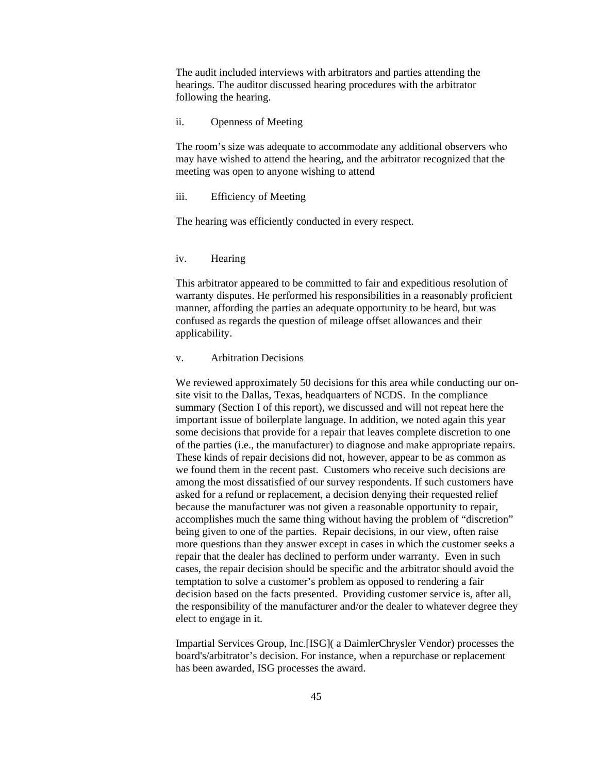The audit included interviews with arbitrators and parties attending the hearings. The auditor discussed hearing procedures with the arbitrator following the hearing.

### ii. Openness of Meeting

The room's size was adequate to accommodate any additional observers who may have wished to attend the hearing, and the arbitrator recognized that the meeting was open to anyone wishing to attend

### iii. Efficiency of Meeting

The hearing was efficiently conducted in every respect.

#### iv. Hearing

This arbitrator appeared to be committed to fair and expeditious resolution of warranty disputes. He performed his responsibilities in a reasonably proficient manner, affording the parties an adequate opportunity to be heard, but was confused as regards the question of mileage offset allowances and their applicability.

### v. Arbitration Decisions

We reviewed approximately 50 decisions for this area while conducting our onsite visit to the Dallas, Texas, headquarters of NCDS. In the compliance summary (Section I of this report), we discussed and will not repeat here the important issue of boilerplate language. In addition, we noted again this year some decisions that provide for a repair that leaves complete discretion to one of the parties (i.e., the manufacturer) to diagnose and make appropriate repairs. These kinds of repair decisions did not, however, appear to be as common as we found them in the recent past. Customers who receive such decisions are among the most dissatisfied of our survey respondents. If such customers have asked for a refund or replacement, a decision denying their requested relief because the manufacturer was not given a reasonable opportunity to repair, accomplishes much the same thing without having the problem of "discretion" being given to one of the parties. Repair decisions, in our view, often raise more questions than they answer except in cases in which the customer seeks a repair that the dealer has declined to perform under warranty. Even in such cases, the repair decision should be specific and the arbitrator should avoid the temptation to solve a customer's problem as opposed to rendering a fair decision based on the facts presented. Providing customer service is, after all, the responsibility of the manufacturer and/or the dealer to whatever degree they elect to engage in it.

Impartial Services Group, Inc.[ISG]( a DaimlerChrysler Vendor) processes the board's/arbitrator's decision. For instance, when a repurchase or replacement has been awarded, ISG processes the award.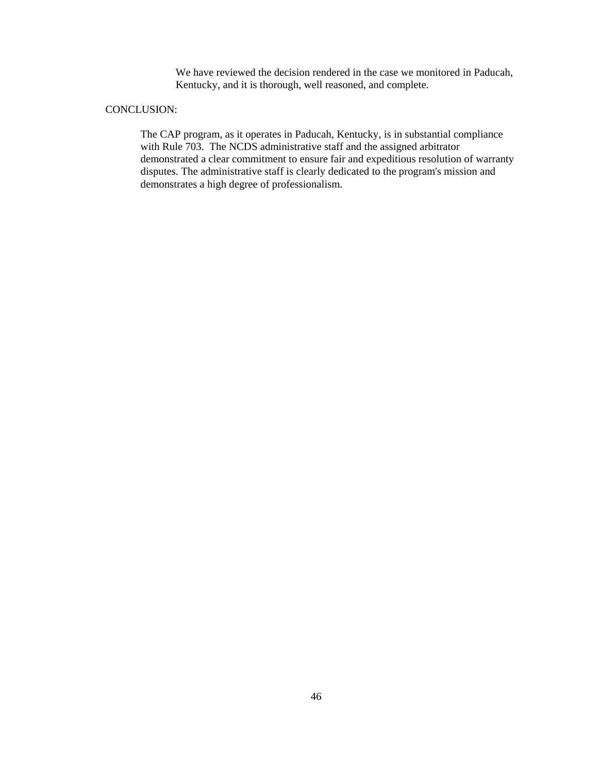We have reviewed the decision rendered in the case we monitored in Paducah, Kentucky, and it is thorough, well reasoned, and complete.

### CONCLUSION:

The CAP program, as it operates in Paducah, Kentucky, is in substantial compliance with Rule 703. The NCDS administrative staff and the assigned arbitrator demonstrated a clear commitment to ensure fair and expeditious resolution of warranty disputes. The administrative staff is clearly dedicated to the program's mission and demonstrates a high degree of professionalism.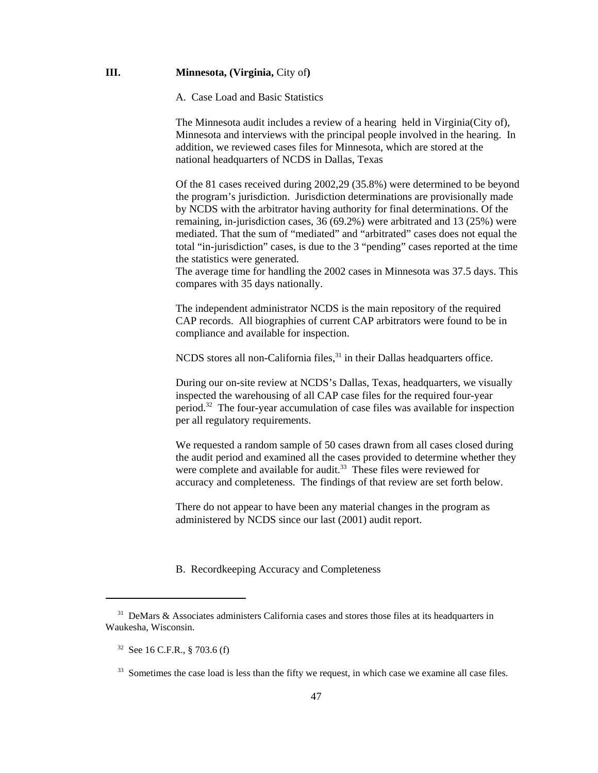### **III.** Minnesota, (Virginia, City of)

A. Case Load and Basic Statistics

The Minnesota audit includes a review of a hearing held in Virginia(City of), Minnesota and interviews with the principal people involved in the hearing. In addition, we reviewed cases files for Minnesota, which are stored at the national headquarters of NCDS in Dallas, Texas

Of the 81 cases received during 2002,29 (35.8%) were determined to be beyond the program's jurisdiction. Jurisdiction determinations are provisionally made by NCDS with the arbitrator having authority for final determinations. Of the remaining, in-jurisdiction cases, 36 (69.2%) were arbitrated and 13 (25%) were mediated. That the sum of "mediated" and "arbitrated" cases does not equal the total "in-jurisdiction" cases, is due to the 3 "pending" cases reported at the time the statistics were generated.

The average time for handling the 2002 cases in Minnesota was 37.5 days. This compares with 35 days nationally.

The independent administrator NCDS is the main repository of the required CAP records. All biographies of current CAP arbitrators were found to be in compliance and available for inspection.

NCDS stores all non-California files,<sup>31</sup> in their Dallas headquarters office.

During our on-site review at NCDS's Dallas, Texas, headquarters, we visually inspected the warehousing of all CAP case files for the required four-year period.32 The four-year accumulation of case files was available for inspection per all regulatory requirements.

We requested a random sample of 50 cases drawn from all cases closed during the audit period and examined all the cases provided to determine whether they were complete and available for audit.<sup>33</sup> These files were reviewed for accuracy and completeness. The findings of that review are set forth below.

There do not appear to have been any material changes in the program as administered by NCDS since our last (2001) audit report.

B. Recordkeeping Accuracy and Completeness

 $31$  DeMars & Associates administers California cases and stores those files at its headquarters in Waukesha, Wisconsin.

 <sup>32</sup> See 16 C.F.R., § 703.6 (f)

<sup>&</sup>lt;sup>33</sup> Sometimes the case load is less than the fifty we request, in which case we examine all case files.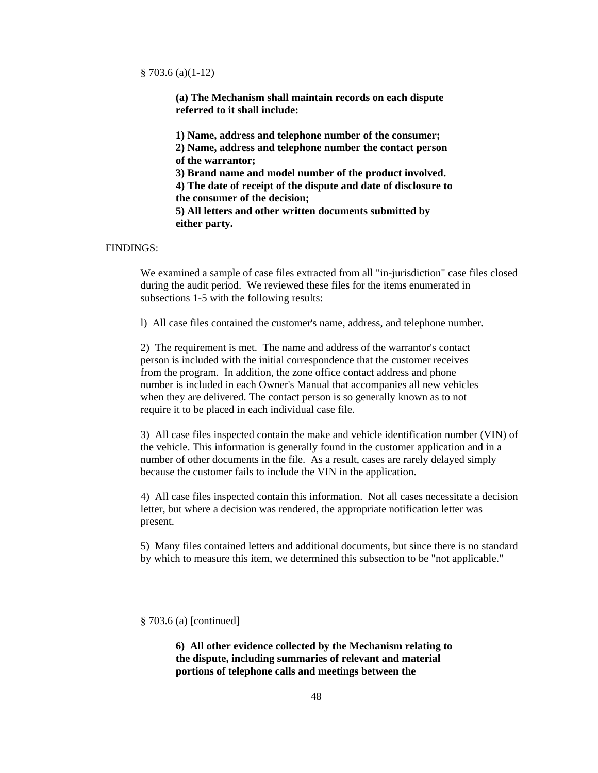§ 703.6 (a)(1-12)

**(a) The Mechanism shall maintain records on each dispute referred to it shall include:**

**1) Name, address and telephone number of the consumer; 2) Name, address and telephone number the contact person of the warrantor; 3) Brand name and model number of the product involved. 4) The date of receipt of the dispute and date of disclosure to the consumer of the decision; 5) All letters and other written documents submitted by either party.**

### FINDINGS:

We examined a sample of case files extracted from all "in-jurisdiction" case files closed during the audit period. We reviewed these files for the items enumerated in subsections 1-5 with the following results:

l) All case files contained the customer's name, address, and telephone number.

2) The requirement is met. The name and address of the warrantor's contact person is included with the initial correspondence that the customer receives from the program. In addition, the zone office contact address and phone number is included in each Owner's Manual that accompanies all new vehicles when they are delivered. The contact person is so generally known as to not require it to be placed in each individual case file.

3) All case files inspected contain the make and vehicle identification number (VIN) of the vehicle. This information is generally found in the customer application and in a number of other documents in the file. As a result, cases are rarely delayed simply because the customer fails to include the VIN in the application.

4) All case files inspected contain this information. Not all cases necessitate a decision letter, but where a decision was rendered, the appropriate notification letter was present.

5) Many files contained letters and additional documents, but since there is no standard by which to measure this item, we determined this subsection to be "not applicable."

§ 703.6 (a) [continued]

**6) All other evidence collected by the Mechanism relating to the dispute, including summaries of relevant and material portions of telephone calls and meetings between the**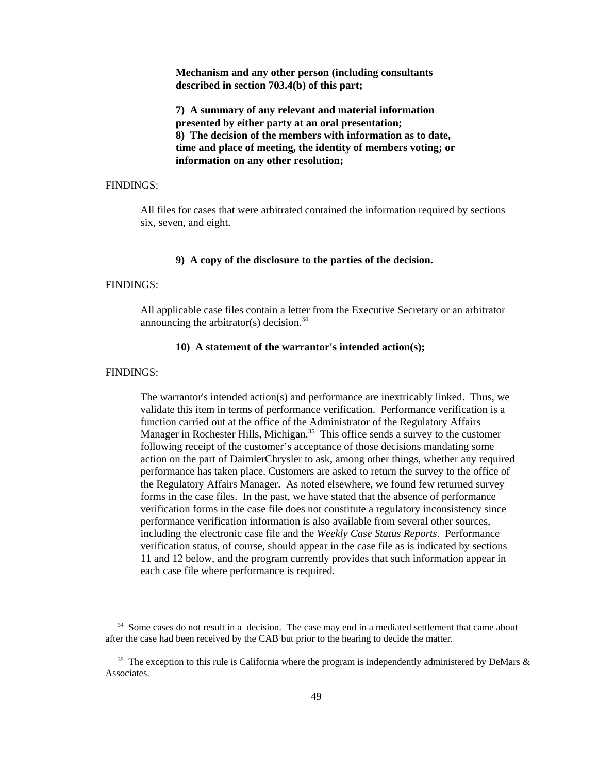**Mechanism and any other person (including consultants described in section 703.4(b) of this part;**

**7) A summary of any relevant and material information presented by either party at an oral presentation; 8) The decision of the members with information as to date, time and place of meeting, the identity of members voting; or information on any other resolution;**

### FINDINGS:

All files for cases that were arbitrated contained the information required by sections six, seven, and eight.

### **9) A copy of the disclosure to the parties of the decision.**

### FINDINGS:

All applicable case files contain a letter from the Executive Secretary or an arbitrator announcing the arbitrator(s) decision. $34$ 

### **10) A statement of the warrantor's intended action(s);**

### FINDINGS:

The warrantor's intended action(s) and performance are inextricably linked. Thus, we validate this item in terms of performance verification. Performance verification is a function carried out at the office of the Administrator of the Regulatory Affairs Manager in Rochester Hills, Michigan.<sup>35</sup> This office sends a survey to the customer following receipt of the customer's acceptance of those decisions mandating some action on the part of DaimlerChrysler to ask, among other things, whether any required performance has taken place. Customers are asked to return the survey to the office of the Regulatory Affairs Manager. As noted elsewhere, we found few returned survey forms in the case files. In the past, we have stated that the absence of performance verification forms in the case file does not constitute a regulatory inconsistency since performance verification information is also available from several other sources, including the electronic case file and the *Weekly Case Status Reports*. Performance verification status, of course, should appear in the case file as is indicated by sections 11 and 12 below, and the program currently provides that such information appear in each case file where performance is required.

<sup>&</sup>lt;sup>34</sup> Some cases do not result in a decision. The case may end in a mediated settlement that came about after the case had been received by the CAB but prior to the hearing to decide the matter.

<sup>&</sup>lt;sup>35</sup> The exception to this rule is California where the program is independently administered by DeMars  $\&$ Associates.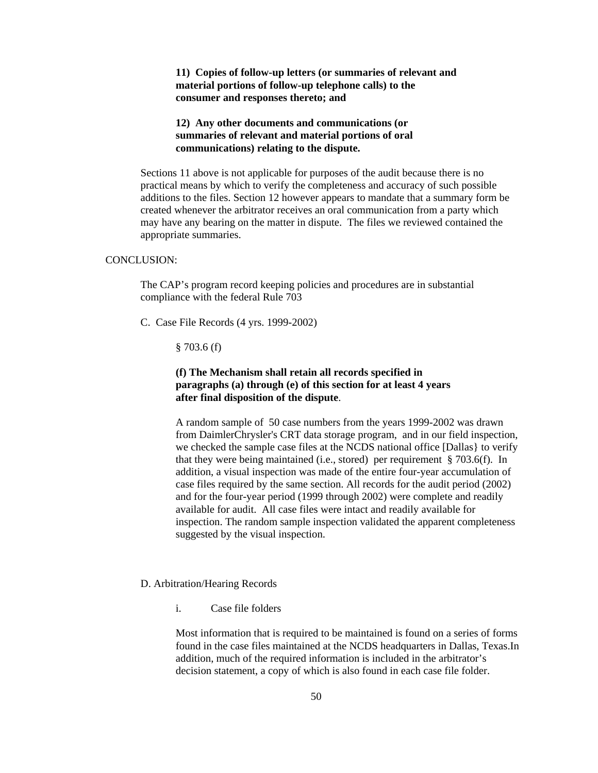**11) Copies of follow-up letters (or summaries of relevant and material portions of follow-up telephone calls) to the consumer and responses thereto; and**

### **12) Any other documents and communications (or summaries of relevant and material portions of oral communications) relating to the dispute.**

Sections 11 above is not applicable for purposes of the audit because there is no practical means by which to verify the completeness and accuracy of such possible additions to the files. Section 12 however appears to mandate that a summary form be created whenever the arbitrator receives an oral communication from a party which may have any bearing on the matter in dispute. The files we reviewed contained the appropriate summaries.

### CONCLUSION:

The CAP's program record keeping policies and procedures are in substantial compliance with the federal Rule 703

C. Case File Records (4 yrs. 1999-2002)

 $§ 703.6(f)$ 

### **(f) The Mechanism shall retain all records specified in paragraphs (a) through (e) of this section for at least 4 years after final disposition of the dispute**.

A random sample of 50 case numbers from the years 1999-2002 was drawn from DaimlerChrysler's CRT data storage program, and in our field inspection, we checked the sample case files at the NCDS national office [Dallas} to verify that they were being maintained (i.e., stored) per requirement § 703.6(f). In addition, a visual inspection was made of the entire four-year accumulation of case files required by the same section. All records for the audit period (2002) and for the four-year period (1999 through 2002) were complete and readily available for audit. All case files were intact and readily available for inspection. The random sample inspection validated the apparent completeness suggested by the visual inspection.

### D. Arbitration/Hearing Records

i. Case file folders

Most information that is required to be maintained is found on a series of forms found in the case files maintained at the NCDS headquarters in Dallas, Texas.In addition, much of the required information is included in the arbitrator's decision statement, a copy of which is also found in each case file folder.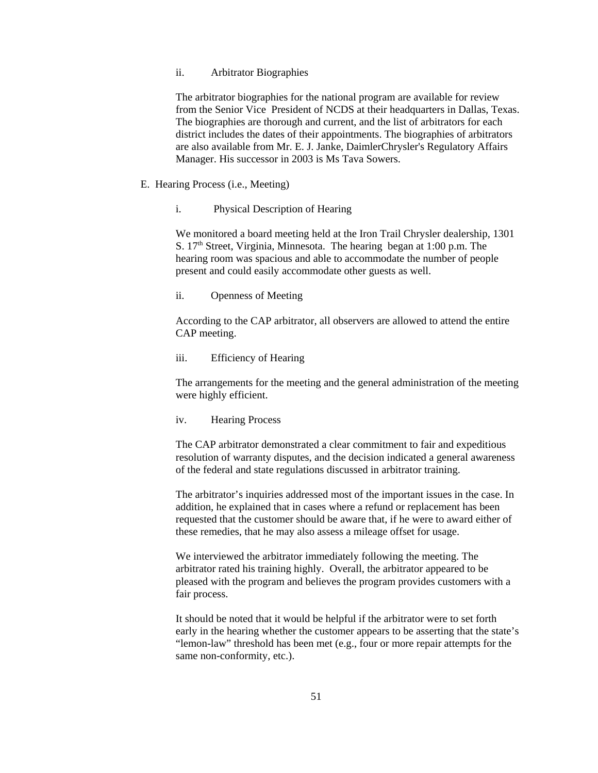### ii. Arbitrator Biographies

The arbitrator biographies for the national program are available for review from the Senior Vice President of NCDS at their headquarters in Dallas, Texas. The biographies are thorough and current, and the list of arbitrators for each district includes the dates of their appointments. The biographies of arbitrators are also available from Mr. E. J. Janke, DaimlerChrysler's Regulatory Affairs Manager. His successor in 2003 is Ms Tava Sowers.

- E. Hearing Process (i.e., Meeting)
	- i. Physical Description of Hearing

We monitored a board meeting held at the Iron Trail Chrysler dealership, 1301 S. 17<sup>th</sup> Street, Virginia, Minnesota. The hearing began at 1:00 p.m. The hearing room was spacious and able to accommodate the number of people present and could easily accommodate other guests as well.

ii. Openness of Meeting

According to the CAP arbitrator, all observers are allowed to attend the entire CAP meeting.

iii. Efficiency of Hearing

The arrangements for the meeting and the general administration of the meeting were highly efficient.

iv. Hearing Process

The CAP arbitrator demonstrated a clear commitment to fair and expeditious resolution of warranty disputes, and the decision indicated a general awareness of the federal and state regulations discussed in arbitrator training.

The arbitrator's inquiries addressed most of the important issues in the case. In addition, he explained that in cases where a refund or replacement has been requested that the customer should be aware that, if he were to award either of these remedies, that he may also assess a mileage offset for usage.

We interviewed the arbitrator immediately following the meeting. The arbitrator rated his training highly. Overall, the arbitrator appeared to be pleased with the program and believes the program provides customers with a fair process.

It should be noted that it would be helpful if the arbitrator were to set forth early in the hearing whether the customer appears to be asserting that the state's "lemon-law" threshold has been met (e.g., four or more repair attempts for the same non-conformity, etc.).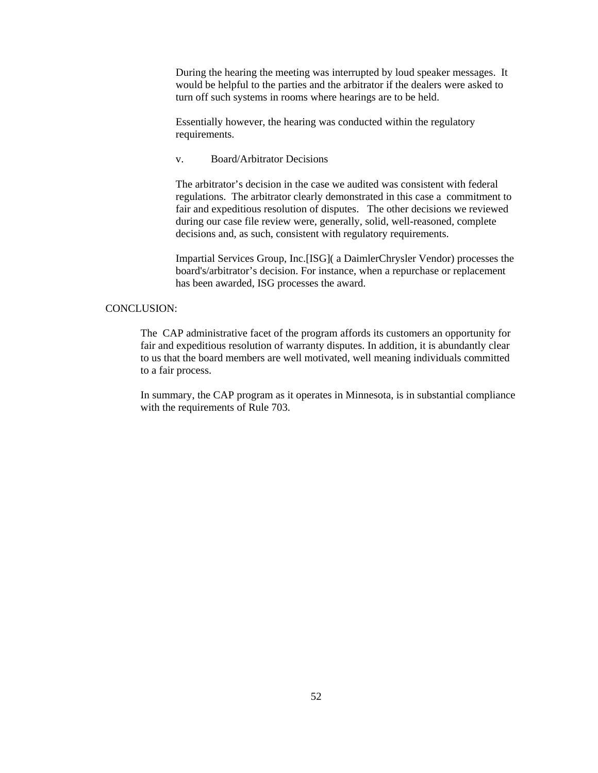During the hearing the meeting was interrupted by loud speaker messages. It would be helpful to the parties and the arbitrator if the dealers were asked to turn off such systems in rooms where hearings are to be held.

Essentially however, the hearing was conducted within the regulatory requirements.

v. Board/Arbitrator Decisions

The arbitrator's decision in the case we audited was consistent with federal regulations. The arbitrator clearly demonstrated in this case a commitment to fair and expeditious resolution of disputes. The other decisions we reviewed during our case file review were, generally, solid, well-reasoned, complete decisions and, as such, consistent with regulatory requirements.

Impartial Services Group, Inc.[ISG]( a DaimlerChrysler Vendor) processes the board's/arbitrator's decision. For instance, when a repurchase or replacement has been awarded, ISG processes the award.

### CONCLUSION:

The CAP administrative facet of the program affords its customers an opportunity for fair and expeditious resolution of warranty disputes. In addition, it is abundantly clear to us that the board members are well motivated, well meaning individuals committed to a fair process.

In summary, the CAP program as it operates in Minnesota, is in substantial compliance with the requirements of Rule 703.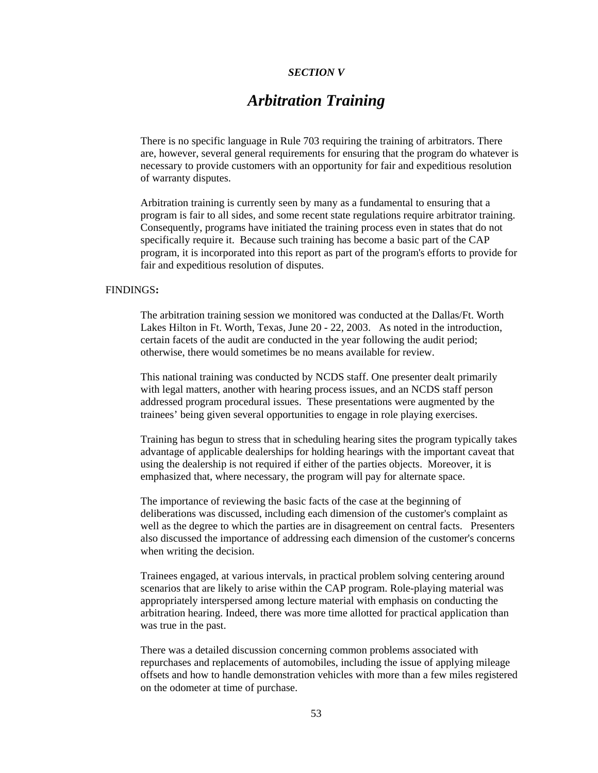### *SECTION V*

# *Arbitration Training*

There is no specific language in Rule 703 requiring the training of arbitrators. There are, however, several general requirements for ensuring that the program do whatever is necessary to provide customers with an opportunity for fair and expeditious resolution of warranty disputes.

Arbitration training is currently seen by many as a fundamental to ensuring that a program is fair to all sides, and some recent state regulations require arbitrator training. Consequently, programs have initiated the training process even in states that do not specifically require it. Because such training has become a basic part of the CAP program, it is incorporated into this report as part of the program's efforts to provide for fair and expeditious resolution of disputes.

### FINDINGS**:**

The arbitration training session we monitored was conducted at the Dallas/Ft. Worth Lakes Hilton in Ft. Worth, Texas, June 20 - 22, 2003. As noted in the introduction, certain facets of the audit are conducted in the year following the audit period; otherwise, there would sometimes be no means available for review.

This national training was conducted by NCDS staff. One presenter dealt primarily with legal matters, another with hearing process issues, and an NCDS staff person addressed program procedural issues. These presentations were augmented by the trainees' being given several opportunities to engage in role playing exercises.

Training has begun to stress that in scheduling hearing sites the program typically takes advantage of applicable dealerships for holding hearings with the important caveat that using the dealership is not required if either of the parties objects. Moreover, it is emphasized that, where necessary, the program will pay for alternate space.

The importance of reviewing the basic facts of the case at the beginning of deliberations was discussed, including each dimension of the customer's complaint as well as the degree to which the parties are in disagreement on central facts. Presenters also discussed the importance of addressing each dimension of the customer's concerns when writing the decision.

Trainees engaged, at various intervals, in practical problem solving centering around scenarios that are likely to arise within the CAP program. Role-playing material was appropriately interspersed among lecture material with emphasis on conducting the arbitration hearing. Indeed, there was more time allotted for practical application than was true in the past.

There was a detailed discussion concerning common problems associated with repurchases and replacements of automobiles, including the issue of applying mileage offsets and how to handle demonstration vehicles with more than a few miles registered on the odometer at time of purchase.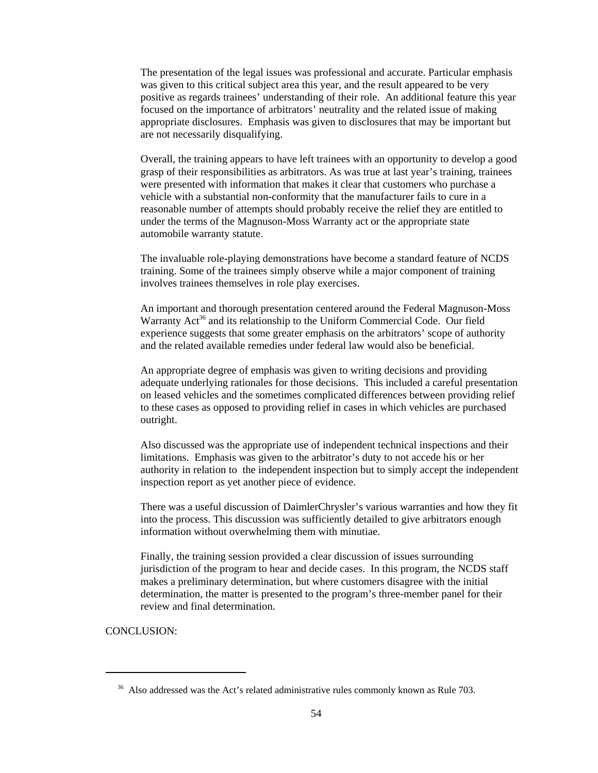The presentation of the legal issues was professional and accurate. Particular emphasis was given to this critical subject area this year, and the result appeared to be very positive as regards trainees' understanding of their role. An additional feature this year focused on the importance of arbitrators' neutrality and the related issue of making appropriate disclosures. Emphasis was given to disclosures that may be important but are not necessarily disqualifying.

Overall, the training appears to have left trainees with an opportunity to develop a good grasp of their responsibilities as arbitrators. As was true at last year's training, trainees were presented with information that makes it clear that customers who purchase a vehicle with a substantial non-conformity that the manufacturer fails to cure in a reasonable number of attempts should probably receive the relief they are entitled to under the terms of the Magnuson-Moss Warranty act or the appropriate state automobile warranty statute.

The invaluable role-playing demonstrations have become a standard feature of NCDS training. Some of the trainees simply observe while a major component of training involves trainees themselves in role play exercises.

An important and thorough presentation centered around the Federal Magnuson-Moss Warranty Act<sup>36</sup> and its relationship to the Uniform Commercial Code. Our field experience suggests that some greater emphasis on the arbitrators' scope of authority and the related available remedies under federal law would also be beneficial.

An appropriate degree of emphasis was given to writing decisions and providing adequate underlying rationales for those decisions. This included a careful presentation on leased vehicles and the sometimes complicated differences between providing relief to these cases as opposed to providing relief in cases in which vehicles are purchased outright.

Also discussed was the appropriate use of independent technical inspections and their limitations. Emphasis was given to the arbitrator's duty to not accede his or her authority in relation to the independent inspection but to simply accept the independent inspection report as yet another piece of evidence.

There was a useful discussion of DaimlerChrysler's various warranties and how they fit into the process. This discussion was sufficiently detailed to give arbitrators enough information without overwhelming them with minutiae.

Finally, the training session provided a clear discussion of issues surrounding jurisdiction of the program to hear and decide cases. In this program, the NCDS staff makes a preliminary determination, but where customers disagree with the initial determination, the matter is presented to the program's three-member panel for their review and final determination.

CONCLUSION:

<sup>&</sup>lt;sup>36</sup> Also addressed was the Act's related administrative rules commonly known as Rule 703.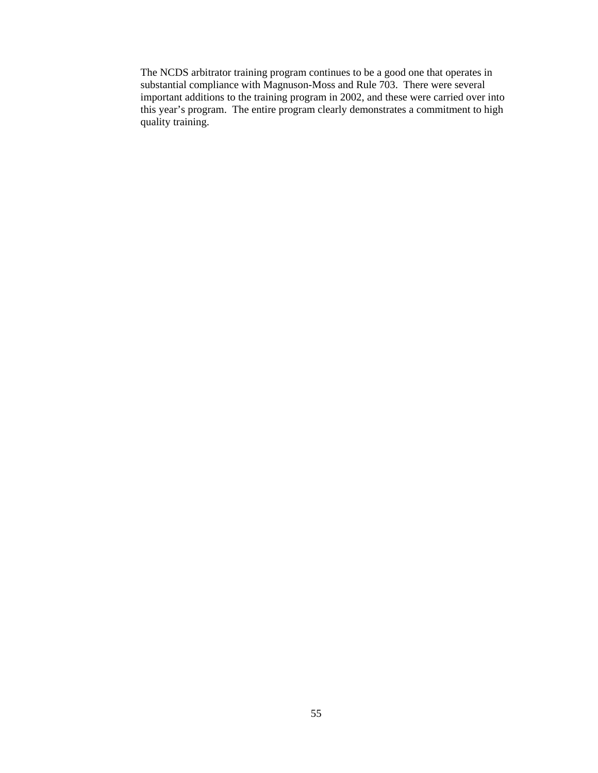The NCDS arbitrator training program continues to be a good one that operates in substantial compliance with Magnuson-Moss and Rule 703. There were several important additions to the training program in 2002, and these were carried over into this year's program. The entire program clearly demonstrates a commitment to high quality training.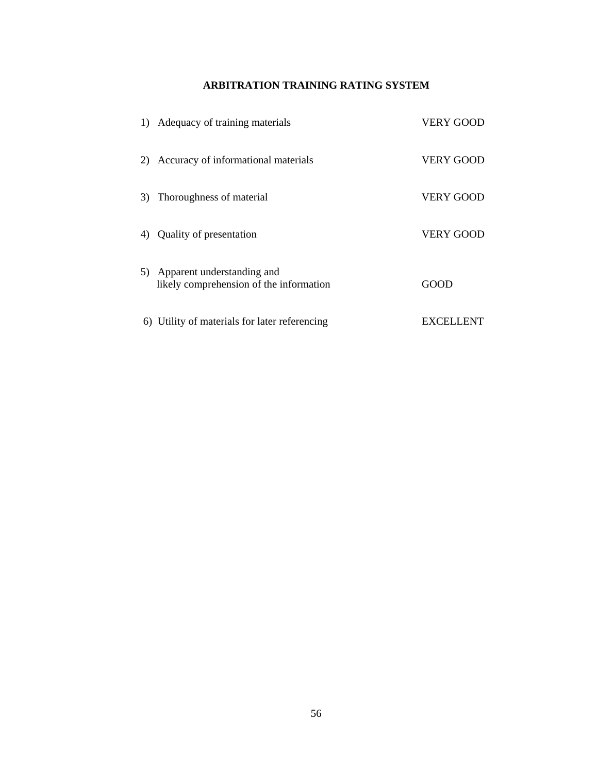### **ARBITRATION TRAINING RATING SYSTEM**

|    | 1) Adequacy of training materials                                     | VERY GOOD        |
|----|-----------------------------------------------------------------------|------------------|
|    | 2) Accuracy of informational materials                                | <b>VERY GOOD</b> |
|    | 3) Thoroughness of material                                           | <b>VERY GOOD</b> |
| 4) | Quality of presentation                                               | <b>VERY GOOD</b> |
| 5) | Apparent understanding and<br>likely comprehension of the information | GOOD             |
|    | 6) Utility of materials for later referencing                         | <b>EXCELLENT</b> |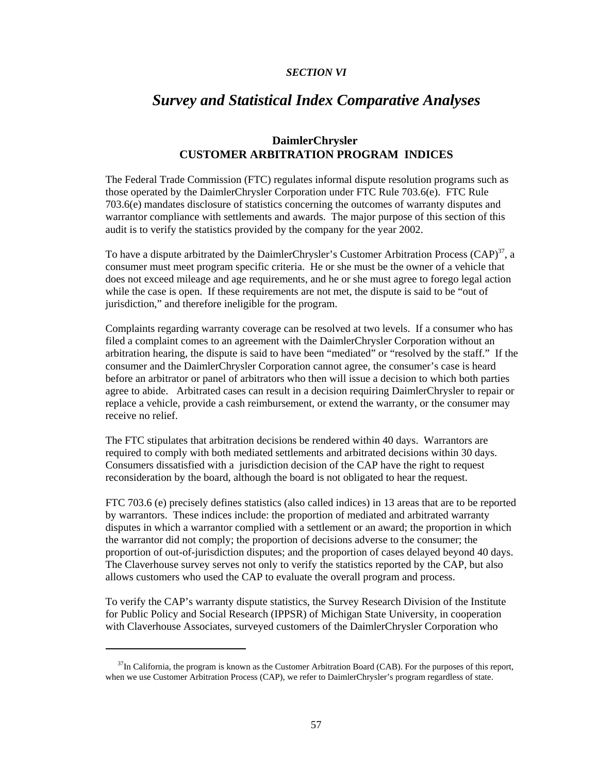### *SECTION VI*

# *Survey and Statistical Index Comparative Analyses*

### **DaimlerChrysler CUSTOMER ARBITRATION PROGRAM INDICES**

The Federal Trade Commission (FTC) regulates informal dispute resolution programs such as those operated by the DaimlerChrysler Corporation under FTC Rule 703.6(e). FTC Rule 703.6(e) mandates disclosure of statistics concerning the outcomes of warranty disputes and warrantor compliance with settlements and awards. The major purpose of this section of this audit is to verify the statistics provided by the company for the year 2002.

To have a dispute arbitrated by the DaimlerChrysler's Customer Arbitration Process  $(CAP)^{37}$ , a consumer must meet program specific criteria. He or she must be the owner of a vehicle that does not exceed mileage and age requirements, and he or she must agree to forego legal action while the case is open. If these requirements are not met, the dispute is said to be "out of jurisdiction," and therefore ineligible for the program.

Complaints regarding warranty coverage can be resolved at two levels. If a consumer who has filed a complaint comes to an agreement with the DaimlerChrysler Corporation without an arbitration hearing, the dispute is said to have been "mediated" or "resolved by the staff." If the consumer and the DaimlerChrysler Corporation cannot agree, the consumer's case is heard before an arbitrator or panel of arbitrators who then will issue a decision to which both parties agree to abide. Arbitrated cases can result in a decision requiring DaimlerChrysler to repair or replace a vehicle, provide a cash reimbursement, or extend the warranty, or the consumer may receive no relief.

The FTC stipulates that arbitration decisions be rendered within 40 days. Warrantors are required to comply with both mediated settlements and arbitrated decisions within 30 days. Consumers dissatisfied with a jurisdiction decision of the CAP have the right to request reconsideration by the board, although the board is not obligated to hear the request.

FTC 703.6 (e) precisely defines statistics (also called indices) in 13 areas that are to be reported by warrantors. These indices include: the proportion of mediated and arbitrated warranty disputes in which a warrantor complied with a settlement or an award; the proportion in which the warrantor did not comply; the proportion of decisions adverse to the consumer; the proportion of out-of-jurisdiction disputes; and the proportion of cases delayed beyond 40 days. The Claverhouse survey serves not only to verify the statistics reported by the CAP, but also allows customers who used the CAP to evaluate the overall program and process.

To verify the CAP's warranty dispute statistics, the Survey Research Division of the Institute for Public Policy and Social Research (IPPSR) of Michigan State University, in cooperation with Claverhouse Associates, surveyed customers of the DaimlerChrysler Corporation who

 $37$ In California, the program is known as the Customer Arbitration Board (CAB). For the purposes of this report, when we use Customer Arbitration Process (CAP), we refer to DaimlerChrysler's program regardless of state.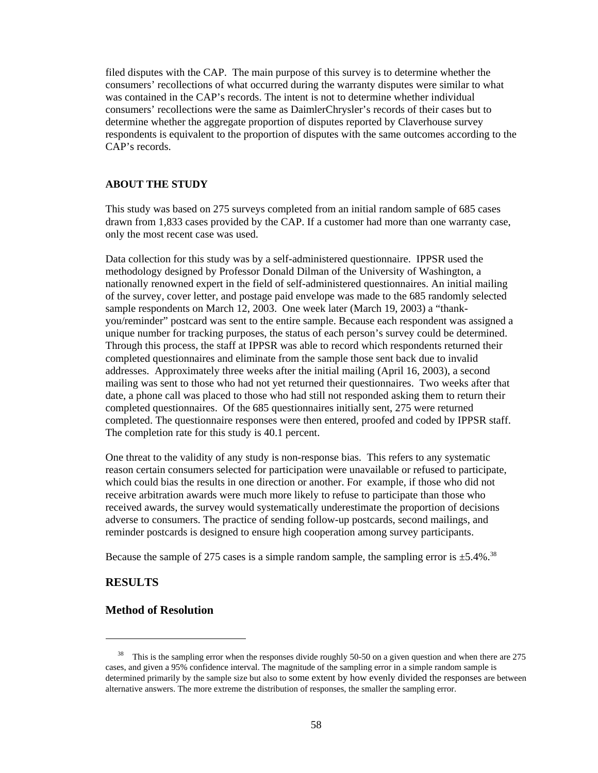filed disputes with the CAP. The main purpose of this survey is to determine whether the consumers' recollections of what occurred during the warranty disputes were similar to what was contained in the CAP's records. The intent is not to determine whether individual consumers' recollections were the same as DaimlerChrysler's records of their cases but to determine whether the aggregate proportion of disputes reported by Claverhouse survey respondents is equivalent to the proportion of disputes with the same outcomes according to the CAP's records.

### **ABOUT THE STUDY**

This study was based on 275 surveys completed from an initial random sample of 685 cases drawn from 1,833 cases provided by the CAP. If a customer had more than one warranty case, only the most recent case was used.

Data collection for this study was by a self-administered questionnaire. IPPSR used the methodology designed by Professor Donald Dilman of the University of Washington, a nationally renowned expert in the field of self-administered questionnaires. An initial mailing of the survey, cover letter, and postage paid envelope was made to the 685 randomly selected sample respondents on March 12, 2003. One week later (March 19, 2003) a "thankyou/reminder" postcard was sent to the entire sample. Because each respondent was assigned a unique number for tracking purposes, the status of each person's survey could be determined. Through this process, the staff at IPPSR was able to record which respondents returned their completed questionnaires and eliminate from the sample those sent back due to invalid addresses. Approximately three weeks after the initial mailing (April 16, 2003), a second mailing was sent to those who had not yet returned their questionnaires. Two weeks after that date, a phone call was placed to those who had still not responded asking them to return their completed questionnaires. Of the 685 questionnaires initially sent, 275 were returned completed. The questionnaire responses were then entered, proofed and coded by IPPSR staff. The completion rate for this study is 40.1 percent.

One threat to the validity of any study is non-response bias. This refers to any systematic reason certain consumers selected for participation were unavailable or refused to participate, which could bias the results in one direction or another. For example, if those who did not receive arbitration awards were much more likely to refuse to participate than those who received awards, the survey would systematically underestimate the proportion of decisions adverse to consumers. The practice of sending follow-up postcards, second mailings, and reminder postcards is designed to ensure high cooperation among survey participants.

Because the sample of 275 cases is a simple random sample, the sampling error is  $\pm$ 5.4%.<sup>38</sup>

### **RESULTS**

### **Method of Resolution**

<sup>&</sup>lt;sup>38</sup> This is the sampling error when the responses divide roughly 50-50 on a given question and when there are 275 cases, and given a 95% confidence interval. The magnitude of the sampling error in a simple random sample is determined primarily by the sample size but also to some extent by how evenly divided the responses are between alternative answers. The more extreme the distribution of responses, the smaller the sampling error.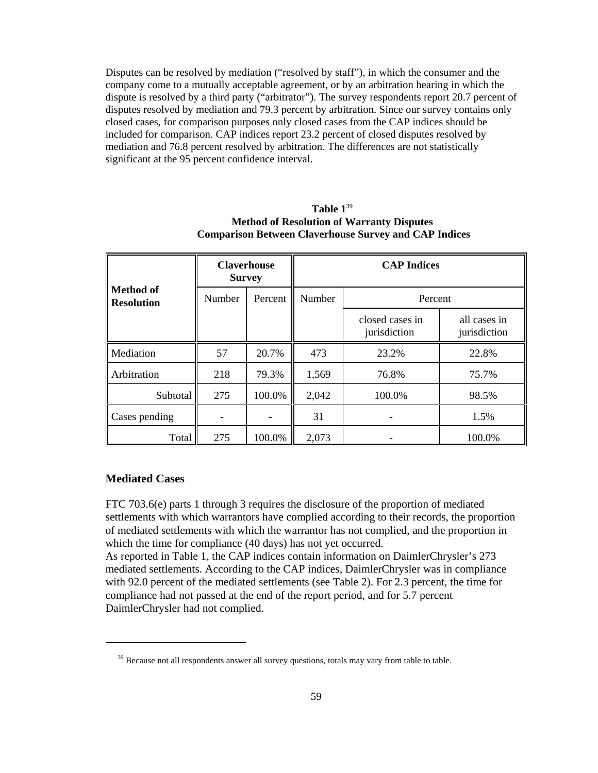Disputes can be resolved by mediation ("resolved by staff"), in which the consumer and the company come to a mutually acceptable agreement, or by an arbitration hearing in which the dispute is resolved by a third party ("arbitrator"). The survey respondents report 20.7 percent of disputes resolved by mediation and 79.3 percent by arbitration. Since our survey contains only closed cases, for comparison purposes only closed cases from the CAP indices should be included for comparison. CAP indices report 23.2 percent of closed disputes resolved by mediation and 76.8 percent resolved by arbitration. The differences are not statistically significant at the 95 percent confidence interval.

|                                       | <b>Claverhouse</b><br><b>Survey</b> |         | <b>CAP Indices</b> |                                 |                              |  |
|---------------------------------------|-------------------------------------|---------|--------------------|---------------------------------|------------------------------|--|
| <b>Method of</b><br><b>Resolution</b> | Number                              | Percent | Number             | Percent                         |                              |  |
|                                       |                                     |         |                    | closed cases in<br>jurisdiction | all cases in<br>jurisdiction |  |
| Mediation                             | 57                                  | 20.7%   | 473                | 23.2%                           | 22.8%                        |  |
| Arbitration                           | 218                                 | 79.3%   | 1,569              | 76.8%                           | 75.7%                        |  |
| Subtotal                              | 275                                 | 100.0%  | 2,042              | 100.0%                          | 98.5%                        |  |
| Cases pending                         |                                     |         | 31                 |                                 | 1.5%                         |  |
| Total                                 | 275                                 | 100.0%  | 2,073              |                                 | 100.0%                       |  |

### **Table 1**<sup>39</sup> **Method of Resolution of Warranty Disputes Comparison Between Claverhouse Survey and CAP Indices**

### **Mediated Cases**

FTC 703.6(e) parts 1 through 3 requires the disclosure of the proportion of mediated settlements with which warrantors have complied according to their records, the proportion of mediated settlements with which the warrantor has not complied, and the proportion in which the time for compliance (40 days) has not yet occurred.

As reported in Table 1, the CAP indices contain information on DaimlerChrysler's 273 mediated settlements. According to the CAP indices, DaimlerChrysler was in compliance with 92.0 percent of the mediated settlements (see Table 2). For 2.3 percent, the time for compliance had not passed at the end of the report period, and for 5.7 percent DaimlerChrysler had not complied.

 $39$  Because not all respondents answer all survey questions, totals may vary from table to table.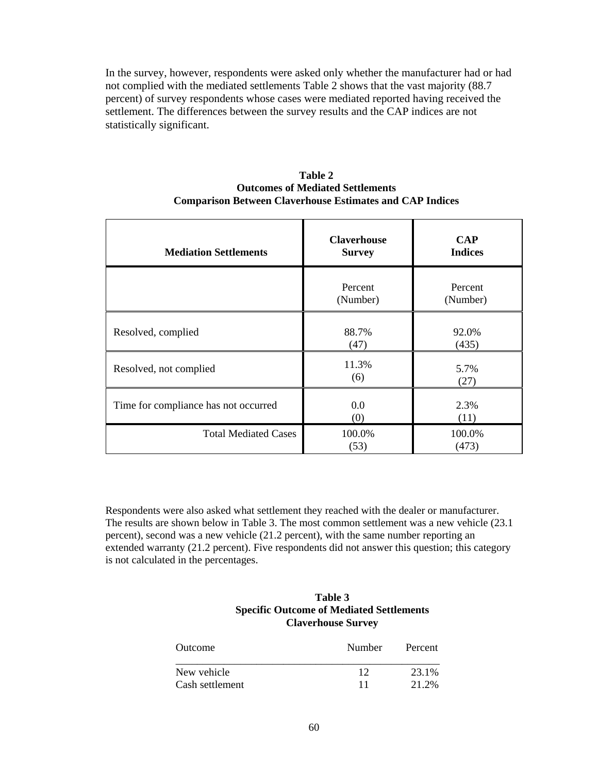In the survey, however, respondents were asked only whether the manufacturer had or had not complied with the mediated settlements Table 2 shows that the vast majority (88.7 percent) of survey respondents whose cases were mediated reported having received the settlement. The differences between the survey results and the CAP indices are not statistically significant.

| Table 2                                                         |
|-----------------------------------------------------------------|
| <b>Outcomes of Mediated Settlements</b>                         |
| <b>Comparison Between Claverhouse Estimates and CAP Indices</b> |

| <b>Mediation Settlements</b>         | <b>Claverhouse</b><br><b>Survey</b> | <b>CAP</b><br><b>Indices</b> |  |
|--------------------------------------|-------------------------------------|------------------------------|--|
|                                      | Percent<br>(Number)                 | Percent<br>(Number)          |  |
| Resolved, complied                   | 88.7%<br>(47)                       | 92.0%<br>(435)               |  |
| Resolved, not complied               | 11.3%<br>(6)                        | 5.7%<br>(27)                 |  |
| Time for compliance has not occurred | $0.0\,$<br>(0)                      | 2.3%<br>(11)                 |  |
| <b>Total Mediated Cases</b>          | 100.0%<br>(53)                      | 100.0%<br>(473)              |  |

Respondents were also asked what settlement they reached with the dealer or manufacturer. The results are shown below in Table 3. The most common settlement was a new vehicle (23.1 percent), second was a new vehicle (21.2 percent), with the same number reporting an extended warranty (21.2 percent). Five respondents did not answer this question; this category is not calculated in the percentages.

### **Table 3 Specific Outcome of Mediated Settlements Claverhouse Survey**

| Outcome         | Number | Percent |  |
|-----------------|--------|---------|--|
| New vehicle     | 12     | 23.1%   |  |
| Cash settlement | 11     | 21.2%   |  |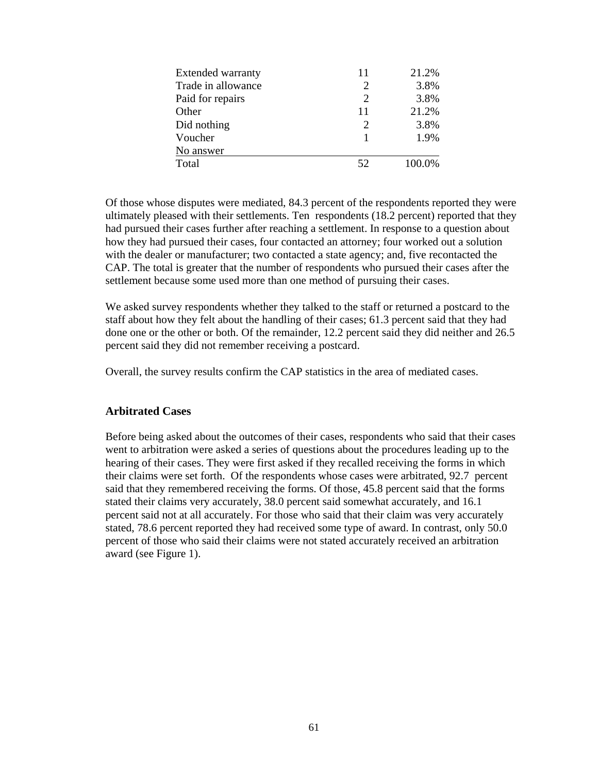| <b>Extended warranty</b> | 11 | 21.2%  |
|--------------------------|----|--------|
| Trade in allowance       | 2  | 3.8%   |
| Paid for repairs         | 2  | 3.8%   |
| Other                    | 11 | 21.2%  |
| Did nothing              | 2  | 3.8%   |
| Voucher                  |    | 1.9%   |
| No answer                |    |        |
| Total                    | 52 | 100.0% |

Of those whose disputes were mediated, 84.3 percent of the respondents reported they were ultimately pleased with their settlements. Ten respondents (18.2 percent) reported that they had pursued their cases further after reaching a settlement. In response to a question about how they had pursued their cases, four contacted an attorney; four worked out a solution with the dealer or manufacturer; two contacted a state agency; and, five recontacted the CAP. The total is greater that the number of respondents who pursued their cases after the settlement because some used more than one method of pursuing their cases.

We asked survey respondents whether they talked to the staff or returned a postcard to the staff about how they felt about the handling of their cases; 61.3 percent said that they had done one or the other or both. Of the remainder, 12.2 percent said they did neither and 26.5 percent said they did not remember receiving a postcard.

Overall, the survey results confirm the CAP statistics in the area of mediated cases.

### **Arbitrated Cases**

Before being asked about the outcomes of their cases, respondents who said that their cases went to arbitration were asked a series of questions about the procedures leading up to the hearing of their cases. They were first asked if they recalled receiving the forms in which their claims were set forth. Of the respondents whose cases were arbitrated, 92.7 percent said that they remembered receiving the forms. Of those, 45.8 percent said that the forms stated their claims very accurately, 38.0 percent said somewhat accurately, and 16.1 percent said not at all accurately. For those who said that their claim was very accurately stated, 78.6 percent reported they had received some type of award. In contrast, only 50.0 percent of those who said their claims were not stated accurately received an arbitration award (see Figure 1).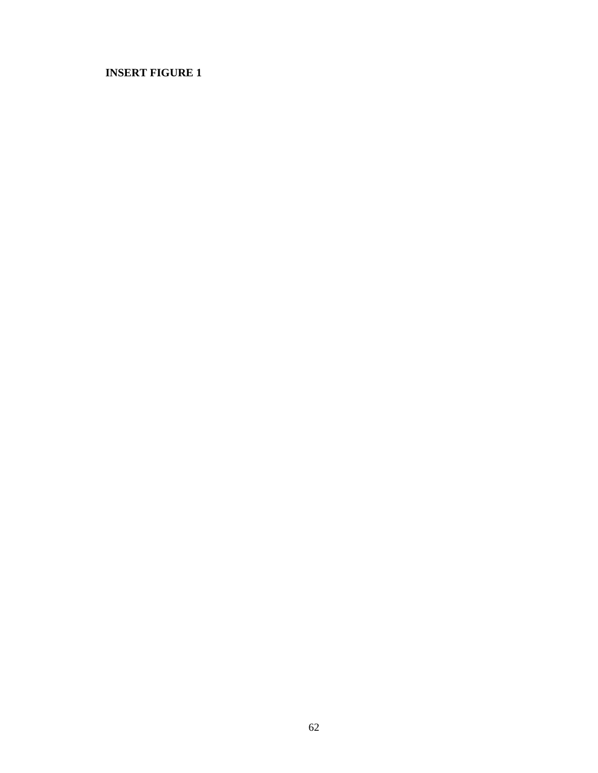## **INSERT FIGURE 1**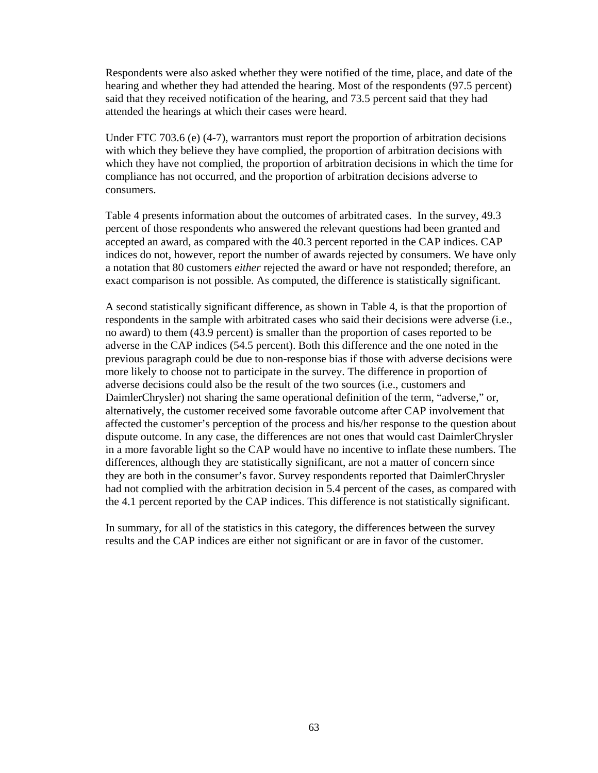Respondents were also asked whether they were notified of the time, place, and date of the hearing and whether they had attended the hearing. Most of the respondents (97.5 percent) said that they received notification of the hearing, and 73.5 percent said that they had attended the hearings at which their cases were heard.

Under FTC 703.6 (e) (4-7), warrantors must report the proportion of arbitration decisions with which they believe they have complied, the proportion of arbitration decisions with which they have not complied, the proportion of arbitration decisions in which the time for compliance has not occurred, and the proportion of arbitration decisions adverse to consumers.

Table 4 presents information about the outcomes of arbitrated cases. In the survey, 49.3 percent of those respondents who answered the relevant questions had been granted and accepted an award, as compared with the 40.3 percent reported in the CAP indices. CAP indices do not, however, report the number of awards rejected by consumers. We have only a notation that 80 customers *either* rejected the award or have not responded; therefore, an exact comparison is not possible. As computed, the difference is statistically significant.

A second statistically significant difference, as shown in Table 4, is that the proportion of respondents in the sample with arbitrated cases who said their decisions were adverse (i.e., no award) to them (43.9 percent) is smaller than the proportion of cases reported to be adverse in the CAP indices (54.5 percent). Both this difference and the one noted in the previous paragraph could be due to non-response bias if those with adverse decisions were more likely to choose not to participate in the survey. The difference in proportion of adverse decisions could also be the result of the two sources (i.e., customers and DaimlerChrysler) not sharing the same operational definition of the term, "adverse," or, alternatively, the customer received some favorable outcome after CAP involvement that affected the customer's perception of the process and his/her response to the question about dispute outcome. In any case, the differences are not ones that would cast DaimlerChrysler in a more favorable light so the CAP would have no incentive to inflate these numbers. The differences, although they are statistically significant, are not a matter of concern since they are both in the consumer's favor. Survey respondents reported that DaimlerChrysler had not complied with the arbitration decision in 5.4 percent of the cases, as compared with the 4.1 percent reported by the CAP indices. This difference is not statistically significant.

In summary, for all of the statistics in this category, the differences between the survey results and the CAP indices are either not significant or are in favor of the customer.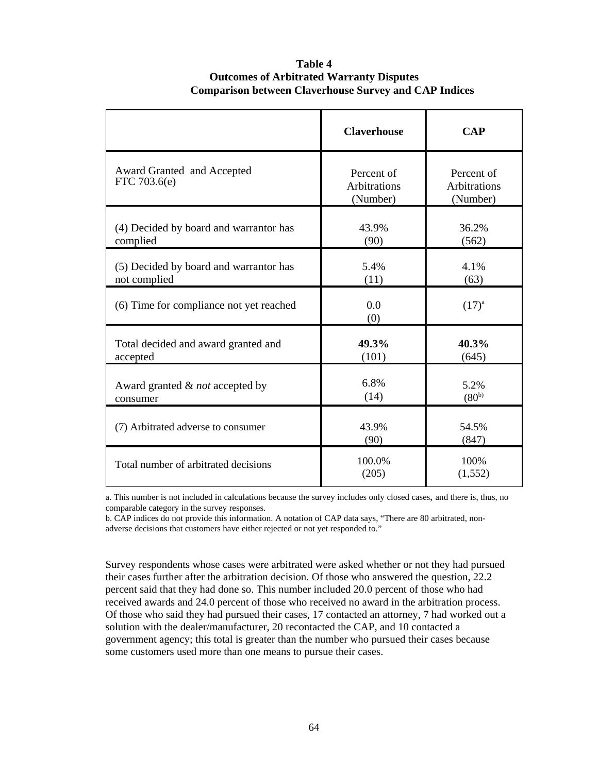### **Table 4 Outcomes of Arbitrated Warranty Disputes Comparison between Claverhouse Survey and CAP Indices**

|                                                        | <b>Claverhouse</b>                            | <b>CAP</b>                             |
|--------------------------------------------------------|-----------------------------------------------|----------------------------------------|
| Award Granted and Accepted<br>FTC 703.6(e)             | Percent of<br><b>Arbitrations</b><br>(Number) | Percent of<br>Arbitrations<br>(Number) |
| (4) Decided by board and warrantor has<br>complied     | 43.9%<br>(90)                                 | 36.2%<br>(562)                         |
| (5) Decided by board and warrantor has<br>not complied | 5.4%<br>(11)                                  | 4.1%<br>(63)                           |
| (6) Time for compliance not yet reached                | 0.0<br>(0)                                    | $(17)^{a}$                             |
| Total decided and award granted and<br>accepted        | 49.3%<br>(101)                                | 40.3%<br>(645)                         |
| Award granted & not accepted by<br>consumer            | 6.8%<br>(14)                                  | 5.2%<br>$(80^{b})$                     |
| (7) Arbitrated adverse to consumer                     | 43.9%<br>(90)                                 | 54.5%<br>(847)                         |
| Total number of arbitrated decisions                   | 100.0%<br>(205)                               | 100%<br>(1, 552)                       |

a. This number is not included in calculations because the survey includes only closed cases, and there is, thus, no comparable category in the survey responses.

b. CAP indices do not provide this information. A notation of CAP data says, "There are 80 arbitrated, nonadverse decisions that customers have either rejected or not yet responded to."

Survey respondents whose cases were arbitrated were asked whether or not they had pursued their cases further after the arbitration decision. Of those who answered the question, 22.2 percent said that they had done so. This number included 20.0 percent of those who had received awards and 24.0 percent of those who received no award in the arbitration process. Of those who said they had pursued their cases, 17 contacted an attorney, 7 had worked out a solution with the dealer/manufacturer, 20 recontacted the CAP, and 10 contacted a government agency; this total is greater than the number who pursued their cases because some customers used more than one means to pursue their cases.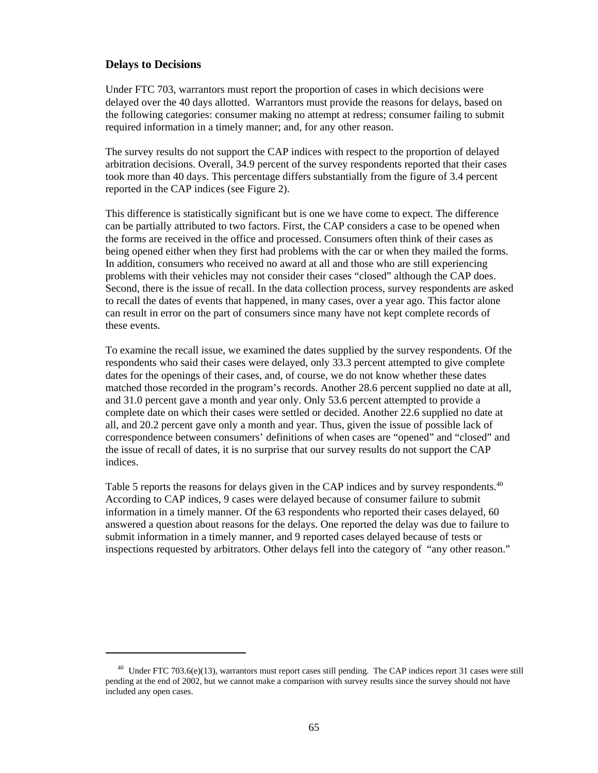### **Delays to Decisions**

Under FTC 703, warrantors must report the proportion of cases in which decisions were delayed over the 40 days allotted. Warrantors must provide the reasons for delays, based on the following categories: consumer making no attempt at redress; consumer failing to submit required information in a timely manner; and, for any other reason.

The survey results do not support the CAP indices with respect to the proportion of delayed arbitration decisions. Overall, 34.9 percent of the survey respondents reported that their cases took more than 40 days. This percentage differs substantially from the figure of 3.4 percent reported in the CAP indices (see Figure 2).

This difference is statistically significant but is one we have come to expect. The difference can be partially attributed to two factors. First, the CAP considers a case to be opened when the forms are received in the office and processed. Consumers often think of their cases as being opened either when they first had problems with the car or when they mailed the forms. In addition, consumers who received no award at all and those who are still experiencing problems with their vehicles may not consider their cases "closed" although the CAP does. Second, there is the issue of recall. In the data collection process, survey respondents are asked to recall the dates of events that happened, in many cases, over a year ago. This factor alone can result in error on the part of consumers since many have not kept complete records of these events.

To examine the recall issue, we examined the dates supplied by the survey respondents. Of the respondents who said their cases were delayed, only 33.3 percent attempted to give complete dates for the openings of their cases, and, of course, we do not know whether these dates matched those recorded in the program's records. Another 28.6 percent supplied no date at all, and 31.0 percent gave a month and year only. Only 53.6 percent attempted to provide a complete date on which their cases were settled or decided. Another 22.6 supplied no date at all, and 20.2 percent gave only a month and year. Thus, given the issue of possible lack of correspondence between consumers' definitions of when cases are "opened" and "closed" and the issue of recall of dates, it is no surprise that our survey results do not support the CAP indices.

Table 5 reports the reasons for delays given in the CAP indices and by survey respondents.<sup>40</sup> According to CAP indices, 9 cases were delayed because of consumer failure to submit information in a timely manner. Of the 63 respondents who reported their cases delayed, 60 answered a question about reasons for the delays. One reported the delay was due to failure to submit information in a timely manner, and 9 reported cases delayed because of tests or inspections requested by arbitrators. Other delays fell into the category of "any other reason."

 $^{40}$  Under FTC 703.6(e)(13), warrantors must report cases still pending. The CAP indices report 31 cases were still pending at the end of 2002, but we cannot make a comparison with survey results since the survey should not have included any open cases.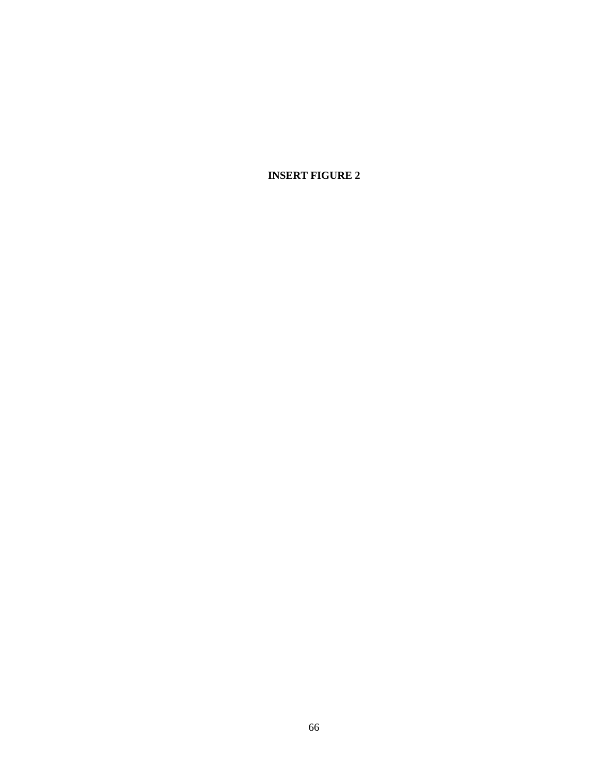**INSERT FIGURE 2**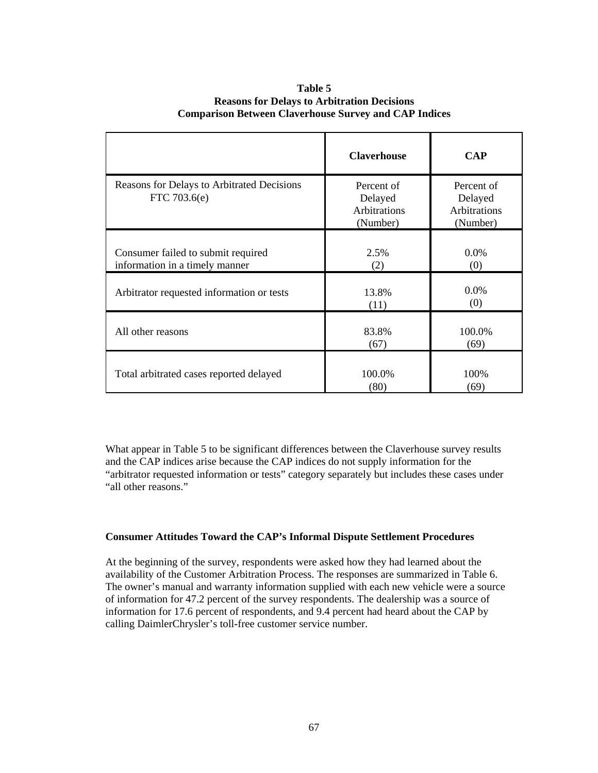|                                                                      | <b>Claverhouse</b>                                       | <b>CAP</b>                                               |
|----------------------------------------------------------------------|----------------------------------------------------------|----------------------------------------------------------|
| Reasons for Delays to Arbitrated Decisions<br>FTC 703.6(e)           | Percent of<br>Delayed<br><b>Arbitrations</b><br>(Number) | Percent of<br>Delayed<br><b>Arbitrations</b><br>(Number) |
| Consumer failed to submit required<br>information in a timely manner | 2.5%<br>(2)                                              | 0.0%<br>(0)                                              |
| Arbitrator requested information or tests                            | 13.8%<br>(11)                                            | 0.0%<br>(0)                                              |
| All other reasons                                                    | 83.8%<br>(67)                                            | 100.0%<br>(69)                                           |
| Total arbitrated cases reported delayed                              | 100.0%<br>(80)                                           | 100%<br>(69)                                             |

### **Table 5 Reasons for Delays to Arbitration Decisions Comparison Between Claverhouse Survey and CAP Indices**

What appear in Table 5 to be significant differences between the Claverhouse survey results and the CAP indices arise because the CAP indices do not supply information for the "arbitrator requested information or tests" category separately but includes these cases under "all other reasons."

### **Consumer Attitudes Toward the CAP's Informal Dispute Settlement Procedures**

At the beginning of the survey, respondents were asked how they had learned about the availability of the Customer Arbitration Process. The responses are summarized in Table 6. The owner's manual and warranty information supplied with each new vehicle were a source of information for 47.2 percent of the survey respondents. The dealership was a source of information for 17.6 percent of respondents, and 9.4 percent had heard about the CAP by calling DaimlerChrysler's toll-free customer service number.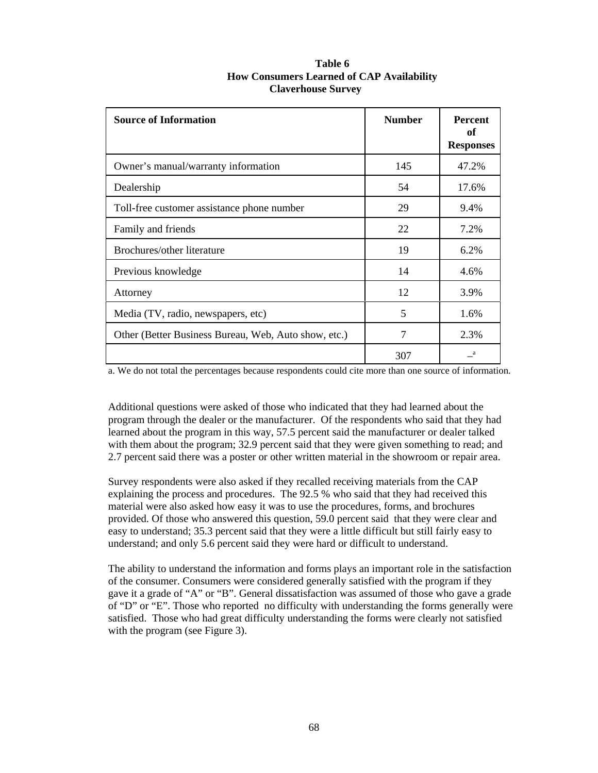| Table 6                                          |
|--------------------------------------------------|
| <b>How Consumers Learned of CAP Availability</b> |
| <b>Claverhouse Survey</b>                        |

| <b>Source of Information</b>                         | <b>Number</b> | <b>Percent</b><br>of<br><b>Responses</b> |
|------------------------------------------------------|---------------|------------------------------------------|
| Owner's manual/warranty information                  | 145           | 47.2%                                    |
| Dealership                                           | 54            | 17.6%                                    |
| Toll-free customer assistance phone number           | 29            | 9.4%                                     |
| Family and friends                                   | 22            | 7.2%                                     |
| Brochures/other literature                           | 19            | 6.2%                                     |
| Previous knowledge                                   | 14            | 4.6%                                     |
| Attorney                                             | 12            | 3.9%                                     |
| Media (TV, radio, newspapers, etc)                   | 5             | 1.6%                                     |
| Other (Better Business Bureau, Web, Auto show, etc.) | 7             | 2.3%                                     |
|                                                      | 307           | a                                        |

a. We do not total the percentages because respondents could cite more than one source of information.

Additional questions were asked of those who indicated that they had learned about the program through the dealer or the manufacturer. Of the respondents who said that they had learned about the program in this way, 57.5 percent said the manufacturer or dealer talked with them about the program; 32.9 percent said that they were given something to read; and 2.7 percent said there was a poster or other written material in the showroom or repair area.

Survey respondents were also asked if they recalled receiving materials from the CAP explaining the process and procedures. The 92.5 % who said that they had received this material were also asked how easy it was to use the procedures, forms, and brochures provided. Of those who answered this question, 59.0 percent said that they were clear and easy to understand; 35.3 percent said that they were a little difficult but still fairly easy to understand; and only 5.6 percent said they were hard or difficult to understand.

The ability to understand the information and forms plays an important role in the satisfaction of the consumer. Consumers were considered generally satisfied with the program if they gave it a grade of "A" or "B". General dissatisfaction was assumed of those who gave a grade of "D" or "E". Those who reported no difficulty with understanding the forms generally were satisfied. Those who had great difficulty understanding the forms were clearly not satisfied with the program (see Figure 3).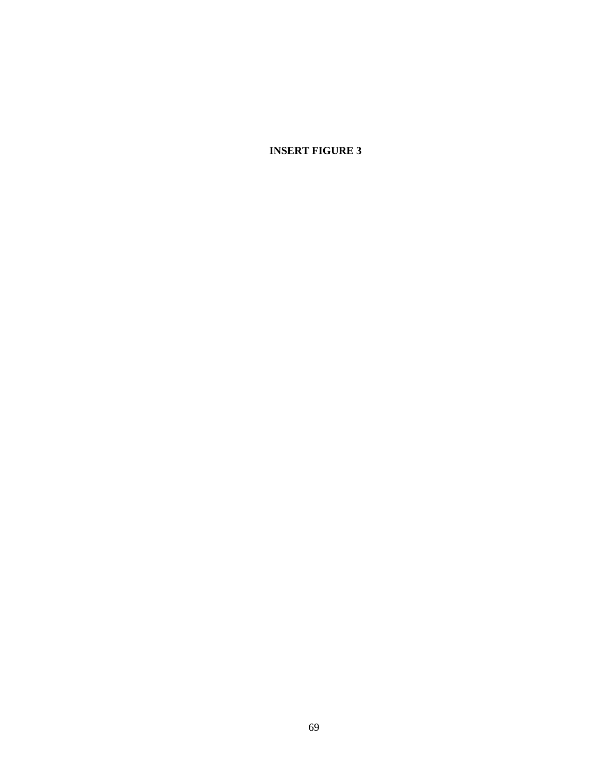**INSERT FIGURE 3**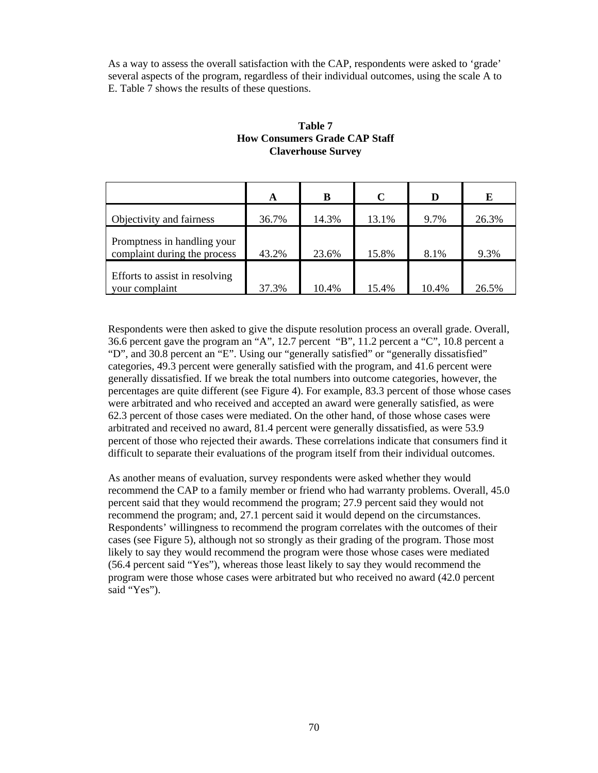As a way to assess the overall satisfaction with the CAP, respondents were asked to 'grade' several aspects of the program, regardless of their individual outcomes, using the scale A to E. Table 7 shows the results of these questions.

|                                                             | A     | B     | $\mathbf C$ | D     | E     |
|-------------------------------------------------------------|-------|-------|-------------|-------|-------|
| Objectivity and fairness                                    | 36.7% | 14.3% | 13.1%       | 9.7%  | 26.3% |
| Promptness in handling your<br>complaint during the process | 43.2% | 23.6% | 15.8%       | 8.1%  | 9.3%  |
| Efforts to assist in resolving<br>your complaint            | 37.3% | 10.4% | 15.4%       | 10.4% | 26.5% |

### **Table 7 How Consumers Grade CAP Staff Claverhouse Survey**

Respondents were then asked to give the dispute resolution process an overall grade. Overall, 36.6 percent gave the program an "A", 12.7 percent "B", 11.2 percent a "C", 10.8 percent a "D", and 30.8 percent an "E". Using our "generally satisfied" or "generally dissatisfied" categories, 49.3 percent were generally satisfied with the program, and 41.6 percent were generally dissatisfied. If we break the total numbers into outcome categories, however, the percentages are quite different (see Figure 4). For example, 83.3 percent of those whose cases were arbitrated and who received and accepted an award were generally satisfied, as were 62.3 percent of those cases were mediated. On the other hand, of those whose cases were arbitrated and received no award, 81.4 percent were generally dissatisfied, as were 53.9 percent of those who rejected their awards. These correlations indicate that consumers find it difficult to separate their evaluations of the program itself from their individual outcomes.

As another means of evaluation, survey respondents were asked whether they would recommend the CAP to a family member or friend who had warranty problems. Overall, 45.0 percent said that they would recommend the program; 27.9 percent said they would not recommend the program; and, 27.1 percent said it would depend on the circumstances. Respondents' willingness to recommend the program correlates with the outcomes of their cases (see Figure 5), although not so strongly as their grading of the program. Those most likely to say they would recommend the program were those whose cases were mediated (56.4 percent said "Yes"), whereas those least likely to say they would recommend the program were those whose cases were arbitrated but who received no award (42.0 percent said "Yes").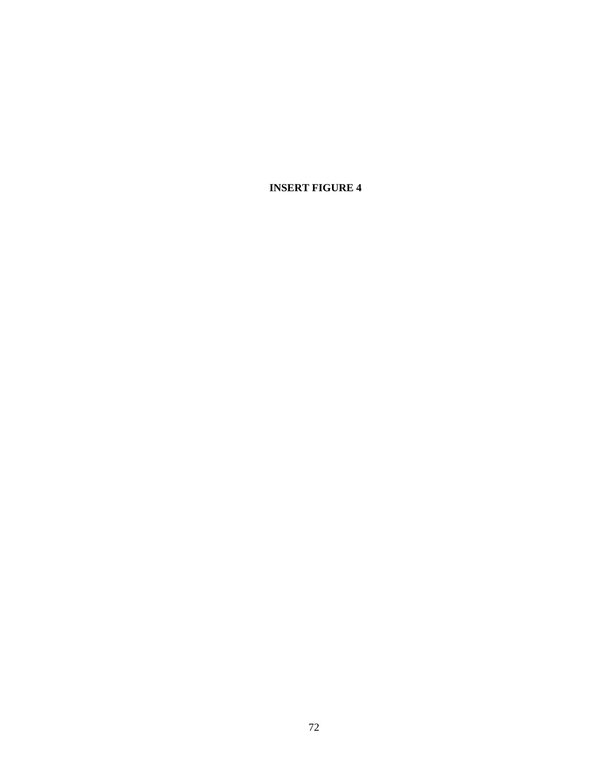**INSERT FIGURE 4**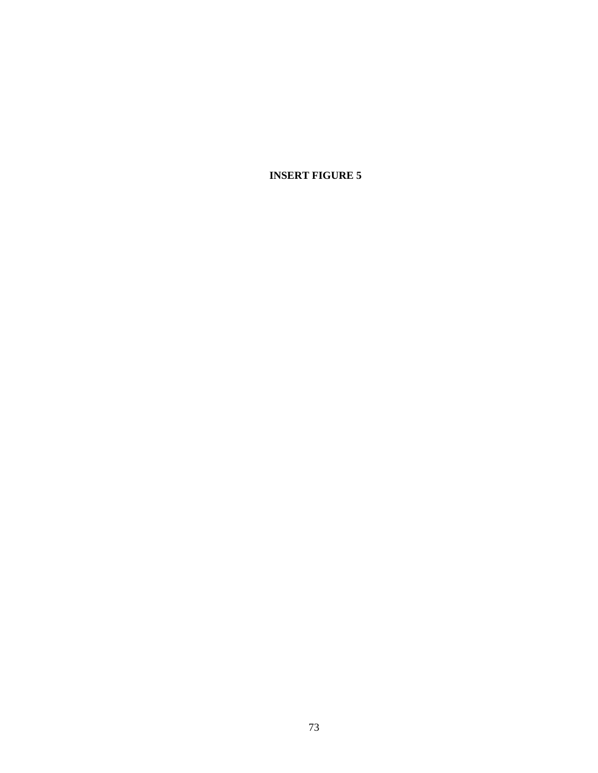**INSERT FIGURE 5**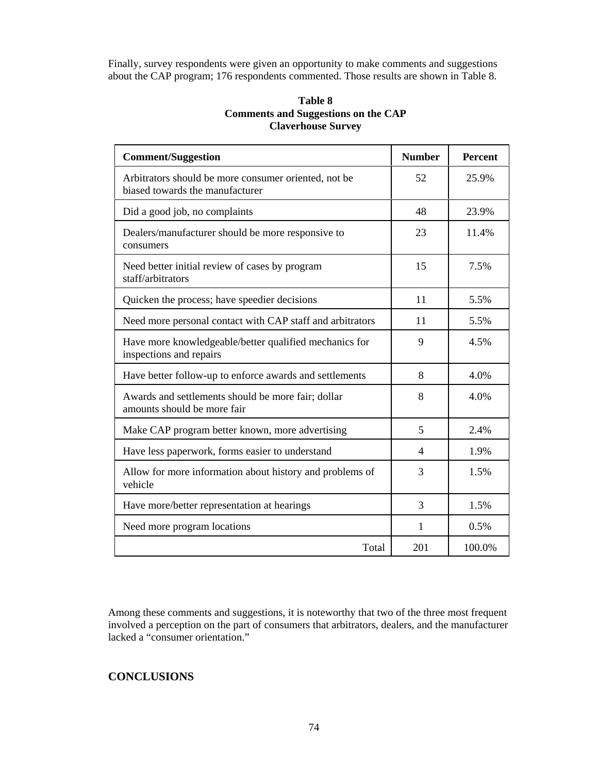Finally, survey respondents were given an opportunity to make comments and suggestions about the CAP program; 176 respondents commented. Those results are shown in Table 8.

### **Table 8 Comments and Suggestions on the CAP Claverhouse Survey**

| <b>Comment/Suggestion</b>                                                               | <b>Number</b>  | <b>Percent</b> |
|-----------------------------------------------------------------------------------------|----------------|----------------|
| Arbitrators should be more consumer oriented, not be<br>biased towards the manufacturer | 52             | 25.9%          |
| Did a good job, no complaints                                                           | 48             | 23.9%          |
| Dealers/manufacturer should be more responsive to<br>consumers                          | 23             | 11.4%          |
| Need better initial review of cases by program<br>staff/arbitrators                     | 15             | 7.5%           |
| Quicken the process; have speedier decisions                                            | 11             | 5.5%           |
| Need more personal contact with CAP staff and arbitrators                               | 11             | 5.5%           |
| Have more knowledgeable/better qualified mechanics for<br>inspections and repairs       | 9              | 4.5%           |
| Have better follow-up to enforce awards and settlements                                 | 8              | 4.0%           |
| Awards and settlements should be more fair; dollar<br>amounts should be more fair       | 8              | 4.0%           |
| Make CAP program better known, more advertising                                         | 5              | 2.4%           |
| Have less paperwork, forms easier to understand                                         | $\overline{4}$ | 1.9%           |
| Allow for more information about history and problems of<br>vehicle                     | 3              | 1.5%           |
| Have more/better representation at hearings                                             | 3              | 1.5%           |
| Need more program locations                                                             | 1              | 0.5%           |
| Total                                                                                   | 201            | 100.0%         |

Among these comments and suggestions, it is noteworthy that two of the three most frequent involved a perception on the part of consumers that arbitrators, dealers, and the manufacturer lacked a "consumer orientation."

### **CONCLUSIONS**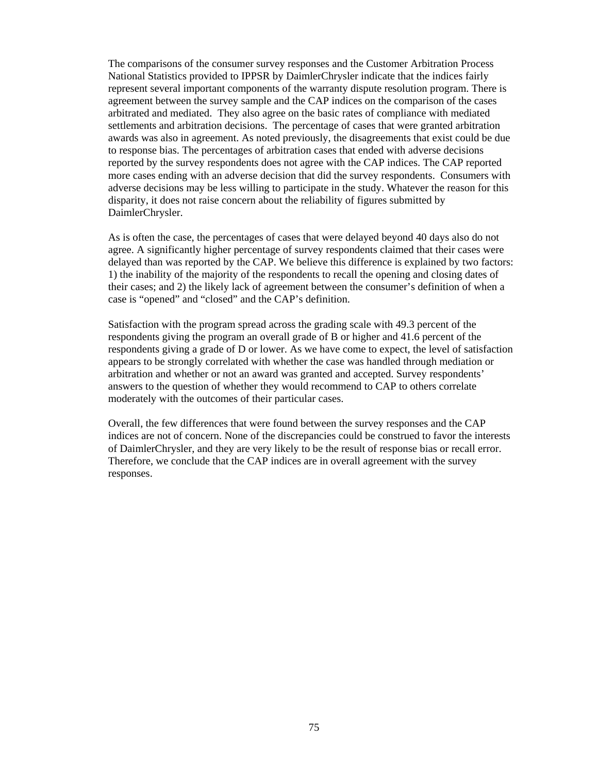The comparisons of the consumer survey responses and the Customer Arbitration Process National Statistics provided to IPPSR by DaimlerChrysler indicate that the indices fairly represent several important components of the warranty dispute resolution program. There is agreement between the survey sample and the CAP indices on the comparison of the cases arbitrated and mediated. They also agree on the basic rates of compliance with mediated settlements and arbitration decisions. The percentage of cases that were granted arbitration awards was also in agreement. As noted previously, the disagreements that exist could be due to response bias. The percentages of arbitration cases that ended with adverse decisions reported by the survey respondents does not agree with the CAP indices. The CAP reported more cases ending with an adverse decision that did the survey respondents. Consumers with adverse decisions may be less willing to participate in the study. Whatever the reason for this disparity, it does not raise concern about the reliability of figures submitted by DaimlerChrysler.

As is often the case, the percentages of cases that were delayed beyond 40 days also do not agree. A significantly higher percentage of survey respondents claimed that their cases were delayed than was reported by the CAP. We believe this difference is explained by two factors: 1) the inability of the majority of the respondents to recall the opening and closing dates of their cases; and 2) the likely lack of agreement between the consumer's definition of when a case is "opened" and "closed" and the CAP's definition.

Satisfaction with the program spread across the grading scale with 49.3 percent of the respondents giving the program an overall grade of B or higher and 41.6 percent of the respondents giving a grade of D or lower. As we have come to expect, the level of satisfaction appears to be strongly correlated with whether the case was handled through mediation or arbitration and whether or not an award was granted and accepted. Survey respondents' answers to the question of whether they would recommend to CAP to others correlate moderately with the outcomes of their particular cases.

Overall, the few differences that were found between the survey responses and the CAP indices are not of concern. None of the discrepancies could be construed to favor the interests of DaimlerChrysler, and they are very likely to be the result of response bias or recall error. Therefore, we conclude that the CAP indices are in overall agreement with the survey responses.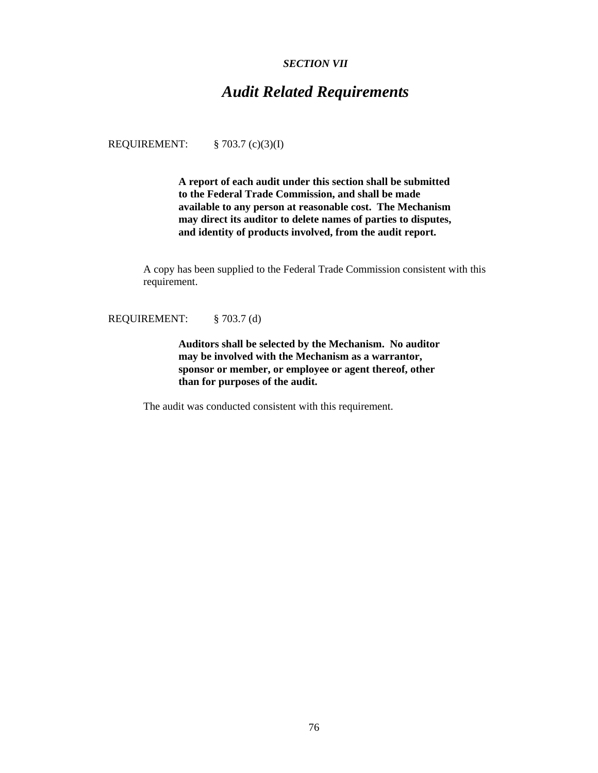### *SECTION VII*

# *Audit Related Requirements*

REQUIREMENT: § 703.7 (c)(3)(I)

**A report of each audit under this section shall be submitted to the Federal Trade Commission, and shall be made available to any person at reasonable cost. The Mechanism may direct its auditor to delete names of parties to disputes, and identity of products involved, from the audit report.**

A copy has been supplied to the Federal Trade Commission consistent with this requirement.

REQUIREMENT: § 703.7 (d)

**Auditors shall be selected by the Mechanism. No auditor may be involved with the Mechanism as a warrantor, sponsor or member, or employee or agent thereof, other than for purposes of the audit.**

The audit was conducted consistent with this requirement.